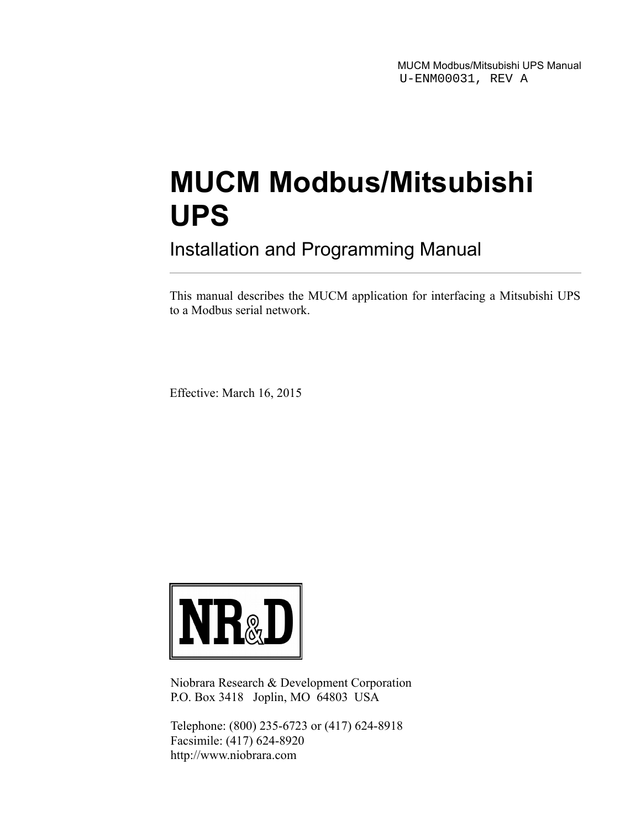MUCM Modbus/Mitsubishi UPS Manual U-ENM00031, REV A

# **MUCM Modbus/Mitsubishi UPS**

Installation and Programming Manual

This manual describes the MUCM application for interfacing a Mitsubishi UPS to a Modbus serial network.

Effective: March 16, 2015



Niobrara Research & Development Corporation P.O. Box 3418 Joplin, MO 64803 USA

Telephone: (800) 235-6723 or (417) 624-8918 Facsimile: (417) 624-8920 http://www.niobrara.com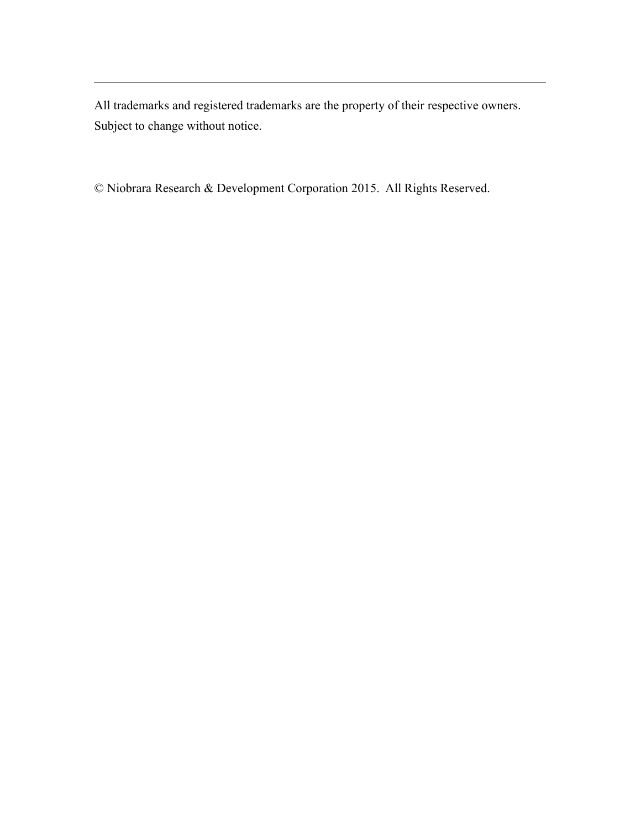All trademarks and registered trademarks are the property of their respective owners. Subject to change without notice.

© Niobrara Research & Development Corporation 2015. All Rights Reserved.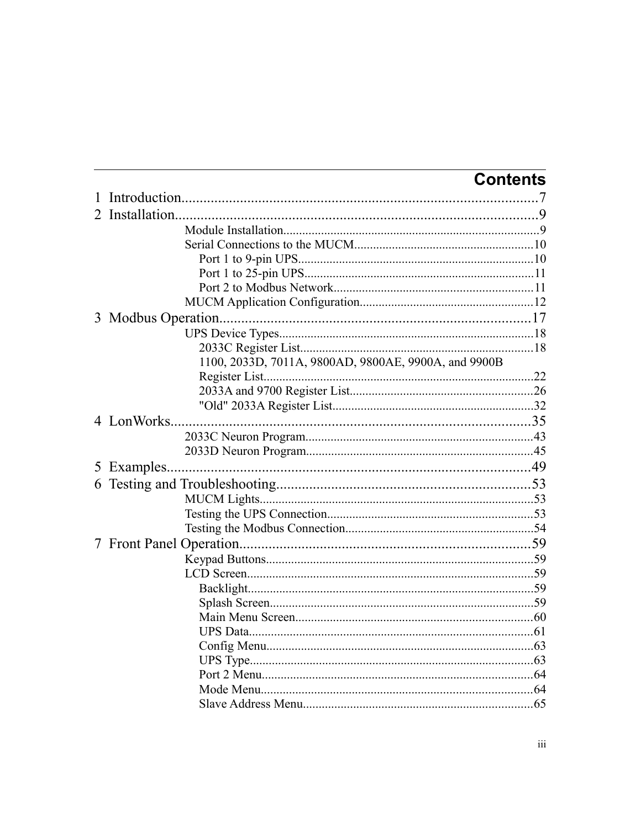|                                                      | <b>Contents</b> |
|------------------------------------------------------|-----------------|
|                                                      |                 |
|                                                      |                 |
|                                                      |                 |
|                                                      |                 |
|                                                      |                 |
|                                                      |                 |
|                                                      |                 |
|                                                      |                 |
|                                                      |                 |
|                                                      |                 |
|                                                      |                 |
| 1100, 2033D, 7011A, 9800AD, 9800AE, 9900A, and 9900B |                 |
|                                                      |                 |
|                                                      |                 |
|                                                      |                 |
|                                                      |                 |
|                                                      |                 |
|                                                      |                 |
|                                                      |                 |
|                                                      |                 |
|                                                      |                 |
|                                                      |                 |
|                                                      |                 |
|                                                      |                 |
|                                                      |                 |
|                                                      |                 |
|                                                      |                 |
|                                                      |                 |
|                                                      |                 |
|                                                      |                 |
|                                                      |                 |
|                                                      |                 |
|                                                      |                 |
|                                                      |                 |
|                                                      |                 |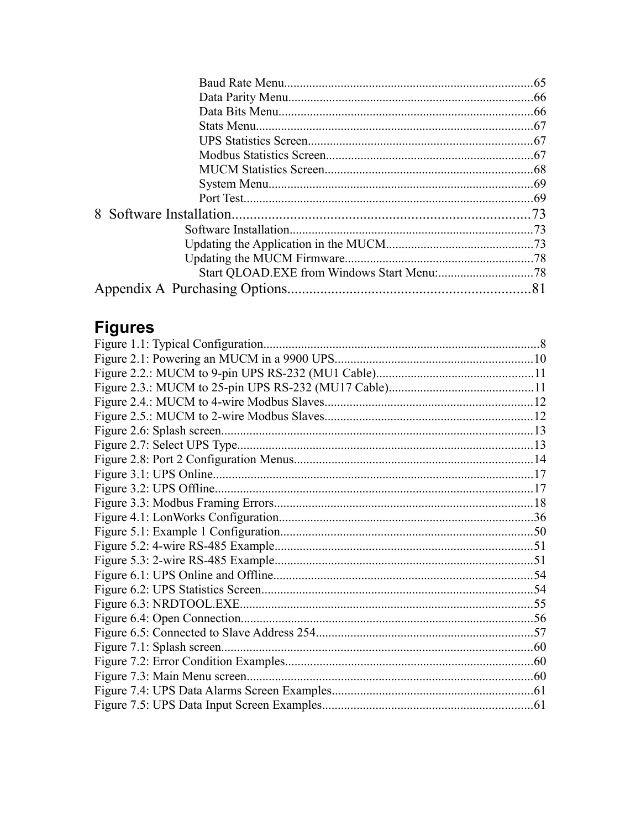## **Figures**

| Figure 1.1: Typical Configuration |  |
|-----------------------------------|--|
|                                   |  |
|                                   |  |
|                                   |  |
|                                   |  |
|                                   |  |
|                                   |  |
|                                   |  |
|                                   |  |
|                                   |  |
|                                   |  |
|                                   |  |
|                                   |  |
|                                   |  |
|                                   |  |
|                                   |  |
|                                   |  |
|                                   |  |
|                                   |  |
|                                   |  |
|                                   |  |
|                                   |  |
|                                   |  |
|                                   |  |
|                                   |  |
|                                   |  |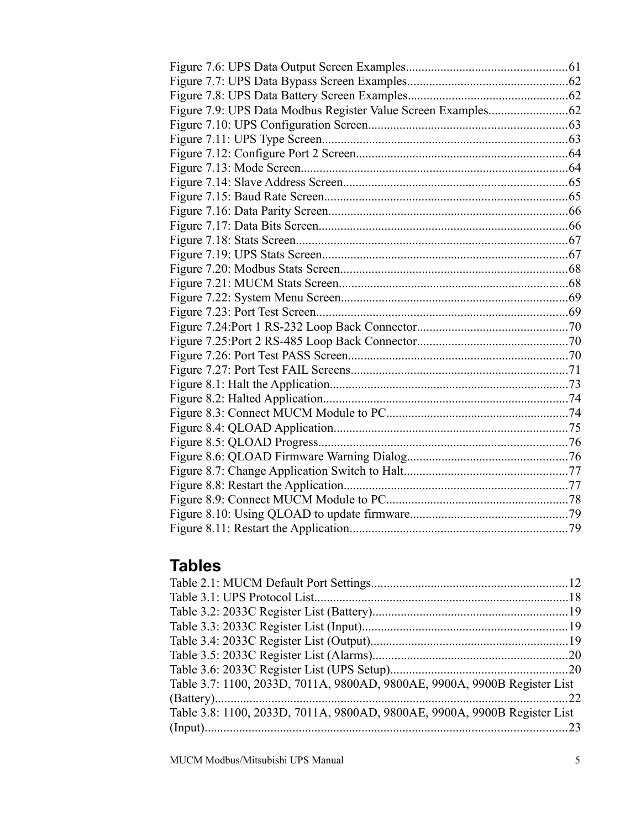## **Tables**

| Table 3.7: 1100, 2033D, 7011A, 9800AD, 9800AE, 9900A, 9900B Register List |  |
|---------------------------------------------------------------------------|--|
|                                                                           |  |
| Table 3.8: 1100, 2033D, 7011A, 9800AD, 9800AE, 9900A, 9900B Register List |  |
|                                                                           |  |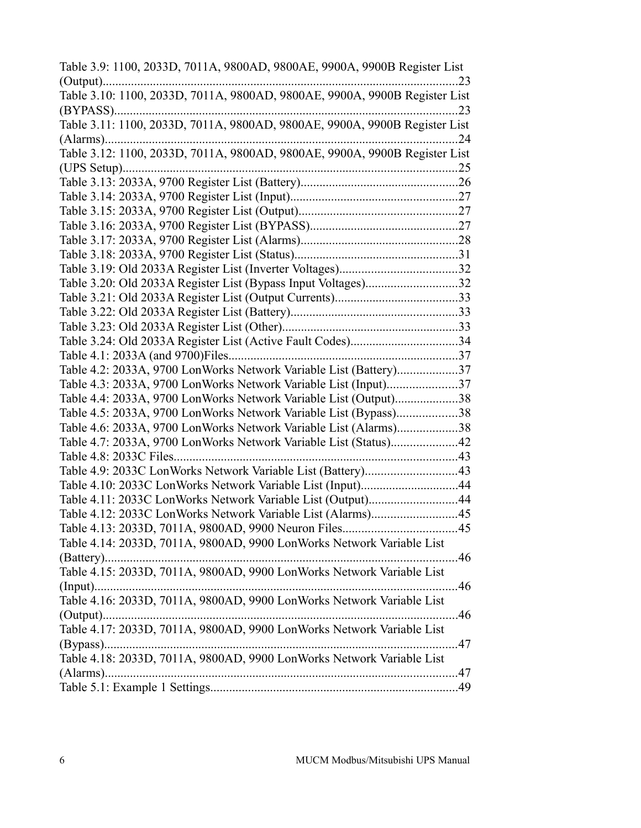| Table 3.9: 1100, 2033D, 7011A, 9800AD, 9800AE, 9900A, 9900B Register List  |     |
|----------------------------------------------------------------------------|-----|
|                                                                            | .23 |
| Table 3.10: 1100, 2033D, 7011A, 9800AD, 9800AE, 9900A, 9900B Register List |     |
| $(BYPASS)$                                                                 | .23 |
| Table 3.11: 1100, 2033D, 7011A, 9800AD, 9800AE, 9900A, 9900B Register List |     |
| $(Alarms)$                                                                 | .24 |
| Table 3.12: 1100, 2033D, 7011A, 9800AD, 9800AE, 9900A, 9900B Register List |     |
|                                                                            | .25 |
|                                                                            |     |
|                                                                            |     |
|                                                                            |     |
|                                                                            |     |
|                                                                            |     |
|                                                                            |     |
|                                                                            |     |
| Table 3.20: Old 2033A Register List (Bypass Input Voltages)32              |     |
|                                                                            | 33  |
|                                                                            |     |
|                                                                            |     |
| Table 3.24: Old 2033A Register List (Active Fault Codes)34                 |     |
|                                                                            | .37 |
| Table 4.2: 2033A, 9700 LonWorks Network Variable List (Battery)37          |     |
| Table 4.3: 2033A, 9700 LonWorks Network Variable List (Input)37            |     |
| Table 4.4: 2033A, 9700 LonWorks Network Variable List (Output)             | .38 |
| Table 4.5: 2033A, 9700 LonWorks Network Variable List (Bypass)             | .38 |
| Table 4.6: 2033A, 9700 LonWorks Network Variable List (Alarms)             | .38 |
| Table 4.7: 2033A, 9700 LonWorks Network Variable List (Status)             | .42 |
| Table 4.8: 2033C Files                                                     | 43  |
| Table 4.9: 2033C LonWorks Network Variable List (Battery)43                |     |
| Table 4.10: 2033C LonWorks Network Variable List (Input)44                 |     |
| Table 4.11: 2033C LonWorks Network Variable List (Output)44                |     |
|                                                                            |     |
| Table 4.13: 2033D, 7011A, 9800AD, 9900 Neuron Files                        | 45  |
| Table 4.14: 2033D, 7011A, 9800AD, 9900 LonWorks Network Variable List      |     |
|                                                                            | .46 |
| Table 4.15: 2033D, 7011A, 9800AD, 9900 LonWorks Network Variable List      |     |
|                                                                            | 46  |
| Table 4.16: 2033D, 7011A, 9800AD, 9900 LonWorks Network Variable List      |     |
|                                                                            | .46 |
| Table 4.17: 2033D, 7011A, 9800AD, 9900 LonWorks Network Variable List      |     |
|                                                                            | 47  |
| Table 4.18: 2033D, 7011A, 9800AD, 9900 LonWorks Network Variable List      |     |
|                                                                            |     |
|                                                                            | 49  |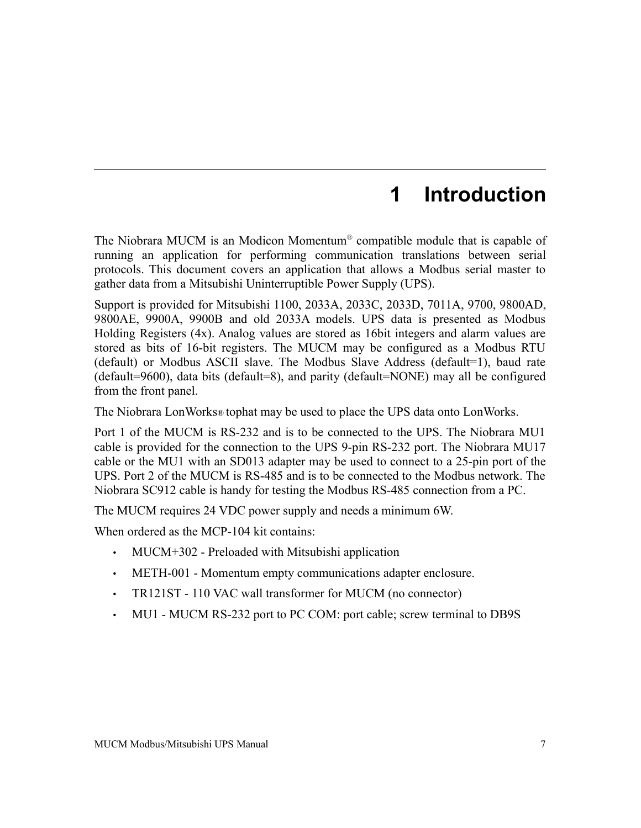## <span id="page-6-0"></span>**1 Introduction**

The Niobrara MUCM is an Modicon Momentum® compatible module that is capable of running an application for performing communication translations between serial protocols. This document covers an application that allows a Modbus serial master to gather data from a Mitsubishi Uninterruptible Power Supply (UPS).

Support is provided for Mitsubishi 1100, 2033A, 2033C, 2033D, 7011A, 9700, 9800AD, 9800AE, 9900A, 9900B and old 2033A models. UPS data is presented as Modbus Holding Registers (4x). Analog values are stored as 16bit integers and alarm values are stored as bits of 16-bit registers. The MUCM may be configured as a Modbus RTU (default) or Modbus ASCII slave. The Modbus Slave Address (default=1), baud rate (default=9600), data bits (default=8), and parity (default=NONE) may all be configured from the front panel.

The Niobrara LonWorks® tophat may be used to place the UPS data onto LonWorks.

Port 1 of the MUCM is RS-232 and is to be connected to the UPS. The Niobrara MU1 cable is provided for the connection to the UPS 9-pin RS-232 port. The Niobrara MU17 cable or the MU1 with an SD013 adapter may be used to connect to a 25-pin port of the UPS. Port 2 of the MUCM is RS-485 and is to be connected to the Modbus network. The Niobrara SC912 cable is handy for testing the Modbus RS-485 connection from a PC.

The MUCM requires 24 VDC power supply and needs a minimum 6W.

When ordered as the MCP-104 kit contains:

- MUCM+302 Preloaded with Mitsubishi application
- METH-001 Momentum empty communications adapter enclosure.
- TR121ST 110 VAC wall transformer for MUCM (no connector)
- MU1 MUCM RS-232 port to PC COM: port cable; screw terminal to DB9S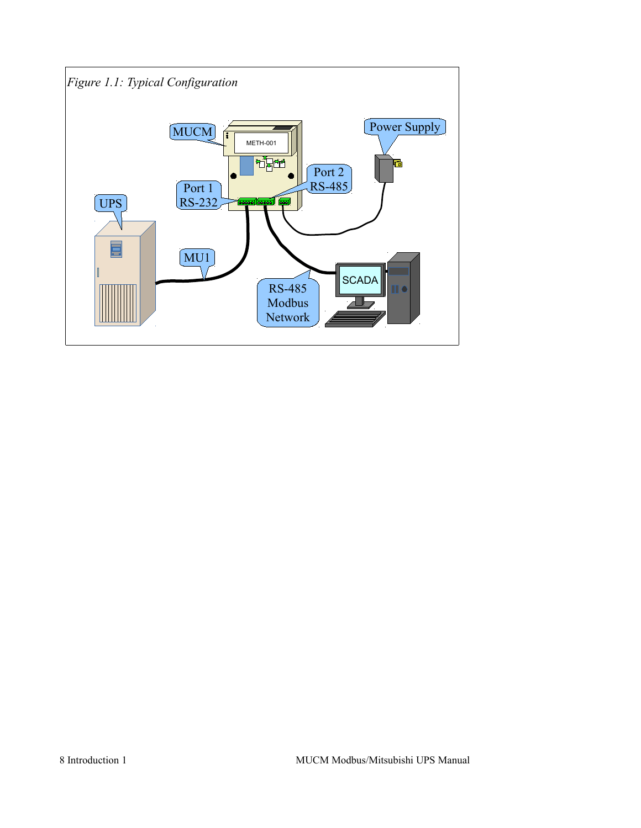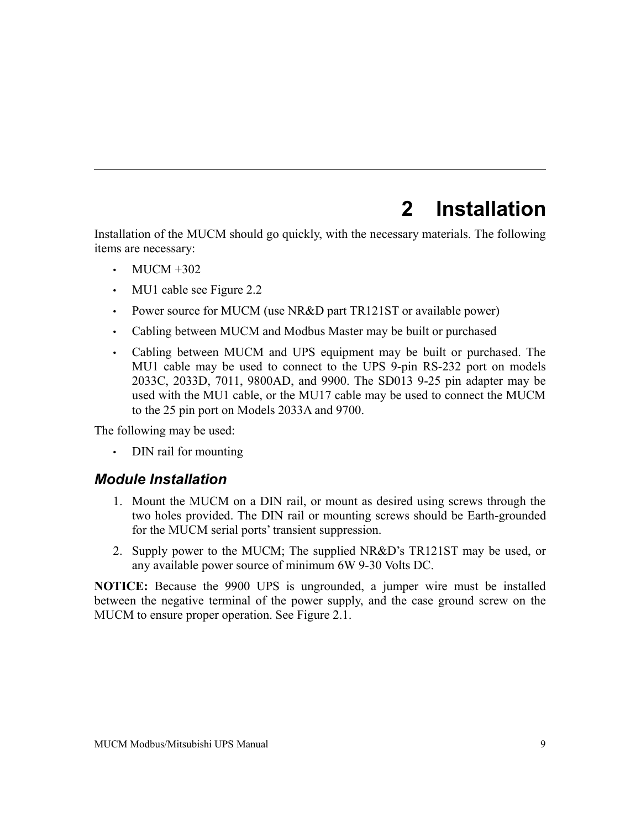## <span id="page-8-0"></span>**2 Installation**

Installation of the MUCM should go quickly, with the necessary materials. The following items are necessary:

- MUCM  $+302$
- MU1 cable see [Figure 2.2](#page-10-2)
- Power source for MUCM (use NR&D part TR121ST or available power)
- Cabling between MUCM and Modbus Master may be built or purchased
- Cabling between MUCM and UPS equipment may be built or purchased. The MU1 cable may be used to connect to the UPS 9-pin RS-232 port on models 2033C, 2033D, 7011, 9800AD, and 9900. The SD013 9-25 pin adapter may be used with the MU1 cable, or the MU17 cable may be used to connect the MUCM to the 25 pin port on Models 2033A and 9700.

The following may be used:

• DIN rail for mounting

#### <span id="page-8-1"></span>*Module Installation*

- 1. Mount the MUCM on a DIN rail, or mount as desired using screws through the two holes provided. The DIN rail or mounting screws should be Earth-grounded for the MUCM serial ports' transient suppression.
- 2. Supply power to the MUCM; The supplied NR&D's TR121ST may be used, or any available power source of minimum 6W 9-30 Volts DC.

**NOTICE:** Because the 9900 UPS is ungrounded, a jumper wire must be installed between the negative terminal of the power supply, and the case ground screw on the MUCM to ensure proper operation. See [Figure 2.1.](#page-9-2)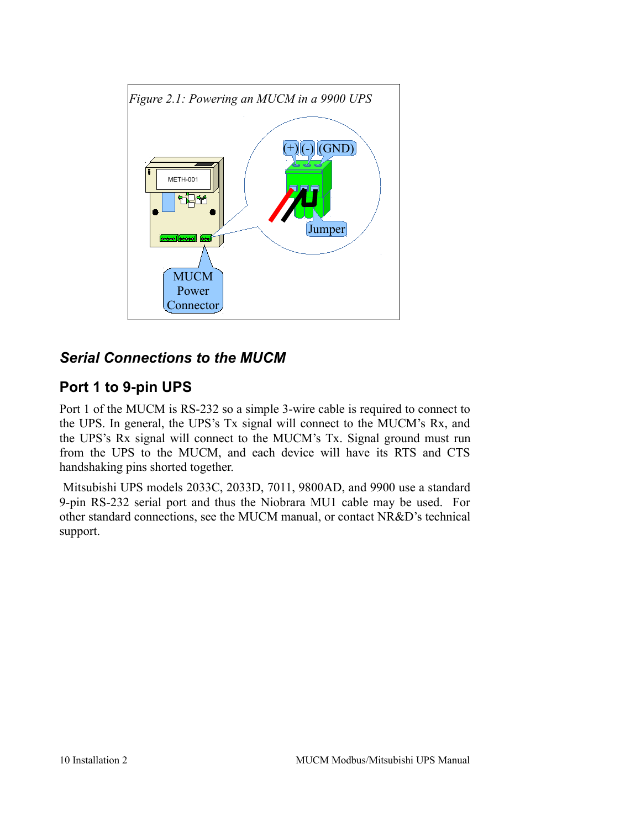<span id="page-9-2"></span>

### <span id="page-9-0"></span>*Serial Connections to the MUCM*

### <span id="page-9-1"></span>**Port 1 to 9-pin UPS**

Port 1 of the MUCM is RS-232 so a simple 3-wire cable is required to connect to the UPS. In general, the UPS's Tx signal will connect to the MUCM's Rx, and the UPS's Rx signal will connect to the MUCM's Tx. Signal ground must run from the UPS to the MUCM, and each device will have its RTS and CTS handshaking pins shorted together.

Mitsubishi UPS models 2033C, 2033D, 7011, 9800AD, and 9900 use a standard 9-pin RS-232 serial port and thus the Niobrara MU1 cable may be used. For other standard connections, see the MUCM manual, or contact NR&D's technical support.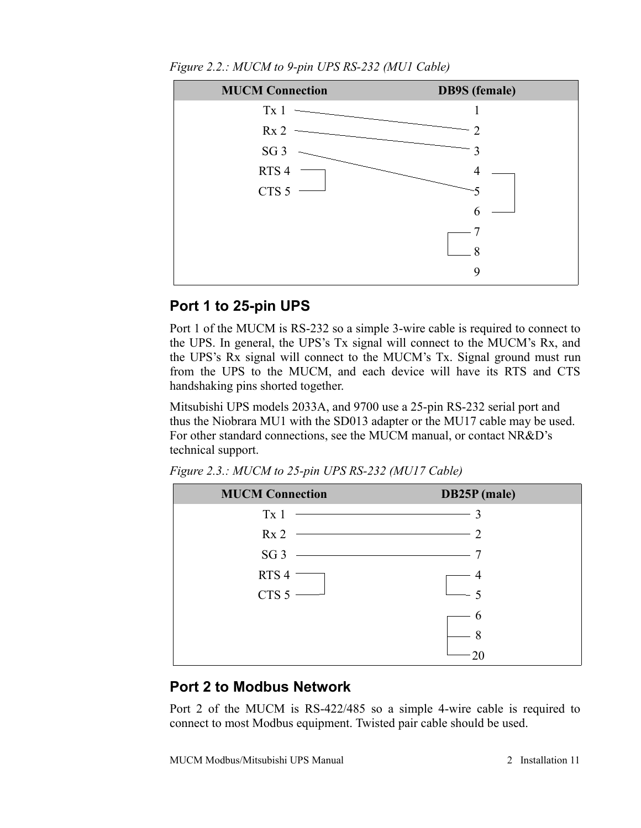

<span id="page-10-2"></span>*Figure 2.2.: MUCM to 9-pin UPS RS-232 (MU1 Cable)*

#### <span id="page-10-0"></span>**Port 1 to 25-pin UPS**

Port 1 of the MUCM is RS-232 so a simple 3-wire cable is required to connect to the UPS. In general, the UPS's Tx signal will connect to the MUCM's Rx, and the UPS's Rx signal will connect to the MUCM's Tx. Signal ground must run from the UPS to the MUCM, and each device will have its RTS and CTS handshaking pins shorted together.

Mitsubishi UPS models 2033A, and 9700 use a 25-pin RS-232 serial port and thus the Niobrara MU1 with the SD013 adapter or the MU17 cable may be used. For other standard connections, see the MUCM manual, or contact NR&D's technical support.

| <b>MUCM Connection</b> | DB25P (male)                                                                                                                |
|------------------------|-----------------------------------------------------------------------------------------------------------------------------|
| Tx <sub>1</sub>        | 3<br><u> 1989 - Johann Stoff, deutscher Stoffen und der Stoffen und der Stoffen und der Stoffen und der Stoffen und der</u> |
| Rx <sub>2</sub>        | $\sim$ 2                                                                                                                    |
| SG <sub>3</sub>        | <u> 1989 - Johann Stein, markin sanat masjid asl a shekara ta 1989 - An an tsarani a shekara ta 1989 - An an tsa</u>        |
| RTS <sub>4</sub>       |                                                                                                                             |
| CTS $5 -$              |                                                                                                                             |
|                        | 6                                                                                                                           |
|                        | 8                                                                                                                           |
|                        |                                                                                                                             |

*Figure 2.3.: MUCM to 25-pin UPS RS-232 (MU17 Cable)*

#### <span id="page-10-1"></span>**Port 2 to Modbus Network**

Port 2 of the MUCM is RS-422/485 so a simple 4-wire cable is required to connect to most Modbus equipment. Twisted pair cable should be used.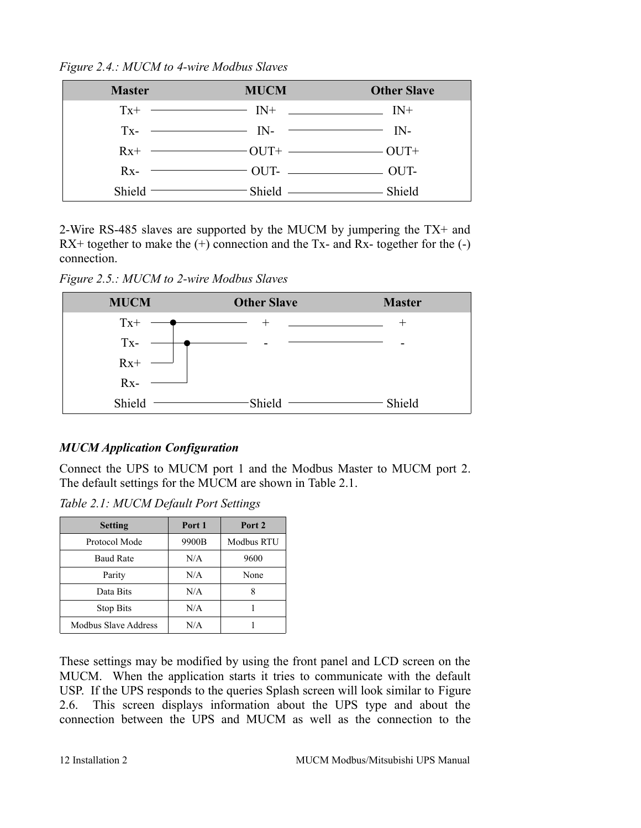*Figure 2.4.: MUCM to 4-wire Modbus Slaves*

| <b>Master</b> | <b>MUCM</b>                                                    | <b>Other Slave</b> |
|---------------|----------------------------------------------------------------|--------------------|
|               | $Tx^{+}$ $\longrightarrow$ $IN^{+}$ $\longrightarrow$ $IN^{+}$ |                    |
|               | $Tx$ - $IN$ - $IN$ - $IN$ - $IN$                               |                    |
|               |                                                                |                    |
|               | $Rx$ - $\longrightarrow$ OUT- $\longrightarrow$ OUT-           |                    |
|               | Shield Shield Shield Shield                                    |                    |

2-Wire RS-485 slaves are supported by the MUCM by jumpering the TX+ and  $RX+$  together to make the  $(+)$  connection and the Tx- and Rx- together for the  $(-)$ connection.

*Figure 2.5.: MUCM to 2-wire Modbus Slaves*



#### <span id="page-11-0"></span>*MUCM Application Configuration*

Connect the UPS to MUCM port 1 and the Modbus Master to MUCM port 2. The default settings for the MUCM are shown in [Table 2.1.](#page-11-1)

<span id="page-11-1"></span>*Table 2.1: MUCM Default Port Settings*

| <b>Setting</b>       | Port 1 | Port 2            |
|----------------------|--------|-------------------|
| Protocol Mode        | 9900B  | <b>Modbus RTU</b> |
| <b>Baud Rate</b>     | N/A    | 9600              |
| Parity               | N/A    | None              |
| Data Bits            | N/A    |                   |
| <b>Stop Bits</b>     | N/A    |                   |
| Modbus Slave Address | N/A    |                   |

These settings may be modified by using the front panel and LCD screen on the MUCM. When the application starts it tries to communicate with the default USP. If the UPS responds to the queries Splash screen will look similar to [Figure](#page-12-0) [2.6.](#page-12-0) This screen displays information about the UPS type and about the connection between the UPS and MUCM as well as the connection to the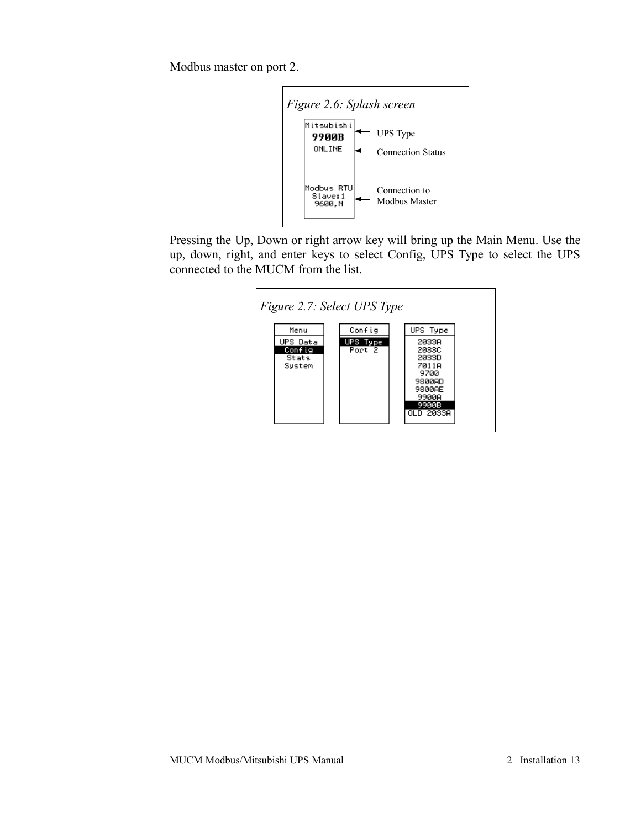Modbus master on port 2.

<span id="page-12-0"></span>

Pressing the Up, Down or right arrow key will bring up the Main Menu. Use the up, down, right, and enter keys to select Config, UPS Type to select the UPS connected to the MUCM from the list.

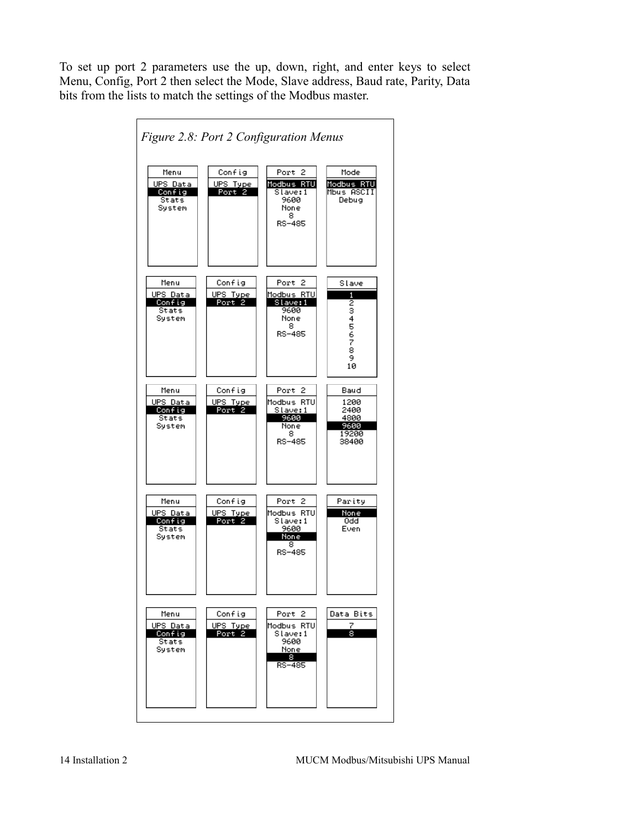To set up port 2 parameters use the up, down, right, and enter keys to select Menu, Config, Port 2 then select the Mode, Slave address, Baud rate, Parity, Data bits from the lists to match the settings of the Modbus master.

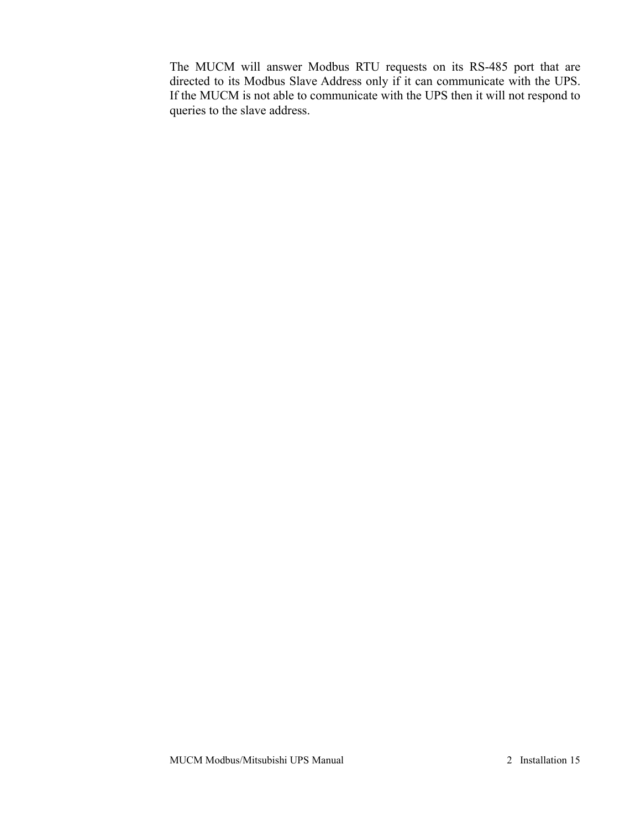The MUCM will answer Modbus RTU requests on its RS-485 port that are directed to its Modbus Slave Address only if it can communicate with the UPS. If the MUCM is not able to communicate with the UPS then it will not respond to queries to the slave address.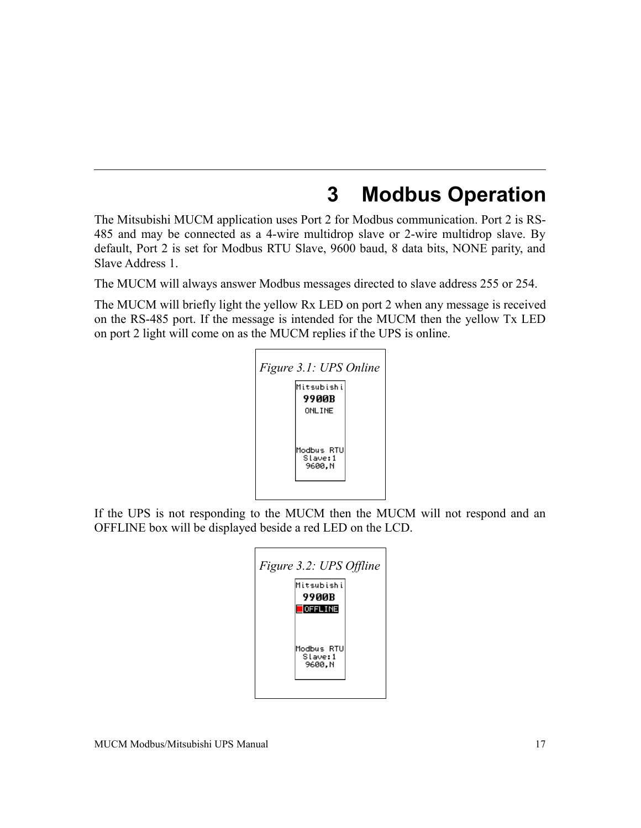## <span id="page-15-0"></span>**3 Modbus Operation**

The Mitsubishi MUCM application uses Port 2 for Modbus communication. Port 2 is RS-485 and may be connected as a 4-wire multidrop slave or 2-wire multidrop slave. By default, Port 2 is set for Modbus RTU Slave, 9600 baud, 8 data bits, NONE parity, and Slave Address 1.

The MUCM will always answer Modbus messages directed to slave address 255 or 254.

The MUCM will briefly light the yellow Rx LED on port 2 when any message is received on the RS-485 port. If the message is intended for the MUCM then the yellow Tx LED on port 2 light will come on as the MUCM replies if the UPS is online.

| Figure 3.1: UPS Online |                                  |  |  |
|------------------------|----------------------------------|--|--|
|                        | Mitsubishil                      |  |  |
|                        | 9900B                            |  |  |
|                        | <b>ONLINE</b>                    |  |  |
|                        | Modbus RTU<br>Slave: 1<br>9600.N |  |  |

If the UPS is not responding to the MUCM then the MUCM will not respond and an OFFLINE box will be displayed beside a red LED on the LCD.

| Figure 3.2: UPS Offline<br>Mitsubishi<br>9900R    |  |
|---------------------------------------------------|--|
| $\Box$ OFFLINE<br>Modbus RTU<br>Slave:1<br>9600.N |  |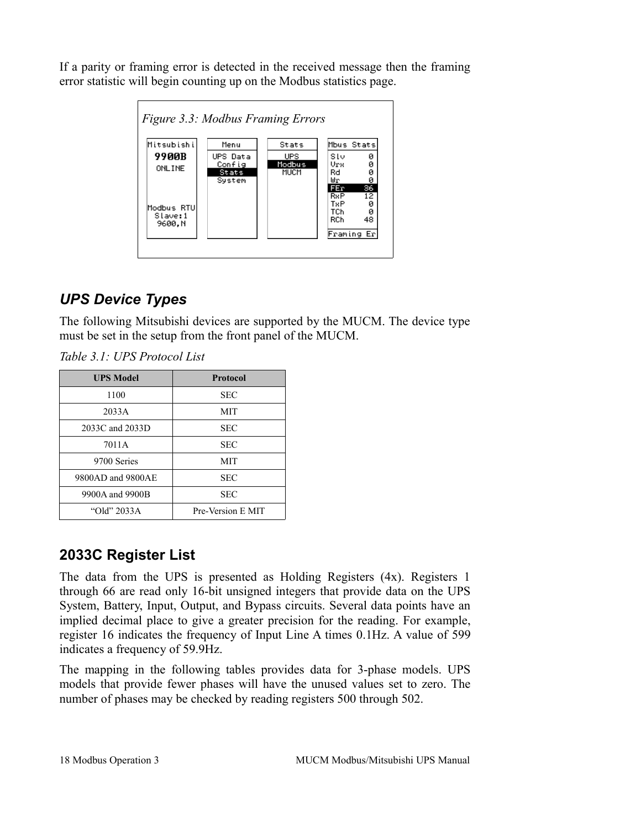If a parity or framing error is detected in the received message then the framing error statistic will begin counting up on the Modbus statistics page.



### <span id="page-16-0"></span>*UPS Device Types*

The following Mitsubishi devices are supported by the MUCM. The device type must be set in the setup from the front panel of the MUCM.

*Table 3.1: UPS Protocol List*

| <b>UPS Model</b>  | <b>Protocol</b>   |  |
|-------------------|-------------------|--|
| 1100              | <b>SEC</b>        |  |
| 2033A             | MIT               |  |
| 2033C and 2033D   | <b>SEC</b>        |  |
| 7011A             | <b>SEC</b>        |  |
| 9700 Series       | MIT               |  |
| 9800AD and 9800AE | <b>SEC</b>        |  |
| 9900A and 9900B   | SEC               |  |
| "Old" 2033A       | Pre-Version E MIT |  |

### <span id="page-16-1"></span>**2033C Register List**

The data from the UPS is presented as Holding Registers (4x). Registers 1 through 66 are read only 16-bit unsigned integers that provide data on the UPS System, Battery, Input, Output, and Bypass circuits. Several data points have an implied decimal place to give a greater precision for the reading. For example, register 16 indicates the frequency of Input Line A times 0.1Hz. A value of 599 indicates a frequency of 59.9Hz.

The mapping in the following tables provides data for 3-phase models. UPS models that provide fewer phases will have the unused values set to zero. The number of phases may be checked by reading registers 500 through 502.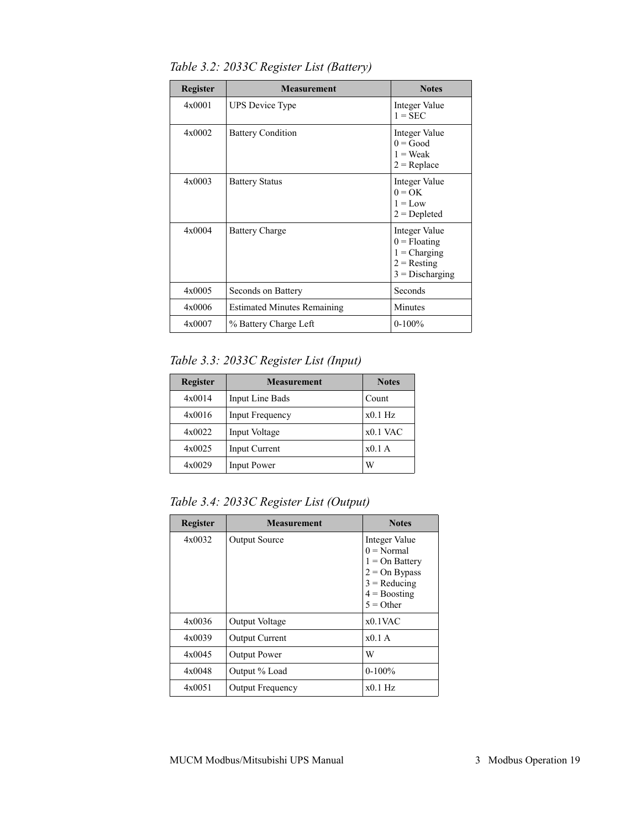| <b>Register</b> | <b>Measurement</b>                 | <b>Notes</b>                                                                            |
|-----------------|------------------------------------|-----------------------------------------------------------------------------------------|
| 4x0001          | <b>UPS</b> Device Type             | Integer Value<br>$1 =$ SEC                                                              |
| 4x0002          | <b>Battery Condition</b>           | Integer Value<br>$0 = Good$<br>$1 = Weak$<br>$2 = Replace$                              |
| 4x0003          | <b>Battery Status</b>              | <b>Integer Value</b><br>$0 = OK$<br>$1 = Low$<br>$2 = Depleted$                         |
| 4x0004          | <b>Battery Charge</b>              | Integer Value<br>$0 =$ Floating<br>$1 = Charging$<br>$2 =$ Resting<br>$3 = Discharging$ |
| 4x0005          | Seconds on Battery                 | Seconds                                                                                 |
| 4x0006          | <b>Estimated Minutes Remaining</b> | Minutes                                                                                 |
| 4x0007          | % Battery Charge Left              | $0-100%$                                                                                |

*Table 3.2: 2033C Register List (Battery)*

*Table 3.3: 2033C Register List (Input)*

| <b>Register</b> | <b>Measurement</b> | <b>Notes</b> |
|-----------------|--------------------|--------------|
| 4x0014          | Input Line Bads    | Count        |
| 4x0016          | Input Frequency    | $x0.1$ Hz    |
| 4x0022          | Input Voltage      | $x0.1$ VAC   |
| 4x0025          | Input Current      | $x0.1$ A     |
| 4x0029          | <b>Input Power</b> | W            |

*Table 3.4: 2033C Register List (Output)*

| <b>Register</b> | <b>Measurement</b>      | <b>Notes</b>                                                                                                            |
|-----------------|-------------------------|-------------------------------------------------------------------------------------------------------------------------|
| 4x0032          | <b>Output Source</b>    | Integer Value<br>$0 = Normal$<br>$1 = On$ Battery<br>$2 = On Bypass$<br>$3 =$ Reducing<br>$4 =$ Boosting<br>$5 =$ Other |
| 4x0036          | Output Voltage          | $x0.1$ VAC                                                                                                              |
| 4x0039          | <b>Output Current</b>   | $x0.1$ A                                                                                                                |
| 4x0045          | <b>Output Power</b>     | W                                                                                                                       |
| 4x0048          | Output % Load           | $0-100\%$                                                                                                               |
| 4x0051          | <b>Output Frequency</b> | $x0.1$ Hz                                                                                                               |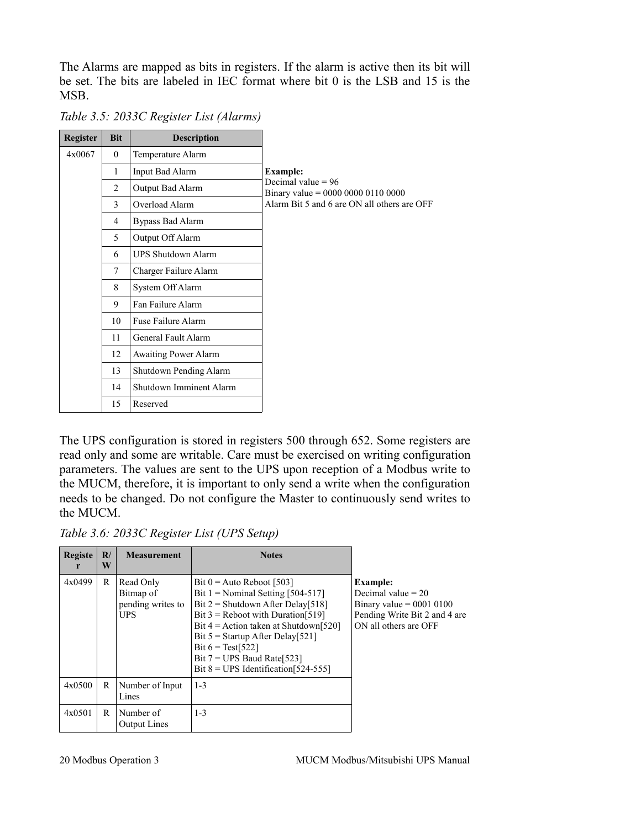The Alarms are mapped as bits in registers. If the alarm is active then its bit will be set. The bits are labeled in IEC format where bit 0 is the LSB and 15 is the MSB.

| Register | <b>Bit</b>     | <b>Description</b>          |                                                              |
|----------|----------------|-----------------------------|--------------------------------------------------------------|
| 4x0067   | $\theta$       | Temperature Alarm           |                                                              |
|          | 1              | Input Bad Alarm             | <b>Example:</b>                                              |
|          | 2              | Output Bad Alarm            | Decimal value $= 96$<br>Binary value = $0000 0000 0110 0000$ |
|          | 3              | Overload Alarm              | Alarm Bit 5 and 6 are ON all others are OFF                  |
|          | $\overline{4}$ | Bypass Bad Alarm            |                                                              |
|          | 5              | Output Off Alarm            |                                                              |
|          | 6              | <b>UPS Shutdown Alarm</b>   |                                                              |
|          | $\tau$         | Charger Failure Alarm       |                                                              |
|          | 8              | System Off Alarm            |                                                              |
|          | 9              | Fan Failure Alarm           |                                                              |
|          | 10             | Fuse Failure Alarm          |                                                              |
|          | 11             | General Fault Alarm         |                                                              |
|          | 12             | <b>Awaiting Power Alarm</b> |                                                              |
|          | 13             | Shutdown Pending Alarm      |                                                              |
|          | 14             | Shutdown Imminent Alarm     |                                                              |
|          | 15             | Reserved                    |                                                              |

*Table 3.5: 2033C Register List (Alarms)*

The UPS configuration is stored in registers 500 through 652. Some registers are read only and some are writable. Care must be exercised on writing configuration parameters. The values are sent to the UPS upon reception of a Modbus write to the MUCM, therefore, it is important to only send a write when the configuration needs to be changed. Do not configure the Master to continuously send writes to the MUCM.

*Table 3.6: 2033C Register List (UPS Setup)*

| <b>Registe</b><br>r | $\mathbf{R}^{\prime}$<br>W | <b>Measurement</b>                                        | <b>Notes</b>                                                                                                                                                                                                                                                                                                                          |                                                                                                                                 |
|---------------------|----------------------------|-----------------------------------------------------------|---------------------------------------------------------------------------------------------------------------------------------------------------------------------------------------------------------------------------------------------------------------------------------------------------------------------------------------|---------------------------------------------------------------------------------------------------------------------------------|
| 4x0499              | R                          | Read Only<br>Bitmap of<br>pending writes to<br><b>UPS</b> | Bit $0 =$ Auto Reboot [503]<br>Bit $1 =$ Nominal Setting [504-517]<br>Bit $2 =$ Shutdown After Delay[518]<br>Bit $3$ = Reboot with Duration [519]<br>Bit $4 =$ Action taken at Shutdown [520]<br>Bit $5 =$ Startup After Delay[521]<br>Bit $6 = Test[522]$<br>Bit $7 = UPS$ Baud Rate [523]<br>Bit $8 = UPS$ Identification [524-555] | <b>Example:</b><br>Decimal value $= 20$<br>Binary value = $0001$ 0100<br>Pending Write Bit 2 and 4 are<br>ON all others are OFF |
| 4x0500              | R                          | Number of Input<br>Lines                                  | $1 - 3$                                                                                                                                                                                                                                                                                                                               |                                                                                                                                 |
| 4x0501              | R                          | Number of<br><b>Output Lines</b>                          | $1 - 3$                                                                                                                                                                                                                                                                                                                               |                                                                                                                                 |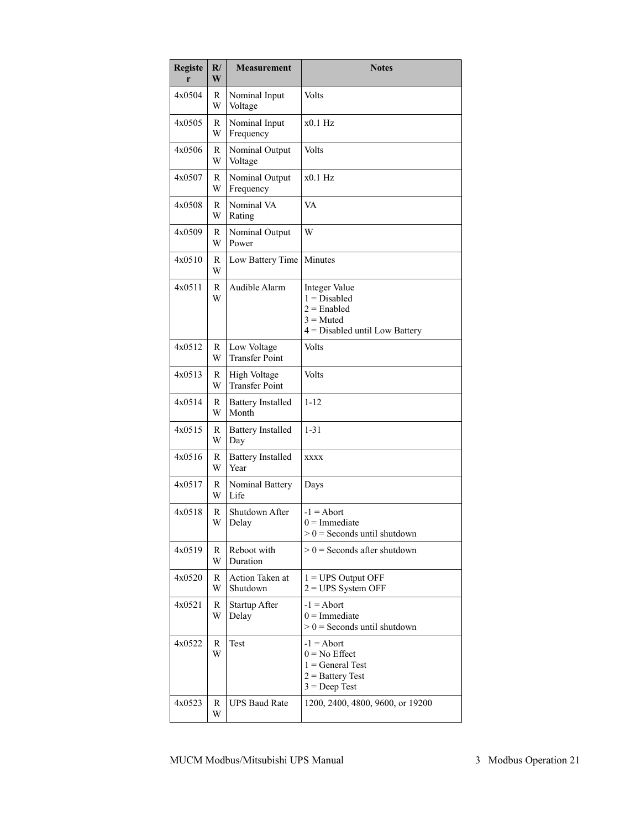| <b>Registe</b><br>r | $\mathbf{R}$<br>W | <b>Measurement</b>                    | <b>Notes</b>                                                                                        |
|---------------------|-------------------|---------------------------------------|-----------------------------------------------------------------------------------------------------|
| 4x0504              | R<br>W            | Nominal Input<br>Voltage              | Volts                                                                                               |
| 4x0505              | R<br>W            | Nominal Input<br>Frequency            | $x0.1$ Hz                                                                                           |
| 4x0506              | R<br>W            | Nominal Output<br>Voltage             | Volts                                                                                               |
| 4x0507              | R<br>W            | Nominal Output<br>Frequency           | x0.1 Hz                                                                                             |
| 4x0508              | R<br>W            | Nominal VA<br>Rating                  | VA                                                                                                  |
| 4x0509              | R<br>W            | Nominal Output<br>Power               | W                                                                                                   |
| 4x0510              | R<br>W            | Low Battery Time                      | Minutes                                                                                             |
| 4x0511              | R<br>W            | Audible Alarm                         | Integer Value<br>$1 = Disabled$<br>$2 =$ Enabled<br>$3 =$ Muted<br>$4 =$ Disabled until Low Battery |
| 4x0512              | R<br>W            | Low Voltage<br><b>Transfer Point</b>  | Volts                                                                                               |
| 4x0513              | R<br>W            | High Voltage<br><b>Transfer Point</b> | Volts                                                                                               |
| 4x0514              | R<br>W            | <b>Battery Installed</b><br>Month     | $1 - 12$                                                                                            |
| 4x0515              | R<br>W            | <b>Battery Installed</b><br>Day       | $1 - 31$                                                                                            |
| 4x0516              | R<br>W            | <b>Battery Installed</b><br>Year      | <b>XXXX</b>                                                                                         |
| 4x0517              | R<br>W            | Nominal Battery<br>Life               | Days                                                                                                |
| 4x0518              | R<br>W            | Shutdown After<br>Delay               | $-1 =$ Abort<br>$0 =$ Immediate<br>$> 0$ = Seconds until shutdown                                   |
| 4x0519              | R<br>W            | Reboot with<br>Duration               | $> 0$ = Seconds after shutdown                                                                      |
| 4x0520              | R<br>W            | Action Taken at<br>Shutdown           | $1 = UPS$ Output OFF<br>$2 = UPS$ System OFF                                                        |
| 4x0521              | R<br>W            | Startup After<br>Delay                | $-1 =$ Abort<br>$0 =$ Immediate<br>$> 0$ = Seconds until shutdown                                   |
| 4x0522              | R<br>W            | Test                                  | $-1 =$ Abort<br>$0 = No$ Effect<br>$1 = General Test$<br>$2 =$ Battery Test<br>$3 = Deep Test$      |
| 4x0523              | R<br>W            | <b>UPS Baud Rate</b>                  | 1200, 2400, 4800, 9600, or 19200                                                                    |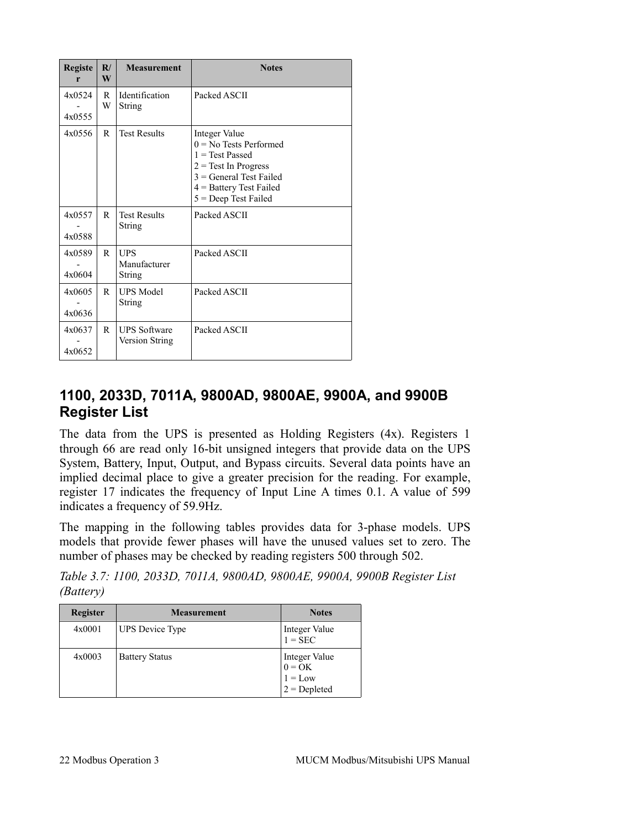| <b>Registe</b><br>r | R/<br>W | <b>Measurement</b>                          | <b>Notes</b>                                                                                                                                                                 |
|---------------------|---------|---------------------------------------------|------------------------------------------------------------------------------------------------------------------------------------------------------------------------------|
| 4x0524<br>4x0555    | R<br>W  | Identification<br>String                    | Packed ASCII                                                                                                                                                                 |
| 4x0556              | R       | <b>Test Results</b>                         | Integer Value<br>$0 = No$ Tests Performed<br>$1 = Test$ Passed<br>$2 = Test$ In Progress<br>$3$ = General Test Failed<br>$4$ = Battery Test Failed<br>$5 = Deep Test Failed$ |
| 4x0557<br>4x0588    | R       | <b>Test Results</b><br>String               | Packed ASCII                                                                                                                                                                 |
| 4x0589<br>4x0604    | R       | <b>UPS</b><br>Manufacturer<br><b>String</b> | Packed ASCII                                                                                                                                                                 |
| 4x0605<br>4x0636    | R       | <b>UPS Model</b><br>String                  | Packed ASCII                                                                                                                                                                 |
| 4x0637<br>4x0652    | R       | <b>UPS Software</b><br>Version String       | Packed ASCII                                                                                                                                                                 |

#### <span id="page-20-0"></span>**1100, 2033D, 7011A, 9800AD, 9800AE, 9900A, and 9900B Register List**

The data from the UPS is presented as Holding Registers (4x). Registers 1 through 66 are read only 16-bit unsigned integers that provide data on the UPS System, Battery, Input, Output, and Bypass circuits. Several data points have an implied decimal place to give a greater precision for the reading. For example, register 17 indicates the frequency of Input Line A times 0.1. A value of 599 indicates a frequency of 59.9Hz.

The mapping in the following tables provides data for 3-phase models. UPS models that provide fewer phases will have the unused values set to zero. The number of phases may be checked by reading registers 500 through 502.

*Table 3.7: 1100, 2033D, 7011A, 9800AD, 9800AE, 9900A, 9900B Register List (Battery)*

| <b>Register</b> | <b>Measurement</b>     | <b>Notes</b>                                                                     |
|-----------------|------------------------|----------------------------------------------------------------------------------|
| 4x0001          | <b>UPS</b> Device Type | Integer Value<br>$1 =$ SEC                                                       |
| 4x0003          | <b>Battery Status</b>  | Integer Value<br>$\begin{cases}\n0 = OK \\ 1 = Low \\ 2 = Depleted\n\end{cases}$ |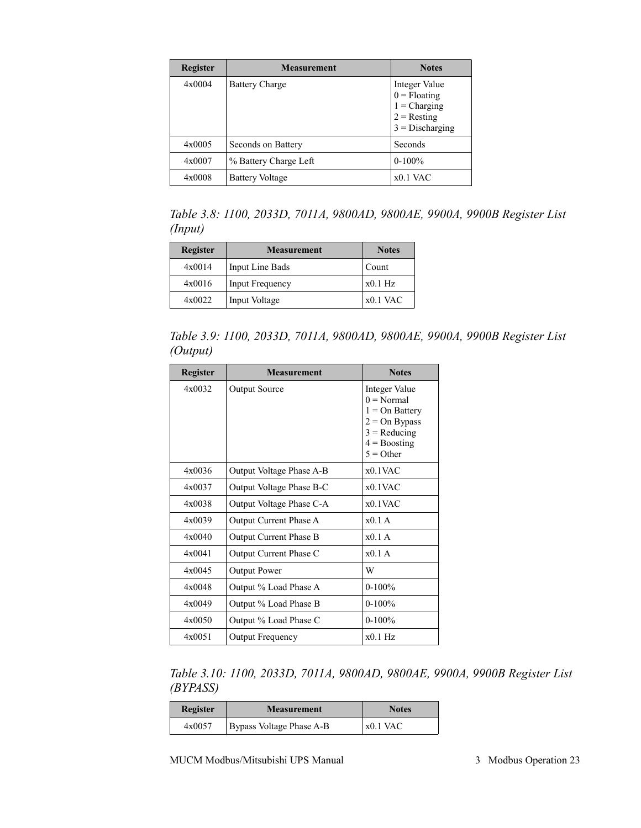| <b>Register</b> | <b>Measurement</b>     | <b>Notes</b>                                                                            |
|-----------------|------------------------|-----------------------------------------------------------------------------------------|
| 4x0004          | <b>Battery Charge</b>  | Integer Value<br>$0 =$ Floating<br>$1$ = Charging<br>$2 =$ Resting<br>$3 = Discharging$ |
| 4x0005          | Seconds on Battery     | Seconds                                                                                 |
| 4x0007          | % Battery Charge Left  | $0-100%$                                                                                |
| 4x0008          | <b>Battery Voltage</b> | $x0.1$ VAC                                                                              |

*Table 3.8: 1100, 2033D, 7011A, 9800AD, 9800AE, 9900A, 9900B Register List (Input)*

| Register | <b>Measurement</b>     | <b>Notes</b> |
|----------|------------------------|--------------|
| 4x0014   | Input Line Bads        | Count        |
| 4x0016   | <b>Input Frequency</b> | $x0.1$ Hz    |
| 4x0022   | Input Voltage          | $x0.1$ VAC   |

*Table 3.9: 1100, 2033D, 7011A, 9800AD, 9800AE, 9900A, 9900B Register List (Output)*

| <b>Register</b> | <b>Measurement</b>       | <b>Notes</b>                                                                                                            |
|-----------------|--------------------------|-------------------------------------------------------------------------------------------------------------------------|
| 4x0032          | <b>Output Source</b>     | Integer Value<br>$0 = Normal$<br>$1 = On$ Battery<br>$2 = On Bypass$<br>$3 =$ Reducing<br>$4 =$ Boosting<br>$5 =$ Other |
| 4x0036          | Output Voltage Phase A-B | x01VAC                                                                                                                  |
| 4x0037          | Output Voltage Phase B-C | $x0.1$ VAC                                                                                                              |
| 4x0038          | Output Voltage Phase C-A | $x0.1$ VAC                                                                                                              |
| 4x0039          | Output Current Phase A   | $x0.1$ A                                                                                                                |
| 4x0040          | Output Current Phase B   | x01A                                                                                                                    |
| 4x0041          | Output Current Phase C   | $x0.1$ A                                                                                                                |
| 4x0045          | <b>Output Power</b>      | W                                                                                                                       |
| 4x0048          | Output % Load Phase A    | $0-100%$                                                                                                                |
| 4x0049          | Output % Load Phase B    | $0 - 100%$                                                                                                              |
| 4x0050          | Output % Load Phase C    | $0-100%$                                                                                                                |
| 4x0051          | Output Frequency         | x01Hz                                                                                                                   |

*Table 3.10: 1100, 2033D, 7011A, 9800AD, 9800AE, 9900A, 9900B Register List (BYPASS)*

| Register | <b>Measurement</b>       | <b>Notes</b> |
|----------|--------------------------|--------------|
| 4x0057   | Bypass Voltage Phase A-B | $x0.1$ VAC   |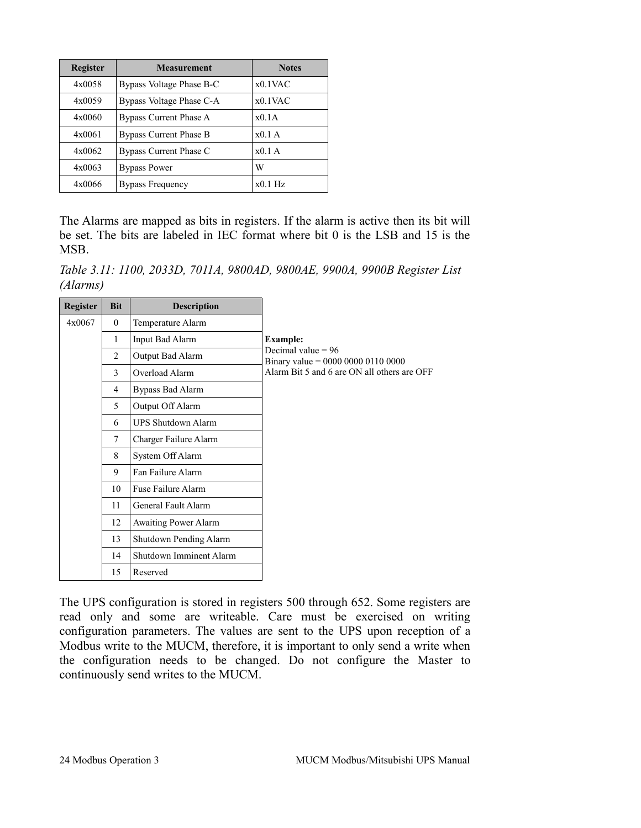| <b>Register</b> | <b>Measurement</b>            | <b>Notes</b> |
|-----------------|-------------------------------|--------------|
| 4x0058          | Bypass Voltage Phase B-C      | $x0.1$ VAC   |
| 4x0059          | Bypass Voltage Phase C-A      | $x0.1$ VAC   |
| 4x0060          | Bypass Current Phase A        | x0.1A        |
| 4x0061          | <b>Bypass Current Phase B</b> | $x0.1$ A     |
| 4x0062          | Bypass Current Phase C        | $x0.1$ A     |
| 4x0063          | <b>Bypass Power</b>           | W            |
| 4x0066          | <b>Bypass Frequency</b>       | $x0.1$ Hz    |

The Alarms are mapped as bits in registers. If the alarm is active then its bit will be set. The bits are labeled in IEC format where bit 0 is the LSB and 15 is the **MSB** 

*Table 3.11: 1100, 2033D, 7011A, 9800AD, 9800AE, 9900A, 9900B Register List (Alarms)*

| Register | <b>Bit</b> | <b>Description</b>        |                                                            |
|----------|------------|---------------------------|------------------------------------------------------------|
| 4x0067   | $\theta$   | Temperature Alarm         |                                                            |
|          | 1          | Input Bad Alarm           | <b>Example:</b>                                            |
|          | 2          | Output Bad Alarm          | Decimal value $= 96$<br>Binary value = 0000 0000 0110 0000 |
|          | 3          | Overload Alarm            | Alarm Bit 5 and 6 are ON all others are OFF                |
|          | 4          | Bypass Bad Alarm          |                                                            |
|          | 5          | Output Off Alarm          |                                                            |
|          | 6          | <b>UPS Shutdown Alarm</b> |                                                            |
|          | $\tau$     | Charger Failure Alarm     |                                                            |
|          | 8          | System Off Alarm          |                                                            |
|          | 9          | Fan Failure Alarm         |                                                            |
|          | 10         | Fuse Failure Alarm        |                                                            |
|          | 11         | General Fault Alarm       |                                                            |
|          | 12         | Awaiting Power Alarm      |                                                            |
|          | 13         | Shutdown Pending Alarm    |                                                            |
|          | 14         | Shutdown Imminent Alarm   |                                                            |
|          | 15         | Reserved                  |                                                            |

The UPS configuration is stored in registers 500 through 652. Some registers are read only and some are writeable. Care must be exercised on writing configuration parameters. The values are sent to the UPS upon reception of a Modbus write to the MUCM, therefore, it is important to only send a write when the configuration needs to be changed. Do not configure the Master to continuously send writes to the MUCM.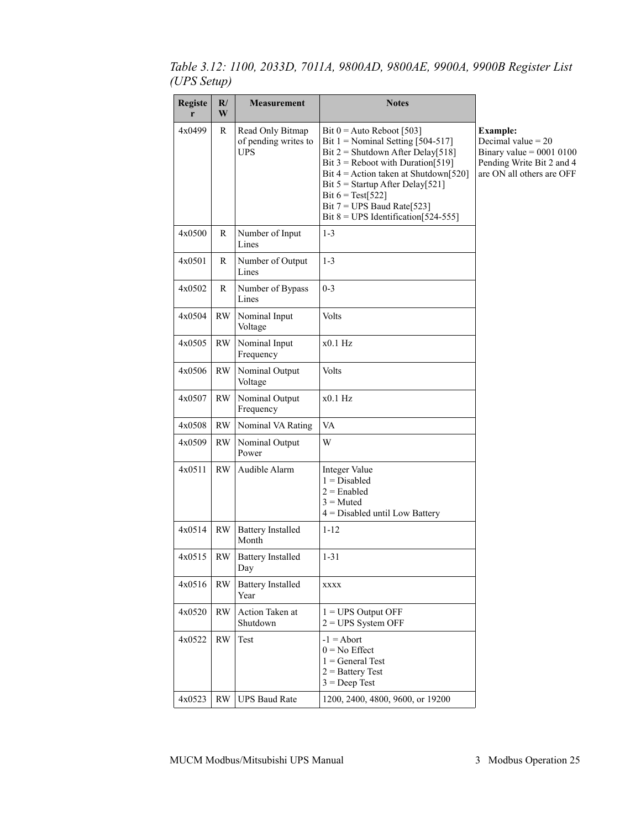| <b>Registe</b><br>r | $\mathbf{R}/$<br>W | <b>Measurement</b>                                     | <b>Notes</b>                                                                                                                                                                                                                                                                                                                           |                                                                                                                                 |
|---------------------|--------------------|--------------------------------------------------------|----------------------------------------------------------------------------------------------------------------------------------------------------------------------------------------------------------------------------------------------------------------------------------------------------------------------------------------|---------------------------------------------------------------------------------------------------------------------------------|
| 4x0499              | R                  | Read Only Bitmap<br>of pending writes to<br><b>UPS</b> | Bit $0 =$ Auto Reboot [503]<br>Bit $1 =$ Nominal Setting [504-517]<br>Bit $2 =$ Shutdown After Delay [518]<br>Bit $3$ = Reboot with Duration [519]<br>Bit $4 =$ Action taken at Shutdown [520]<br>Bit $5 =$ Startup After Delay[521]<br>Bit $6 = Test[522]$<br>Bit $7 = UPS$ Baud Rate [523]<br>Bit $8 = UPS$ Identification [524-555] | <b>Example:</b><br>Decimal value $= 20$<br>Binary value = $0001$ 0100<br>Pending Write Bit 2 and 4<br>are ON all others are OFF |
| 4x0500              | R                  | Number of Input<br>Lines                               | $1 - 3$                                                                                                                                                                                                                                                                                                                                |                                                                                                                                 |
| 4x0501              | R                  | Number of Output<br>Lines                              | $1 - 3$                                                                                                                                                                                                                                                                                                                                |                                                                                                                                 |
| 4x0502              | R                  | Number of Bypass<br>Lines                              | $0 - 3$                                                                                                                                                                                                                                                                                                                                |                                                                                                                                 |
| 4x0504              | RW                 | Nominal Input<br>Voltage                               | Volts                                                                                                                                                                                                                                                                                                                                  |                                                                                                                                 |
| 4x0505              | <b>RW</b>          | Nominal Input<br>Frequency                             | $x0.1$ Hz                                                                                                                                                                                                                                                                                                                              |                                                                                                                                 |
| 4x0506              | <b>RW</b>          | Nominal Output<br>Voltage                              | Volts                                                                                                                                                                                                                                                                                                                                  |                                                                                                                                 |
| 4x0507              | <b>RW</b>          | Nominal Output<br>Frequency                            | $x0.1$ Hz                                                                                                                                                                                                                                                                                                                              |                                                                                                                                 |
| 4x0508              | <b>RW</b>          | Nominal VA Rating                                      | VA                                                                                                                                                                                                                                                                                                                                     |                                                                                                                                 |
| 4x0509              | <b>RW</b>          | Nominal Output<br>Power                                | W                                                                                                                                                                                                                                                                                                                                      |                                                                                                                                 |
| 4x0511              | <b>RW</b>          | Audible Alarm                                          | Integer Value<br>$1 = Disabeled$<br>$2 =$ Enabled<br>$3$ = Muted<br>$4 =$ Disabled until Low Battery                                                                                                                                                                                                                                   |                                                                                                                                 |
| 4x0514              | <b>RW</b>          | <b>Battery Installed</b><br>Month                      | $1 - 12$                                                                                                                                                                                                                                                                                                                               |                                                                                                                                 |
| $4x0515$            | RW.                | <b>Battery Installed</b><br>Day                        | $1 - 31$                                                                                                                                                                                                                                                                                                                               |                                                                                                                                 |
| 4x0516              | RW                 | <b>Battery Installed</b><br>Year                       | XXXX                                                                                                                                                                                                                                                                                                                                   |                                                                                                                                 |
| 4x0520              | <b>RW</b>          | Action Taken at<br>Shutdown                            | $1 = UPS$ Output OFF<br>$2 = UPS$ System OFF                                                                                                                                                                                                                                                                                           |                                                                                                                                 |
| 4x0522              | <b>RW</b>          | Test                                                   | $-1 =$ Abort<br>$0 = No$ Effect<br>$1 = General Test$<br>$2 =$ Battery Test<br>$3 = Deep Test$                                                                                                                                                                                                                                         |                                                                                                                                 |
| 4x0523              | <b>RW</b>          | <b>UPS Baud Rate</b>                                   | 1200, 2400, 4800, 9600, or 19200                                                                                                                                                                                                                                                                                                       |                                                                                                                                 |

*Table 3.12: 1100, 2033D, 7011A, 9800AD, 9800AE, 9900A, 9900B Register List (UPS Setup)*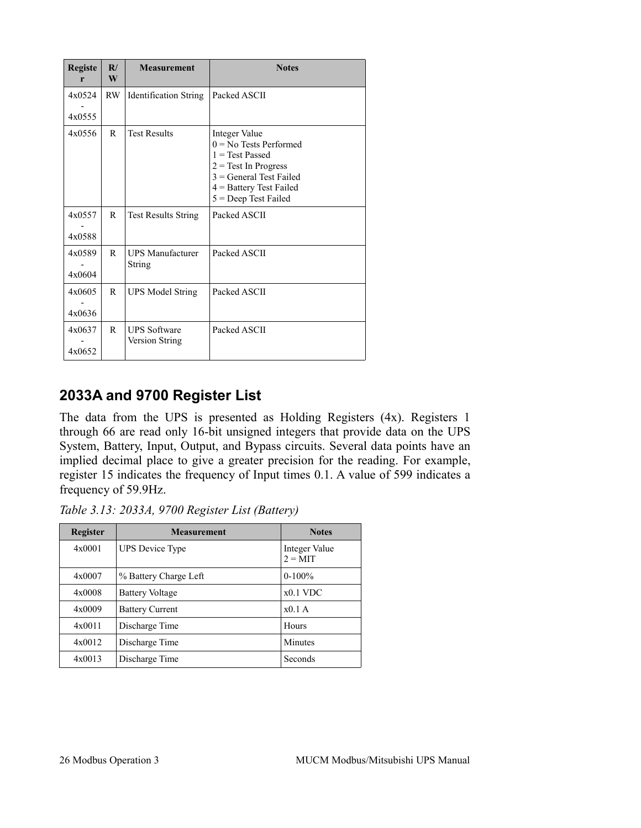| <b>Registe</b><br>r | R/<br>W | <b>Measurement</b>                           | <b>Notes</b>                                                                                                                                                                 |
|---------------------|---------|----------------------------------------------|------------------------------------------------------------------------------------------------------------------------------------------------------------------------------|
| 4x0524              | RW.     | <b>Identification String</b>                 | Packed ASCII                                                                                                                                                                 |
| 4x0555              |         |                                              |                                                                                                                                                                              |
| 4x0556              | R       | <b>Test Results</b>                          | Integer Value<br>$0 = No$ Tests Performed<br>$1 = Test$ Passed<br>$2 = Test$ In Progress<br>$3 = General Test Failed$<br>$4 =$ Battery Test Failed<br>$5 = Deep Test Failed$ |
| 4x0557<br>4x0588    | R       | <b>Test Results String</b>                   | Packed ASCII                                                                                                                                                                 |
| 4x0589<br>4x0604    | R       | <b>UPS Manufacturer</b><br><b>String</b>     | Packed ASCII                                                                                                                                                                 |
| 4x0605<br>4x0636    | R       | <b>UPS Model String</b>                      | Packed ASCII                                                                                                                                                                 |
| 4x0637<br>4x0652    | R       | <b>UPS Software</b><br><b>Version String</b> | Packed ASCII                                                                                                                                                                 |

### <span id="page-24-0"></span>**2033A and 9700 Register List**

The data from the UPS is presented as Holding Registers (4x). Registers 1 through 66 are read only 16-bit unsigned integers that provide data on the UPS System, Battery, Input, Output, and Bypass circuits. Several data points have an implied decimal place to give a greater precision for the reading. For example, register 15 indicates the frequency of Input times 0.1. A value of 599 indicates a frequency of 59.9Hz.

*Table 3.13: 2033A, 9700 Register List (Battery)*

| <b>Register</b> | <b>Measurement</b>        | <b>Notes</b>               |  |
|-----------------|---------------------------|----------------------------|--|
| 4x0001          | <b>UPS</b> Device Type    | Integer Value<br>$2 = MIT$ |  |
| 4x0007          | % Battery Charge Left     | $0-100\%$                  |  |
| $4 \times 0008$ | <b>Battery Voltage</b>    | $x0.1$ VDC                 |  |
| 4x0009          | <b>Battery Current</b>    | $x0.1$ A                   |  |
| 4x0011          | Discharge Time            | <b>Hours</b>               |  |
| 4x0012          | Discharge Time            | Minutes                    |  |
| 4x0013          | Discharge Time<br>Seconds |                            |  |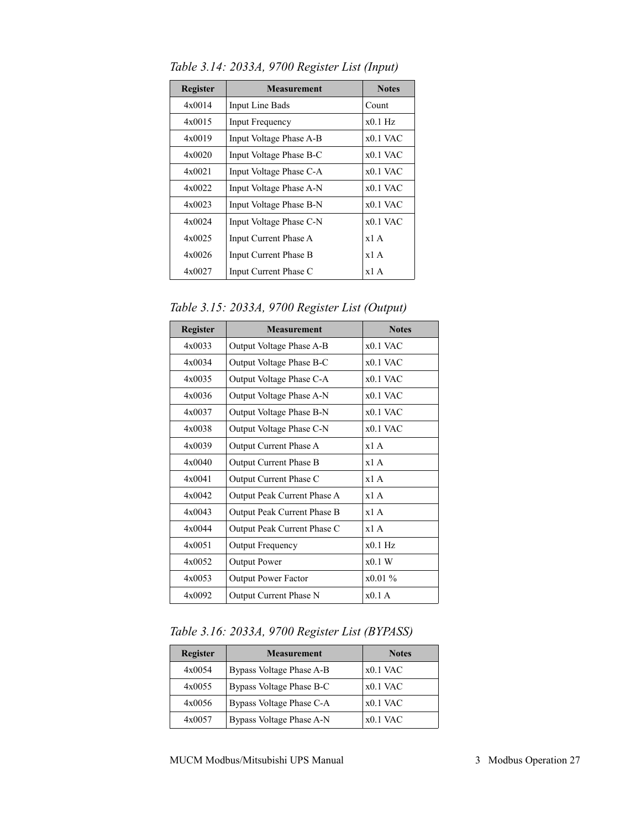| <b>Register</b> | <b>Measurement</b>      | <b>Notes</b> |
|-----------------|-------------------------|--------------|
| 4x0014          | Input Line Bads         | Count        |
| 4x0015          | Input Frequency         | $x0.1$ Hz    |
| 4x0019          | Input Voltage Phase A-B | $x0.1$ VAC   |
| 4x0020          | Input Voltage Phase B-C | $x0.1$ VAC   |
| 4x0021          | Input Voltage Phase C-A | $x0.1$ VAC   |
| 4x0022          | Input Voltage Phase A-N | $x0.1$ VAC   |
| 4x0023          | Input Voltage Phase B-N | $x0.1$ VAC   |
| 4x0024          | Input Voltage Phase C-N | $x0.1$ VAC   |
| 4x0025          | Input Current Phase A   | x1A          |
| 4x0026          | Input Current Phase B   | x1A          |
| 4x0027          | Input Current Phase C   | x1A          |

*Table 3.14: 2033A, 9700 Register List (Input)*

*Table 3.15: 2033A, 9700 Register List (Output)*

| <b>Register</b> | <b>Measurement</b>                      | <b>Notes</b> |  |
|-----------------|-----------------------------------------|--------------|--|
| 4x0033          | Output Voltage Phase A-B                | $x0.1$ VAC   |  |
| 4x0034          | Output Voltage Phase B-C                | $x0.1$ VAC   |  |
| 4x0035          | Output Voltage Phase C-A                | $x0.1$ VAC   |  |
| 4x0036          | Output Voltage Phase A-N                | $x01$ VAC    |  |
| 4x0037          | Output Voltage Phase B-N                | $x0.1$ VAC   |  |
| 4x0038          | Output Voltage Phase C-N                | $x0.1$ VAC   |  |
| 4x0039          | Output Current Phase A                  | x1A          |  |
| 4x0040          | <b>Output Current Phase B</b>           | x1A          |  |
| 4x0041          | Output Current Phase C                  | x1A          |  |
| 4x0042          | Output Peak Current Phase A             | x1A          |  |
| 4x0043          | Output Peak Current Phase B             | x1A          |  |
| 4x0044          | Output Peak Current Phase C             | x1A          |  |
| 4x0051          | Output Frequency                        | $x0.1$ Hz    |  |
| 4x0052          | <b>Output Power</b>                     | x0.1 W       |  |
| 4x0053          | $x0.01\%$<br><b>Output Power Factor</b> |              |  |
| 4x0092          | x01A<br>Output Current Phase N          |              |  |

*Table 3.16: 2033A, 9700 Register List (BYPASS)*

| Register | <b>Measurement</b>       | <b>Notes</b> |
|----------|--------------------------|--------------|
| 4x0054   | Bypass Voltage Phase A-B | $x0.1$ VAC   |
| 4x0055   | Bypass Voltage Phase B-C | $x0.1$ VAC   |
| 4x0056   | Bypass Voltage Phase C-A | $x0.1$ VAC   |
| 4x0057   | Bypass Voltage Phase A-N | $x0.1$ VAC   |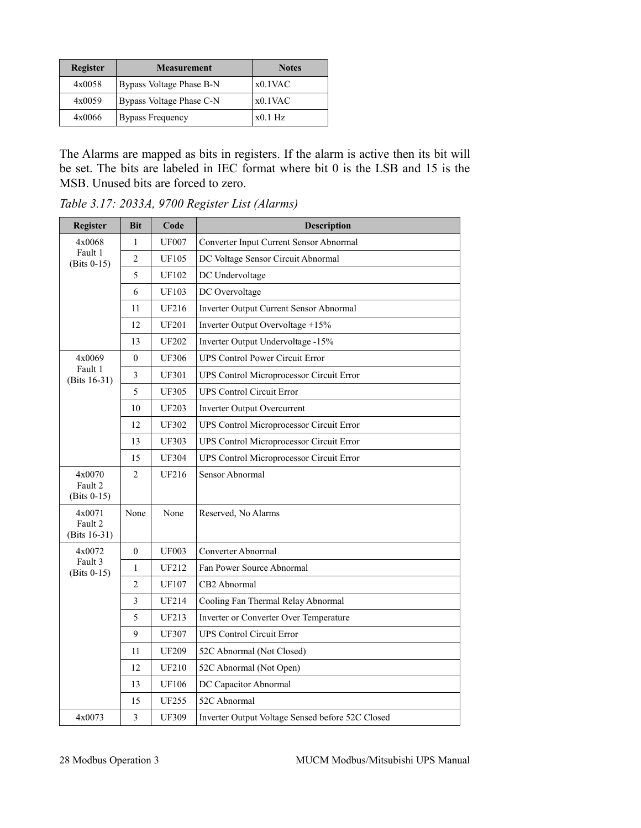| Register | <b>Measurement</b>       | <b>Notes</b> |
|----------|--------------------------|--------------|
| 4x0058   | Bypass Voltage Phase B-N | $x0.1$ VAC   |
| 4x0059   | Bypass Voltage Phase C-N | $x0.1$ VAC   |
| 4x0066   | <b>Bypass Frequency</b>  | $x0.1$ Hz    |

The Alarms are mapped as bits in registers. If the alarm is active then its bit will be set. The bits are labeled in IEC format where bit 0 is the LSB and 15 is the MSB. Unused bits are forced to zero.

| Register                           | <b>Bit</b>       | Code         | <b>Description</b>                               |
|------------------------------------|------------------|--------------|--------------------------------------------------|
| 4x0068                             | $\mathbf{1}$     | <b>UF007</b> | Converter Input Current Sensor Abnormal          |
| Fault 1<br>$(Bits 0-15)$           | $\boldsymbol{2}$ | <b>UF105</b> | DC Voltage Sensor Circuit Abnormal               |
|                                    | 5                | <b>UF102</b> | DC Undervoltage                                  |
|                                    | 6                | <b>UF103</b> | DC Overvoltage                                   |
|                                    | 11               | <b>UF216</b> | Inverter Output Current Sensor Abnormal          |
|                                    | 12               | <b>UF201</b> | Inverter Output Overvoltage +15%                 |
|                                    | 13               | <b>UF202</b> | Inverter Output Undervoltage -15%                |
| 4x0069                             | $\mathbf{0}$     | <b>UF306</b> | <b>UPS Control Power Circuit Error</b>           |
| Fault 1<br>(Bits $16-31$ )         | 3                | <b>UF301</b> | UPS Control Microprocessor Circuit Error         |
|                                    | 5                | <b>UF305</b> | <b>UPS Control Circuit Error</b>                 |
|                                    | 10               | <b>UF203</b> | Inverter Output Overcurrent                      |
|                                    | 12               | <b>UF302</b> | UPS Control Microprocessor Circuit Error         |
|                                    | 13               | <b>UF303</b> | UPS Control Microprocessor Circuit Error         |
|                                    | 15               | <b>UF304</b> | UPS Control Microprocessor Circuit Error         |
| 4x0070<br>Fault 2<br>$(Bits 0-15)$ | $\overline{c}$   | <b>UF216</b> | Sensor Abnormal                                  |
| 4x0071<br>Fault 2<br>(Bits 16-31)  | None             | None         | Reserved, No Alarms                              |
| 4x0072                             | $\theta$         | <b>UF003</b> | Converter Abnormal                               |
| Fault 3<br>$(Bits 0-15)$           | $\mathbf{1}$     | <b>UF212</b> | Fan Power Source Abnormal                        |
|                                    | 2                | <b>UF107</b> | CB2 Abnormal                                     |
|                                    | 3                | <b>UF214</b> | Cooling Fan Thermal Relay Abnormal               |
|                                    | 5                | UF213        | Inverter or Converter Over Temperature           |
|                                    | 9                | <b>UF307</b> | <b>UPS Control Circuit Error</b>                 |
|                                    | 11               | <b>UF209</b> | 52C Abnormal (Not Closed)                        |
|                                    | 12               | <b>UF210</b> | 52C Abnormal (Not Open)                          |
|                                    | 13               | <b>UF106</b> | DC Capacitor Abnormal                            |
|                                    | 15               | <b>UF255</b> | 52C Abnormal                                     |
| 4x0073                             | 3                | <b>UF309</b> | Inverter Output Voltage Sensed before 52C Closed |

*Table 3.17: 2033A, 9700 Register List (Alarms)*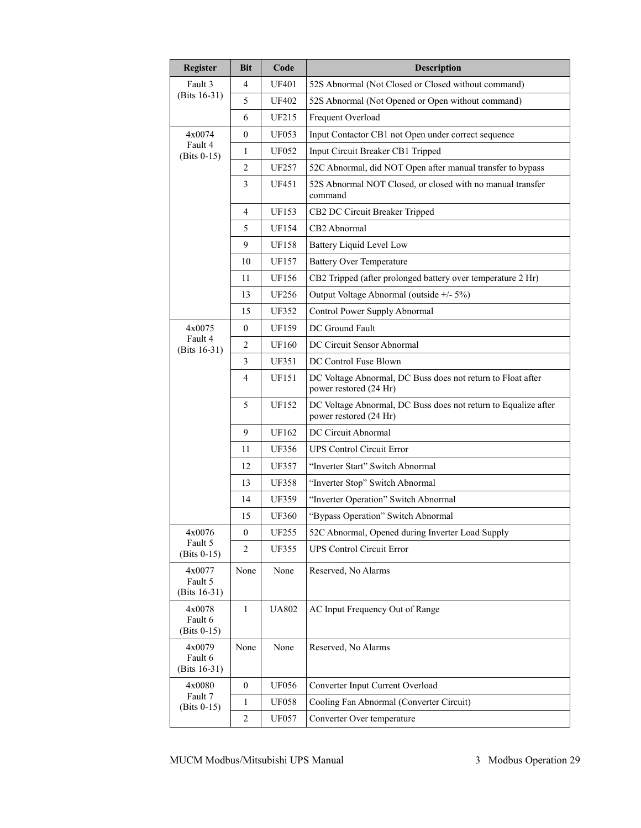| Register                             | <b>Bit</b>       | Code         | Description                                                                              |
|--------------------------------------|------------------|--------------|------------------------------------------------------------------------------------------|
| Fault 3                              | 4                | <b>UF401</b> | 52S Abnormal (Not Closed or Closed without command)                                      |
| (Bits 16-31)                         | 5                | <b>UF402</b> | 52S Abnormal (Not Opened or Open without command)                                        |
|                                      | 6                | <b>UF215</b> | Frequent Overload                                                                        |
| 4x0074                               | 0                | <b>UF053</b> | Input Contactor CB1 not Open under correct sequence                                      |
| Fault 4<br>$(Bits 0-15)$             | 1                | <b>UF052</b> | Input Circuit Breaker CB1 Tripped                                                        |
|                                      | $\overline{c}$   | <b>UF257</b> | 52C Abnormal, did NOT Open after manual transfer to bypass                               |
|                                      | 3                | UF451        | 52S Abnormal NOT Closed, or closed with no manual transfer<br>command                    |
|                                      | 4                | UF153        | CB2 DC Circuit Breaker Tripped                                                           |
|                                      | 5                | <b>UF154</b> | CB2 Abnormal                                                                             |
|                                      | 9                | <b>UF158</b> | Battery Liquid Level Low                                                                 |
|                                      | 10               | UF157        | <b>Battery Over Temperature</b>                                                          |
|                                      | 11               | <b>UF156</b> | CB2 Tripped (after prolonged battery over temperature 2 Hr)                              |
|                                      | 13               | <b>UF256</b> | Output Voltage Abnormal (outside +/- 5%)                                                 |
|                                      | 15               | <b>UF352</b> | Control Power Supply Abnormal                                                            |
| 4x0075                               | $\boldsymbol{0}$ | <b>UF159</b> | DC Ground Fault                                                                          |
| Fault 4<br>(Bits 16-31)              | 2                | <b>UF160</b> | DC Circuit Sensor Abnormal                                                               |
|                                      | 3                | <b>UF351</b> | DC Control Fuse Blown                                                                    |
|                                      | 4                | UF151        | DC Voltage Abnormal, DC Buss does not return to Float after<br>power restored (24 Hr)    |
|                                      | 5                | <b>UF152</b> | DC Voltage Abnormal, DC Buss does not return to Equalize after<br>power restored (24 Hr) |
|                                      | 9                | UF162        | DC Circuit Abnormal                                                                      |
|                                      | 11               | <b>UF356</b> | <b>UPS Control Circuit Error</b>                                                         |
|                                      | 12               | <b>UF357</b> | "Inverter Start" Switch Abnormal                                                         |
|                                      | 13               | <b>UF358</b> | "Inverter Stop" Switch Abnormal                                                          |
|                                      | 14               | <b>UF359</b> | "Inverter Operation" Switch Abnormal                                                     |
|                                      | 15               | <b>UF360</b> | "Bypass Operation" Switch Abnormal                                                       |
| 4x0076                               | $\boldsymbol{0}$ | <b>UF255</b> | 52C Abnormal, Opened during Inverter Load Supply                                         |
| Fault 5<br>$(Bits 0-15)$             | 2                | <b>UF355</b> | <b>UPS Control Circuit Error</b>                                                         |
| 4x0077<br>Fault 5<br>(Bits 16-31)    | None             | None         | Reserved, No Alarms                                                                      |
| 4x0078<br>Fault 6<br>$(Bits 0-15)$   | $\mathbf{1}$     | <b>UA802</b> | AC Input Frequency Out of Range                                                          |
| 4x0079<br>Fault 6<br>(Bits $16-31$ ) | None             | None         | Reserved, No Alarms                                                                      |
| 4x0080                               | $\boldsymbol{0}$ | <b>UF056</b> | Converter Input Current Overload                                                         |
| Fault 7<br>$(Bits 0-15)$             | 1                | <b>UF058</b> | Cooling Fan Abnormal (Converter Circuit)                                                 |
|                                      | 2                | <b>UF057</b> | Converter Over temperature                                                               |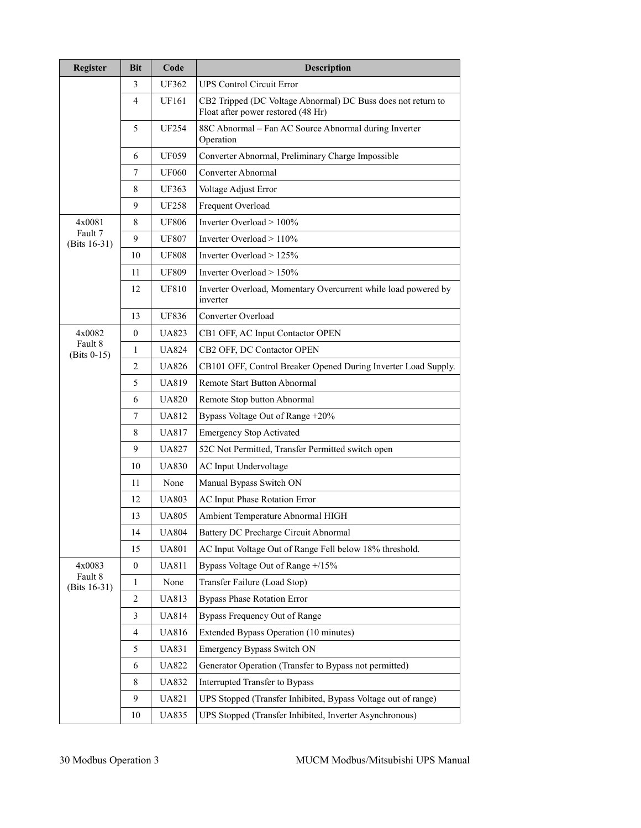| <b>Register</b>           | <b>Bit</b> | Code         | Description                                                                                        |
|---------------------------|------------|--------------|----------------------------------------------------------------------------------------------------|
|                           | 3          | UF362        | <b>UPS Control Circuit Error</b>                                                                   |
|                           | 4          | UF161        | CB2 Tripped (DC Voltage Abnormal) DC Buss does not return to<br>Float after power restored (48 Hr) |
|                           | 5          | <b>UF254</b> | 88C Abnormal - Fan AC Source Abnormal during Inverter<br>Operation                                 |
|                           | 6          | <b>UF059</b> | Converter Abnormal, Preliminary Charge Impossible                                                  |
|                           | 7          | <b>UF060</b> | Converter Abnormal                                                                                 |
|                           | 8          | <b>UF363</b> | Voltage Adjust Error                                                                               |
|                           | 9          | <b>UF258</b> | Frequent Overload                                                                                  |
| 4x0081                    | 8          | <b>UF806</b> | Inverter Overload > 100%                                                                           |
| Fault 7<br>(Bits 16-31)   | 9          | <b>UF807</b> | Inverter Overload $> 110\%$                                                                        |
|                           | 10         | <b>UF808</b> | Inverter Overload > 125%                                                                           |
|                           | 11         | <b>UF809</b> | Inverter Overload $> 150\%$                                                                        |
|                           | 12         | <b>UF810</b> | Inverter Overload, Momentary Overcurrent while load powered by<br>inverter                         |
|                           | 13         | <b>UF836</b> | Converter Overload                                                                                 |
| 4x0082                    | $\theta$   | <b>UA823</b> | CB1 OFF, AC Input Contactor OPEN                                                                   |
| Fault 8<br>$(Bits 0-15)$  | 1          | <b>UA824</b> | CB2 OFF, DC Contactor OPEN                                                                         |
|                           | 2          | <b>UA826</b> | CB101 OFF, Control Breaker Opened During Inverter Load Supply.                                     |
|                           | 5          | <b>UA819</b> | Remote Start Button Abnormal                                                                       |
|                           | 6          | <b>UA820</b> | Remote Stop button Abnormal                                                                        |
|                           | 7          | <b>UA812</b> | Bypass Voltage Out of Range +20%                                                                   |
|                           | 8          | <b>UA817</b> | <b>Emergency Stop Activated</b>                                                                    |
|                           | 9          | <b>UA827</b> | 52C Not Permitted, Transfer Permitted switch open                                                  |
|                           | 10         | <b>UA830</b> | AC Input Undervoltage                                                                              |
|                           | 11         | None         | Manual Bypass Switch ON                                                                            |
|                           | 12         | <b>UA803</b> | AC Input Phase Rotation Error                                                                      |
|                           | 13         | <b>UA805</b> | Ambient Temperature Abnormal HIGH                                                                  |
|                           | 14         | <b>UA804</b> | Battery DC Precharge Circuit Abnormal                                                              |
|                           | 15         | <b>UA801</b> | AC Input Voltage Out of Range Fell below 18% threshold.                                            |
| 4x0083                    | 0          | <b>UA811</b> | Bypass Voltage Out of Range +/15%                                                                  |
| Fault 8<br>$(Bits 16-31)$ | 1          | None         | Transfer Failure (Load Stop)                                                                       |
|                           | 2          | <b>UA813</b> | <b>Bypass Phase Rotation Error</b>                                                                 |
|                           | 3          | <b>UA814</b> | Bypass Frequency Out of Range                                                                      |
|                           | 4          | <b>UA816</b> | Extended Bypass Operation (10 minutes)                                                             |
|                           | 5          | <b>UA831</b> | Emergency Bypass Switch ON                                                                         |
|                           | 6          | <b>UA822</b> | Generator Operation (Transfer to Bypass not permitted)                                             |
|                           | 8          | <b>UA832</b> | Interrupted Transfer to Bypass                                                                     |
|                           | 9          | UA821        | UPS Stopped (Transfer Inhibited, Bypass Voltage out of range)                                      |
|                           | 10         | UA835        | UPS Stopped (Transfer Inhibited, Inverter Asynchronous)                                            |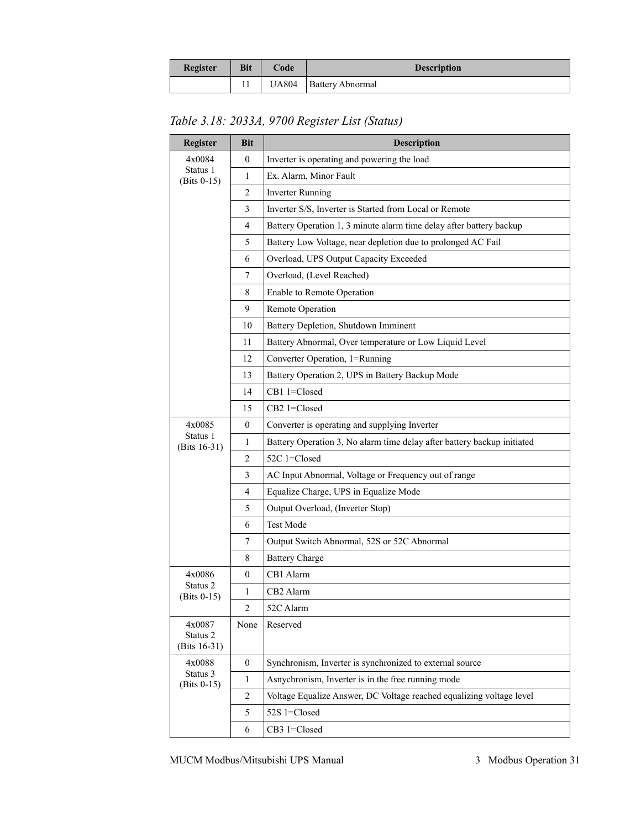| <b>Register</b> | <b>Bit</b> | Code | <b>Description</b>       |  |
|-----------------|------------|------|--------------------------|--|
|                 |            |      | UA804   Battery Abnormal |  |

*Table 3.18: 2033A, 9700 Register List (Status)*

| <b>Register</b>             | <b>Bit</b>     | <b>Description</b>                                                      |  |  |  |
|-----------------------------|----------------|-------------------------------------------------------------------------|--|--|--|
| 4x0084                      | $\mathbf{0}$   | Inverter is operating and powering the load                             |  |  |  |
| Status 1<br>$(Bits 0-15)$   | $\mathbf{1}$   | Ex. Alarm, Minor Fault                                                  |  |  |  |
|                             | 2              | <b>Inverter Running</b>                                                 |  |  |  |
|                             | 3              | Inverter S/S, Inverter is Started from Local or Remote                  |  |  |  |
|                             | 4              | Battery Operation 1, 3 minute alarm time delay after battery backup     |  |  |  |
|                             | 5              | Battery Low Voltage, near depletion due to prolonged AC Fail            |  |  |  |
|                             | 6              | Overload, UPS Output Capacity Exceeded                                  |  |  |  |
|                             | 7              | Overload, (Level Reached)                                               |  |  |  |
|                             | 8              | Enable to Remote Operation                                              |  |  |  |
|                             | 9              | Remote Operation                                                        |  |  |  |
|                             | 10             | Battery Depletion, Shutdown Imminent                                    |  |  |  |
|                             | 11             | Battery Abnormal, Over temperature or Low Liquid Level                  |  |  |  |
|                             | 12             | Converter Operation, 1=Running                                          |  |  |  |
|                             | 13             | Battery Operation 2, UPS in Battery Backup Mode                         |  |  |  |
|                             | 14             | CB1 1=Closed                                                            |  |  |  |
|                             | 15             | CB2 1=Closed                                                            |  |  |  |
| 4x0085                      | $\mathbf{0}$   | Converter is operating and supplying Inverter                           |  |  |  |
| Status 1<br>(Bits 16-31)    | 1              | Battery Operation 3, No alarm time delay after battery backup initiated |  |  |  |
|                             | 2              | 52C 1=Closed                                                            |  |  |  |
|                             | 3              | AC Input Abnormal, Voltage or Frequency out of range                    |  |  |  |
|                             | 4              | Equalize Charge, UPS in Equalize Mode                                   |  |  |  |
|                             | 5              | Output Overload, (Inverter Stop)                                        |  |  |  |
|                             | 6              | <b>Test Mode</b>                                                        |  |  |  |
|                             | 7              | Output Switch Abnormal, 52S or 52C Abnormal                             |  |  |  |
|                             | 8              | <b>Battery Charge</b>                                                   |  |  |  |
| 4x0086                      | $\mathbf{0}$   | CB1 Alarm                                                               |  |  |  |
| Status 2<br>$(Bits 0-15)$   | 1              | CB2 Alarm                                                               |  |  |  |
|                             | $\overline{c}$ | 52C Alarm                                                               |  |  |  |
| 4x0087                      | None           | Reserved                                                                |  |  |  |
| Status 2<br>(Bits $16-31$ ) |                |                                                                         |  |  |  |
| 4x0088                      | $\mathbf{0}$   | Synchronism, Inverter is synchronized to external source                |  |  |  |
| Status 3<br>$(Bits 0-15)$   | 1              | Asnychronism, Inverter is in the free running mode                      |  |  |  |
|                             | $\overline{2}$ | Voltage Equalize Answer, DC Voltage reached equalizing voltage level    |  |  |  |
|                             | 5              | 52S 1=Closed                                                            |  |  |  |
|                             | 6              | CB3 1=Closed                                                            |  |  |  |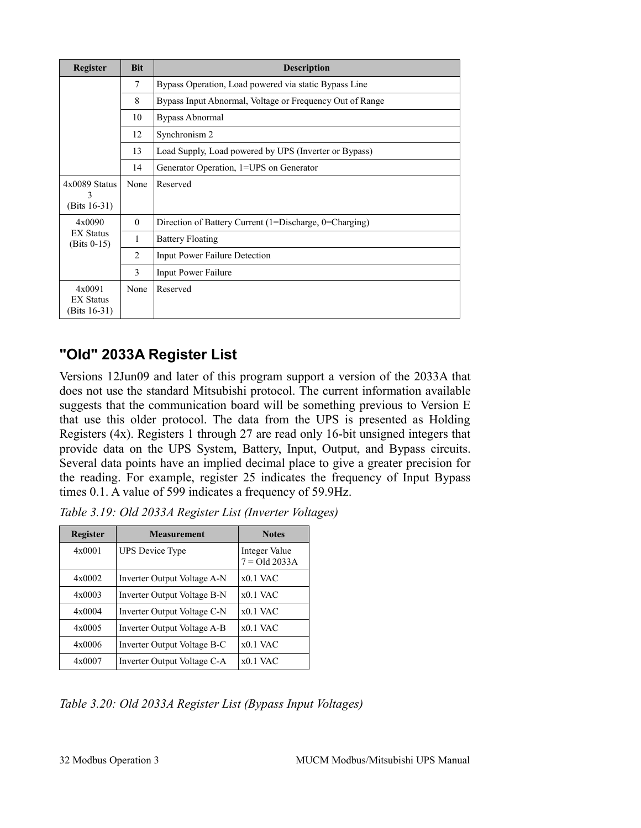| Register                                      | <b>Bit</b>                                          | <b>Description</b>                                       |  |  |
|-----------------------------------------------|-----------------------------------------------------|----------------------------------------------------------|--|--|
|                                               | 7                                                   | Bypass Operation, Load powered via static Bypass Line    |  |  |
|                                               | 8                                                   | Bypass Input Abnormal, Voltage or Frequency Out of Range |  |  |
|                                               | <b>Bypass Abnormal</b><br>10<br>Synchronism 2<br>12 |                                                          |  |  |
|                                               |                                                     |                                                          |  |  |
|                                               | 13                                                  | Load Supply, Load powered by UPS (Inverter or Bypass)    |  |  |
|                                               | 14                                                  | Generator Operation, 1=UPS on Generator                  |  |  |
| $4x0089$ Status                               | None                                                | Reserved                                                 |  |  |
| 3<br>(Bits $16-31$ )                          |                                                     |                                                          |  |  |
| 4x0090                                        | $\theta$                                            | Direction of Battery Current (1=Discharge, 0=Charging)   |  |  |
| <b>EX Status</b><br>$(Bits 0-15)$             | 1                                                   | <b>Battery Floating</b>                                  |  |  |
|                                               | 2                                                   | <b>Input Power Failure Detection</b>                     |  |  |
|                                               | 3                                                   | Input Power Failure                                      |  |  |
| 4x0091<br><b>EX Status</b><br>(Bits $16-31$ ) | None                                                | Reserved                                                 |  |  |

#### <span id="page-30-0"></span>**"Old" 2033A Register List**

Versions 12Jun09 and later of this program support a version of the 2033A that does not use the standard Mitsubishi protocol. The current information available suggests that the communication board will be something previous to Version E that use this older protocol. The data from the UPS is presented as Holding Registers (4x). Registers 1 through 27 are read only 16-bit unsigned integers that provide data on the UPS System, Battery, Input, Output, and Bypass circuits. Several data points have an implied decimal place to give a greater precision for the reading. For example, register 25 indicates the frequency of Input Bypass times 0.1. A value of 599 indicates a frequency of 59.9Hz.

| <b>Register</b> | <b>Measurement</b>          | <b>Notes</b>                     |
|-----------------|-----------------------------|----------------------------------|
| 4x0001          | <b>UPS</b> Device Type      | Integer Value<br>$7 = Old 2033A$ |
| $4 \times 0002$ | Inverter Output Voltage A-N | $x0.1$ VAC                       |
| 4x0003          | Inverter Output Voltage B-N | $x0.1$ VAC                       |
| 4x0004          | Inverter Output Voltage C-N | $x0.1$ VAC                       |
| 4x0005          | Inverter Output Voltage A-B | $x0.1$ VAC                       |
| 4x0006          | Inverter Output Voltage B-C | $x0.1$ VAC                       |
| 4x0007          | Inverter Output Voltage C-A | $x0.1$ VAC                       |

*Table 3.19: Old 2033A Register List (Inverter Voltages)*

*Table 3.20: Old 2033A Register List (Bypass Input Voltages)*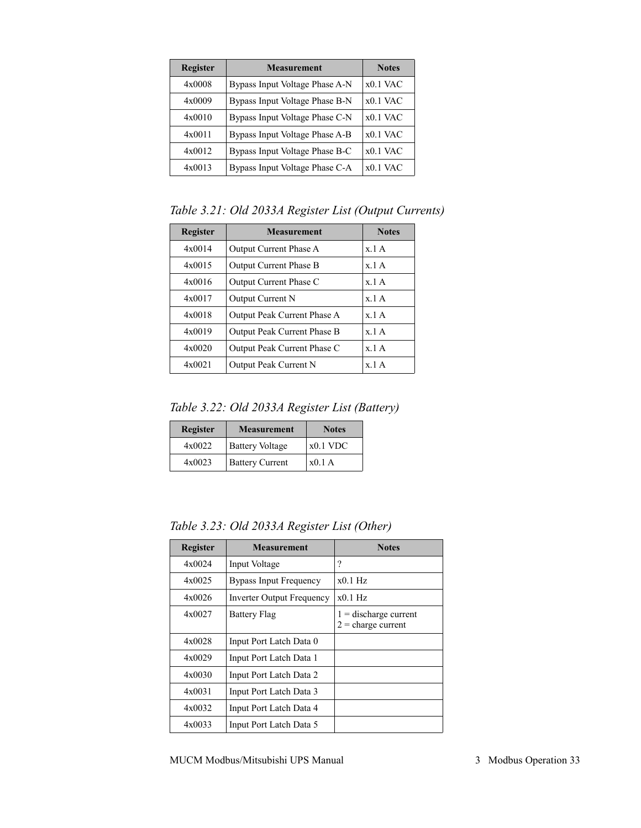| <b>Register</b> | <b>Measurement</b>             | <b>Notes</b> |
|-----------------|--------------------------------|--------------|
| 4x0008          | Bypass Input Voltage Phase A-N | $x0.1$ VAC   |
| 4x0009          | Bypass Input Voltage Phase B-N | $x0.1$ VAC   |
| 4x0010          | Bypass Input Voltage Phase C-N | $x0.1$ VAC   |
| 4x0011          | Bypass Input Voltage Phase A-B | $x0.1$ VAC   |
| 4x0012          | Bypass Input Voltage Phase B-C | $x0.1$ VAC   |
| 4x0013          | Bypass Input Voltage Phase C-A | $x0.1$ VAC   |

*Table 3.21: Old 2033A Register List (Output Currents)*

| <b>Register</b> | <b>Measurement</b>            | <b>Notes</b> |
|-----------------|-------------------------------|--------------|
| 4x0014          | Output Current Phase A        | x 1A         |
| 4x0015          | <b>Output Current Phase B</b> | x 1A         |
| 4x0016          | Output Current Phase C        | x 1A         |
| 4x0017          | Output Current N              | x 1A         |
| 4x0018          | Output Peak Current Phase A   | x 1A         |
| 4x0019          | Output Peak Current Phase B   | x 1A         |
| 4x0020          | Output Peak Current Phase C   | x 1A         |
| 4x0021          | Output Peak Current N         | x 1A         |

*Table 3.22: Old 2033A Register List (Battery)*

| <b>Register</b> | <b>Measurement</b>     | <b>Notes</b> |
|-----------------|------------------------|--------------|
| 4x0022          | <b>Battery Voltage</b> | $x0.1$ VDC   |
| 4x0023          | <b>Battery Current</b> | x0.1A        |

*Table 3.23: Old 2033A Register List (Other)*

| <b>Register</b> | <b>Measurement</b>               | <b>Notes</b>                                    |
|-----------------|----------------------------------|-------------------------------------------------|
| 4x0024          | Input Voltage                    | ?                                               |
| 4x0025          | <b>Bypass Input Frequency</b>    | $x0.1$ Hz                                       |
| 4x0026          | <b>Inverter Output Frequency</b> | $x0.1$ Hz                                       |
| 4x0027          | <b>Battery Flag</b>              | $1 =$ discharge current<br>$2$ = charge current |
| 4x0028          | Input Port Latch Data 0          |                                                 |
| 4x0029          | Input Port Latch Data 1          |                                                 |
| 4x0030          | Input Port Latch Data 2          |                                                 |
| 4x0031          | Input Port Latch Data 3          |                                                 |
| 4x0032          | Input Port Latch Data 4          |                                                 |
| 4x0033          | Input Port Latch Data 5          |                                                 |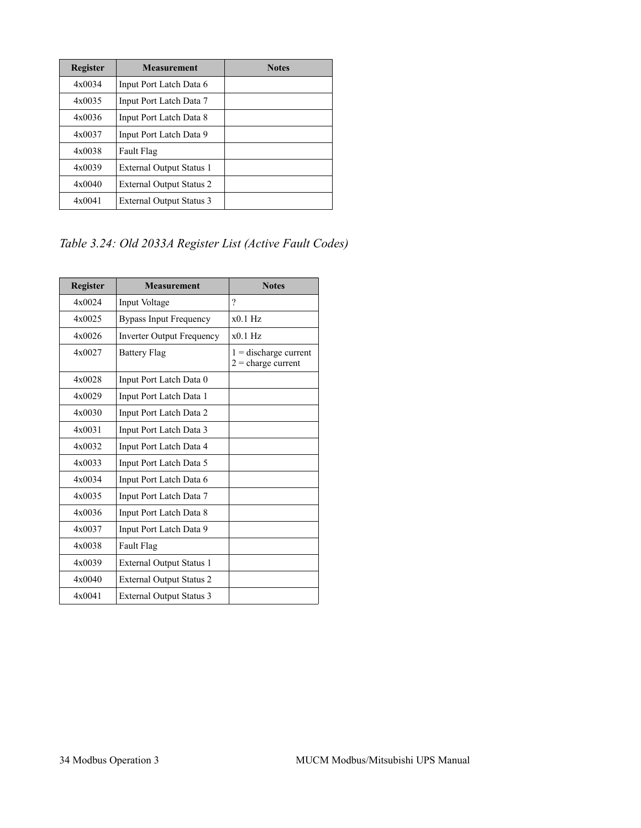| <b>Register</b> | <b>Measurement</b>              | <b>Notes</b> |
|-----------------|---------------------------------|--------------|
| 4x0034          | Input Port Latch Data 6         |              |
| 4x0035          | Input Port Latch Data 7         |              |
| 4x0036          | Input Port Latch Data 8         |              |
| 4x0037          | Input Port Latch Data 9         |              |
| 4x0038          | Fault Flag                      |              |
| 4x0039          | <b>External Output Status 1</b> |              |
| 4x0040          | <b>External Output Status 2</b> |              |
| 4x0041          | <b>External Output Status 3</b> |              |

*Table 3.24: Old 2033A Register List (Active Fault Codes)*

| <b>Register</b> | <b>Measurement</b>               | <b>Notes</b>                                    |
|-----------------|----------------------------------|-------------------------------------------------|
| 4x0024          | Input Voltage                    | $\gamma$                                        |
| 4x0025          | <b>Bypass Input Frequency</b>    | $x0.1$ Hz                                       |
| 4x0026          | <b>Inverter Output Frequency</b> | $x0.1$ Hz                                       |
| 4x0027          | <b>Battery Flag</b>              | $1 =$ discharge current<br>$2$ = charge current |
| 4x0028          | Input Port Latch Data 0          |                                                 |
| 4x0029          | Input Port Latch Data 1          |                                                 |
| 4x0030          | Input Port Latch Data 2          |                                                 |
| 4x0031          | Input Port Latch Data 3          |                                                 |
| 4x0032          | Input Port Latch Data 4          |                                                 |
| 4x0033          | Input Port Latch Data 5          |                                                 |
| 4x0034          | Input Port Latch Data 6          |                                                 |
| 4x0035          | Input Port Latch Data 7          |                                                 |
| 4x0036          | Input Port Latch Data 8          |                                                 |
| 4x0037          | Input Port Latch Data 9          |                                                 |
| 4x0038          | Fault Flag                       |                                                 |
| 4x0039          | <b>External Output Status 1</b>  |                                                 |
| 4x0040          | <b>External Output Status 2</b>  |                                                 |
| 4x0041          | <b>External Output Status 3</b>  |                                                 |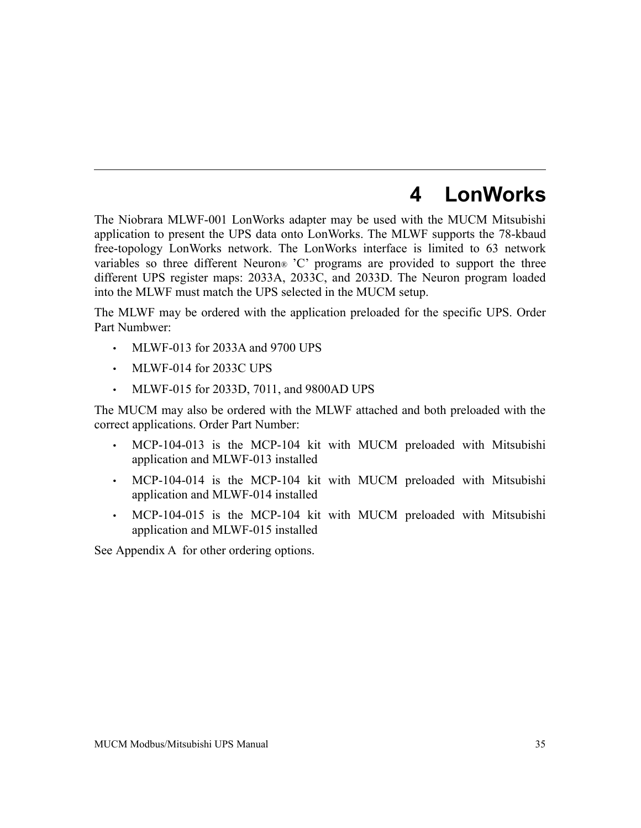## <span id="page-33-0"></span>**4 LonWorks**

The Niobrara MLWF-001 LonWorks adapter may be used with the MUCM Mitsubishi application to present the UPS data onto LonWorks. The MLWF supports the 78-kbaud free-topology LonWorks network. The LonWorks interface is limited to 63 network variables so three different Neuron® 'C' programs are provided to support the three different UPS register maps: 2033A, 2033C, and 2033D. The Neuron program loaded into the MLWF must match the UPS selected in the MUCM setup.

The MLWF may be ordered with the application preloaded for the specific UPS. Order Part Numbwer:

- MLWF-013 for 2033A and 9700 UPS
- MLWF-014 for 2033C UPS
- MLWF-015 for 2033D, 7011, and 9800AD UPS

The MUCM may also be ordered with the MLWF attached and both preloaded with the correct applications. Order Part Number:

- MCP-104-013 is the MCP-104 kit with MUCM preloaded with Mitsubishi application and MLWF-013 installed
- MCP-104-014 is the MCP-104 kit with MUCM preloaded with Mitsubishi application and MLWF-014 installed
- MCP-104-015 is the MCP-104 kit with MUCM preloaded with Mitsubishi application and MLWF-015 installed

See [Appendix A f](#page-75-0)or other ordering options.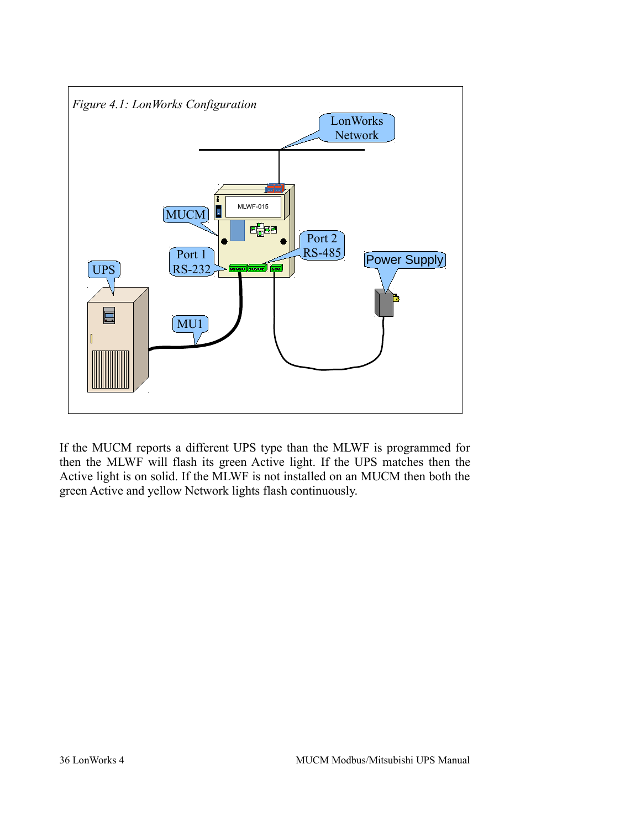

If the MUCM reports a different UPS type than the MLWF is programmed for then the MLWF will flash its green Active light. If the UPS matches then the Active light is on solid. If the MLWF is not installed on an MUCM then both the green Active and yellow Network lights flash continuously.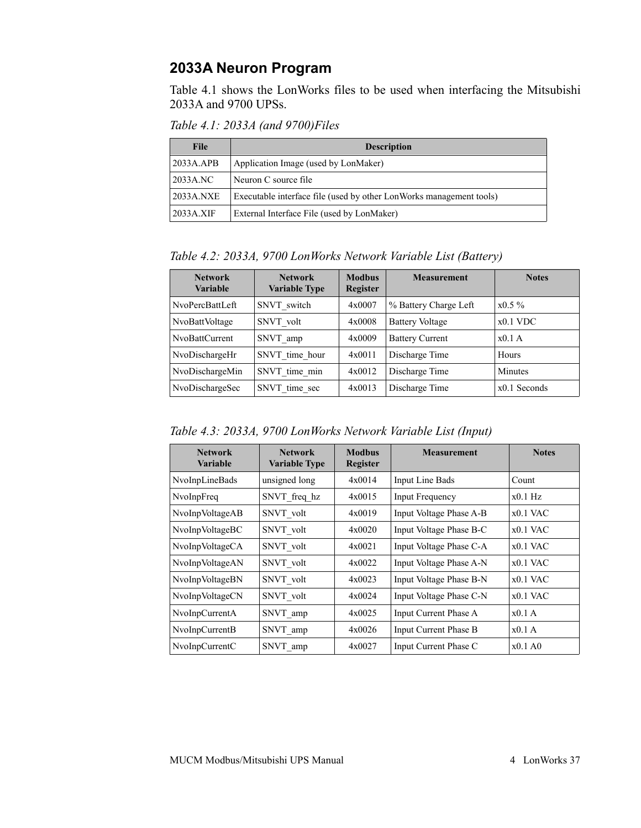#### **2033A Neuron Program**

[Table 4.1](#page-35-0) shows the LonWorks files to be used when interfacing the Mitsubishi 2033A and 9700 UPSs.

<span id="page-35-0"></span>*Table 4.1: 2033A (and 9700)Files*

| <b>File</b> | <b>Description</b>                                                  |  |  |
|-------------|---------------------------------------------------------------------|--|--|
| 2033A.APB   | Application Image (used by LonMaker)                                |  |  |
| 2033A.NC    | Neuron C source file                                                |  |  |
| 2033A.NXE   | Executable interface file (used by other LonWorks management tools) |  |  |
| 2033A.XIF   | External Interface File (used by LonMaker)                          |  |  |

*Table 4.2: 2033A, 9700 LonWorks Network Variable List (Battery)*

| <b>Network</b><br><b>Variable</b> | <b>Network</b><br><b>Variable Type</b> | <b>Modbus</b><br><b>Register</b> | <b>Measurement</b>     | <b>Notes</b>   |
|-----------------------------------|----------------------------------------|----------------------------------|------------------------|----------------|
| NvoPercBattLeft                   | SNVT switch                            | 4x0007                           | % Battery Charge Left  | $x0.5\%$       |
| NvoBattVoltage                    | SNVT volt                              | 4x0008                           | <b>Battery Voltage</b> | $x0.1$ VDC     |
| NvoBattCurrent                    | SNVT amp                               | 4x0009                           | <b>Battery Current</b> | $x0.1$ A       |
| NvoDischargeHr                    | SNVT time hour                         | 4x0011                           | Discharge Time         | Hours          |
| NvoDischargeMin                   | SNVT time min                          | 4x0012                           | Discharge Time         | <b>Minutes</b> |
| NvoDischargeSec                   | SNVT time sec                          | 4x0013                           | Discharge Time         | $x0.1$ Seconds |

*Table 4.3: 2033A, 9700 LonWorks Network Variable List (Input)*

| <b>Network</b><br><b>Variable</b> | <b>Network</b><br><b>Variable Type</b> | <b>Modbus</b><br>Register | <b>Measurement</b>      | <b>Notes</b> |
|-----------------------------------|----------------------------------------|---------------------------|-------------------------|--------------|
| NvoInpLineBads                    | unsigned long                          | 4x0014                    | Input Line Bads         | Count        |
| NvoInpFreq                        | SNVT freq hz                           | 4x0015                    | <b>Input Frequency</b>  | $x0.1$ Hz    |
| NvoInpVoltageAB                   | SNVT volt                              | 4x0019                    | Input Voltage Phase A-B | $x0.1$ VAC   |
| NvoInpVoltageBC                   | SNVT volt                              | 4x0020                    | Input Voltage Phase B-C | $x0.1$ VAC   |
| NvoInpVoltageCA                   | SNVT volt                              | 4x0021                    | Input Voltage Phase C-A | $x0.1$ VAC   |
| NvoInpVoltageAN                   | SNVT volt                              | 4x0022                    | Input Voltage Phase A-N | $x0.1$ VAC   |
| NvoInpVoltageBN                   | SNVT volt                              | 4x0023                    | Input Voltage Phase B-N | $x0.1$ VAC   |
| NvoInpVoltageCN                   | SNVT volt                              | 4x0024                    | Input Voltage Phase C-N | $x0.1$ VAC   |
| NvoInpCurrentA                    | SNVT_amp                               | 4x0025                    | Input Current Phase A   | x0.1A        |
| NvoInpCurrentB                    | SNVT_amp                               | 4x0026                    | Input Current Phase B   | x0.1A        |
| NvoInpCurrentC                    | SNVT amp                               | 4x0027                    | Input Current Phase C   | x0.1A0       |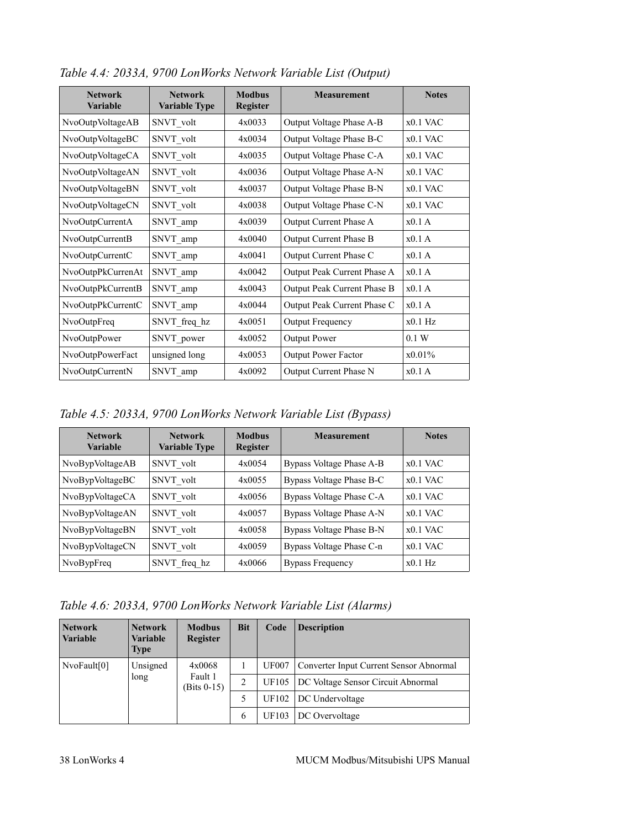| <b>Network</b><br><b>Variable</b> | <b>Network</b><br><b>Variable Type</b> | <b>Modbus</b><br><b>Register</b> | <b>Measurement</b>          | <b>Notes</b> |
|-----------------------------------|----------------------------------------|----------------------------------|-----------------------------|--------------|
| NvoOutpVoltageAB                  | SNVT volt                              | 4x0033                           | Output Voltage Phase A-B    | $x0.1$ VAC   |
| NvoOutpVoltageBC                  | SNVT volt                              | 4x0034                           | Output Voltage Phase B-C    | $x0.1$ VAC   |
| NvoOutpVoltageCA                  | SNVT volt                              | 4x0035                           | Output Voltage Phase C-A    | $x0.1$ VAC   |
| NvoOutpVoltageAN                  | SNVT_volt                              | 4x0036                           | Output Voltage Phase A-N    | $x0.1$ VAC   |
| NvoOutpVoltageBN                  | SNVT volt                              | 4x0037                           | Output Voltage Phase B-N    | $x0.1$ VAC   |
| NvoOutpVoltageCN                  | SNVT volt                              | 4x0038                           | Output Voltage Phase C-N    | $x0.1$ VAC   |
| NvoOutpCurrentA                   | SNVT_amp                               | 4x0039                           | Output Current Phase A      | x0.1A        |
| NvoOutpCurrentB                   | SNVT_amp                               | 4x0040                           | Output Current Phase B      | x0.1A        |
| NvoOutpCurrentC                   | SNVT_amp                               | 4x0041                           | Output Current Phase C      | x0.1A        |
| NvoOutpPkCurrenAt                 | SNVT amp                               | 4x0042                           | Output Peak Current Phase A | x0.1A        |
| NvoOutpPkCurrentB                 | SNVT_amp                               | 4x0043                           | Output Peak Current Phase B | x0.1A        |
| NvoOutpPkCurrentC                 | SNVT amp                               | 4x0044                           | Output Peak Current Phase C | x0.1A        |
| NvoOutpFreq                       | SNVT_freq_hz                           | 4x0051                           | <b>Output Frequency</b>     | $x0.1$ Hz    |
| NvoOutpPower                      | SNVT_power                             | 4x0052                           | <b>Output Power</b>         | 0.1 W        |
| NvoOutpPowerFact                  | unsigned long                          | 4x0053                           | Output Power Factor         | x0.01%       |
| NvoOutpCurrentN                   | SNVT amp                               | 4x0092                           | Output Current Phase N      | x0.1A        |

*Table 4.4: 2033A, 9700 LonWorks Network Variable List (Output)*

*Table 4.5: 2033A, 9700 LonWorks Network Variable List (Bypass)*

| <b>Network</b><br><b>Variable</b> | <b>Network</b><br><b>Variable Type</b> | <b>Modbus</b><br><b>Register</b> | <b>Measurement</b>       | <b>Notes</b> |
|-----------------------------------|----------------------------------------|----------------------------------|--------------------------|--------------|
| NvoBypVoltageAB                   | SNVT volt                              | 4x0054                           | Bypass Voltage Phase A-B | $x0.1$ VAC   |
| NvoBypVoltageBC                   | SNVT volt                              | 4x0055                           | Bypass Voltage Phase B-C | $x0.1$ VAC   |
| NvoBypVoltageCA                   | SNVT volt                              | 4x0056                           | Bypass Voltage Phase C-A | $x0.1$ VAC   |
| NvoBypVoltageAN                   | SNVT volt                              | 4x0057                           | Bypass Voltage Phase A-N | $x0.1$ VAC   |
| NvoBypVoltageBN                   | SNVT volt                              | 4x0058                           | Bypass Voltage Phase B-N | $x0.1$ VAC   |
| NvoBypVoltageCN                   | SNVT volt                              | 4x0059                           | Bypass Voltage Phase C-n | $x0.1$ VAC   |
| NvoBypFreq                        | SNVT freq hz                           | 4x0066                           | <b>Bypass Frequency</b>  | $x0.1$ Hz    |

*Table 4.6: 2033A, 9700 LonWorks Network Variable List (Alarms)*

| <b>Network</b><br><i><b>Variable</b></i> | <b>Network</b><br><b>Variable</b><br><b>Type</b> | <b>Modbus</b><br><b>Register</b> | <b>Bit</b> | Code         | <b>Description</b>                      |
|------------------------------------------|--------------------------------------------------|----------------------------------|------------|--------------|-----------------------------------------|
| NvoFault[0]                              | Unsigned                                         | 4x0068                           |            | <b>UF007</b> | Converter Input Current Sensor Abnormal |
|                                          | long                                             | Fault 1<br>(Bits 0-15)           | 2          | UF105        | DC Voltage Sensor Circuit Abnormal      |
|                                          |                                                  |                                  | 5          | UF102        | DC Undervoltage                         |
|                                          |                                                  |                                  | 6          | UF103        | DC Overvoltage                          |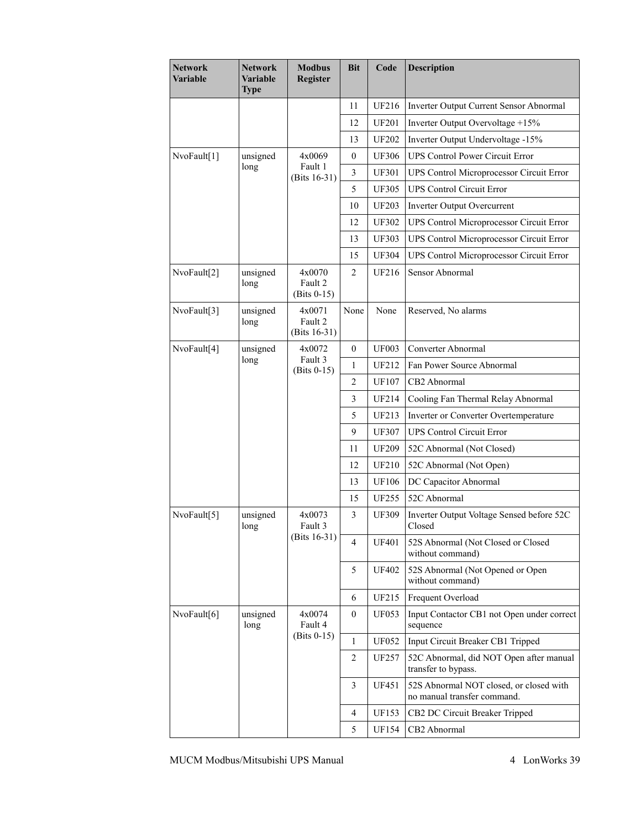| <b>Network</b><br>Variable | <b>Network</b><br><b>Variable</b><br><b>Type</b> | <b>Modbus</b><br>Register          | <b>Bit</b>     | Code         | <b>Description</b>                                                     |
|----------------------------|--------------------------------------------------|------------------------------------|----------------|--------------|------------------------------------------------------------------------|
|                            |                                                  |                                    | 11             | UF216        | Inverter Output Current Sensor Abnormal                                |
|                            |                                                  |                                    | 12             | <b>UF201</b> | Inverter Output Overvoltage +15%                                       |
|                            |                                                  |                                    | 13             | <b>UF202</b> | Inverter Output Undervoltage -15%                                      |
| NvoFault[1]                | unsigned                                         | 4x0069                             | $\mathbf{0}$   | <b>UF306</b> | <b>UPS Control Power Circuit Error</b>                                 |
|                            | long                                             | Fault 1<br>(Bits 16-31)            | 3              | <b>UF301</b> | UPS Control Microprocessor Circuit Error                               |
|                            |                                                  |                                    | 5              | <b>UF305</b> | <b>UPS Control Circuit Error</b>                                       |
|                            |                                                  |                                    | 10             | <b>UF203</b> | Inverter Output Overcurrent                                            |
|                            |                                                  |                                    | 12             | <b>UF302</b> | UPS Control Microprocessor Circuit Error                               |
|                            |                                                  |                                    | 13             | <b>UF303</b> | UPS Control Microprocessor Circuit Error                               |
|                            |                                                  |                                    | 15             | <b>UF304</b> | UPS Control Microprocessor Circuit Error                               |
| NvoFault[2]                | unsigned<br>long                                 | 4x0070<br>Fault 2<br>$(Bits 0-15)$ | $\overline{2}$ | <b>UF216</b> | Sensor Abnormal                                                        |
| NvoFault[3]                | unsigned<br>long                                 | 4x0071<br>Fault 2<br>(Bits 16-31)  | None           | None         | Reserved, No alarms                                                    |
| NvoFault[4]                | unsigned                                         | 4x0072                             | $\mathbf{0}$   | <b>UF003</b> | Converter Abnormal                                                     |
|                            | long                                             | Fault 3<br>$(Bits 0-15)$           | 1              | UF212        | Fan Power Source Abnormal                                              |
|                            |                                                  |                                    | $\overline{2}$ | <b>UF107</b> | CB2 Abnormal                                                           |
|                            |                                                  |                                    | 3              | UF214        | Cooling Fan Thermal Relay Abnormal                                     |
|                            |                                                  |                                    | 5              | UF213        | Inverter or Converter Overtemperature                                  |
|                            |                                                  |                                    | 9              | <b>UF307</b> | <b>UPS Control Circuit Error</b>                                       |
|                            |                                                  |                                    | 11             | <b>UF209</b> | 52C Abnormal (Not Closed)                                              |
|                            |                                                  |                                    | 12             | <b>UF210</b> | 52C Abnormal (Not Open)                                                |
|                            |                                                  |                                    | 13             | <b>UF106</b> | DC Capacitor Abnormal                                                  |
|                            |                                                  |                                    | 15             | <b>UF255</b> | 52C Abnormal                                                           |
| NvoFault[5]                | unsigned<br>long                                 | 4x0073<br>Fault 3                  | 3              | <b>UF309</b> | Inverter Output Voltage Sensed before 52C<br>Closed                    |
|                            |                                                  | (Bits 16-31)                       | 4              | <b>UF401</b> | 52S Abnormal (Not Closed or Closed<br>without command)                 |
|                            |                                                  |                                    | 5              | <b>UF402</b> | 52S Abnormal (Not Opened or Open<br>without command)                   |
|                            |                                                  |                                    | 6              | UF215        | Frequent Overload                                                      |
| NvoFault[6]                | unsigned<br>long                                 | 4x0074<br>Fault 4                  | $\overline{0}$ | <b>UF053</b> | Input Contactor CB1 not Open under correct<br>sequence                 |
|                            |                                                  | $(Bits 0-15)$                      | 1              | <b>UF052</b> | Input Circuit Breaker CB1 Tripped                                      |
|                            |                                                  |                                    | 2              | <b>UF257</b> | 52C Abnormal, did NOT Open after manual<br>transfer to bypass.         |
|                            |                                                  |                                    | 3              | <b>UF451</b> | 52S Abnormal NOT closed, or closed with<br>no manual transfer command. |
|                            |                                                  |                                    | 4              | <b>UF153</b> | CB2 DC Circuit Breaker Tripped                                         |
|                            |                                                  |                                    | 5              | UF154        | CB2 Abnormal                                                           |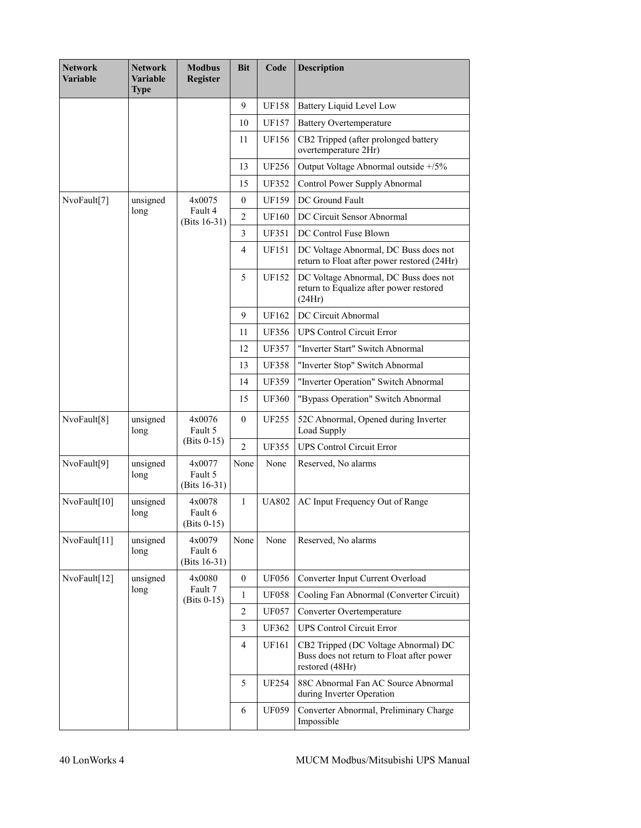| <b>Network</b><br><b>Variable</b> | <b>Network</b><br><b>Variable</b><br><b>Type</b> | <b>Modbus</b><br><b>Register</b>     | <b>Bit</b>       | Code         | <b>Description</b>                                                                                   |
|-----------------------------------|--------------------------------------------------|--------------------------------------|------------------|--------------|------------------------------------------------------------------------------------------------------|
|                                   |                                                  |                                      | 9                | <b>UF158</b> | Battery Liquid Level Low                                                                             |
|                                   |                                                  |                                      | 10               | <b>UF157</b> | <b>Battery Overtemperature</b>                                                                       |
|                                   |                                                  |                                      | 11               | UF156        | CB2 Tripped (after prolonged battery<br>overtemperature 2Hr)                                         |
|                                   |                                                  |                                      | 13               | <b>UF256</b> | Output Voltage Abnormal outside +/5%                                                                 |
|                                   |                                                  |                                      | 15               | <b>UF352</b> | Control Power Supply Abnormal                                                                        |
| NvoFault[7]                       | unsigned                                         | 4x0075                               | $\mathbf{0}$     | <b>UF159</b> | DC Ground Fault                                                                                      |
|                                   | long                                             | Fault 4<br>(Bits $16-31$ )           | $\overline{2}$   | <b>UF160</b> | DC Circuit Sensor Abnormal                                                                           |
|                                   |                                                  |                                      | 3                | <b>UF351</b> | DC Control Fuse Blown                                                                                |
|                                   |                                                  |                                      | 4                | <b>UF151</b> | DC Voltage Abnormal, DC Buss does not<br>return to Float after power restored (24Hr)                 |
|                                   |                                                  |                                      | 5                | <b>UF152</b> | DC Voltage Abnormal, DC Buss does not<br>return to Equalize after power restored<br>(24Hr)           |
|                                   |                                                  |                                      | 9                | <b>UF162</b> | DC Circuit Abnormal                                                                                  |
|                                   |                                                  |                                      | 11               | <b>UF356</b> | <b>UPS Control Circuit Error</b>                                                                     |
|                                   |                                                  |                                      | 12               | <b>UF357</b> | "Inverter Start" Switch Abnormal                                                                     |
|                                   |                                                  |                                      | 13               | <b>UF358</b> | "Inverter Stop" Switch Abnormal                                                                      |
|                                   |                                                  |                                      | 14               | <b>UF359</b> | "Inverter Operation" Switch Abnormal                                                                 |
|                                   |                                                  |                                      | 15               | <b>UF360</b> | "Bypass Operation" Switch Abnormal                                                                   |
| NvoFault[8]                       | unsigned<br>long                                 | 4x0076<br>Fault 5                    | $\theta$         | <b>UF255</b> | 52C Abnormal, Opened during Inverter<br>Load Supply                                                  |
|                                   |                                                  | $(Bits 0-15)$                        | $\overline{2}$   | <b>UF355</b> | <b>UPS Control Circuit Error</b>                                                                     |
| NvoFault[9]                       | unsigned<br>long                                 | 4x0077<br>Fault 5<br>(Bits $16-31$ ) | None             | None         | Reserved, No alarms                                                                                  |
| NvoFault[10]                      | unsigned<br>long                                 | 4x0078<br>Fault 6<br>$(Bits 0-15)$   | $\mathbf{1}$     | <b>UA802</b> | AC Input Frequency Out of Range                                                                      |
| NvoFault[11]                      | unsigned<br>long                                 | 4x0079<br>Fault 6<br>(Bits $16-31$ ) | None             | None         | Reserved, No alarms                                                                                  |
| NvoFault[12]                      | unsigned                                         | 4x0080                               | $\boldsymbol{0}$ | <b>UF056</b> | Converter Input Current Overload                                                                     |
|                                   | long                                             | Fault 7<br>$(Bits 0-15)$             | $\mathbf{1}$     | <b>UF058</b> | Cooling Fan Abnormal (Converter Circuit)                                                             |
|                                   |                                                  |                                      | 2                | <b>UF057</b> | Converter Overtemperature                                                                            |
|                                   |                                                  |                                      | 3                | <b>UF362</b> | <b>UPS Control Circuit Error</b>                                                                     |
|                                   |                                                  |                                      | $\overline{4}$   | <b>UF161</b> | CB2 Tripped (DC Voltage Abnormal) DC<br>Buss does not return to Float after power<br>restored (48Hr) |
|                                   |                                                  |                                      | 5                | <b>UF254</b> | 88C Abnormal Fan AC Source Abnormal<br>during Inverter Operation                                     |
|                                   |                                                  |                                      | 6                | <b>UF059</b> | Converter Abnormal, Preliminary Charge<br>Impossible                                                 |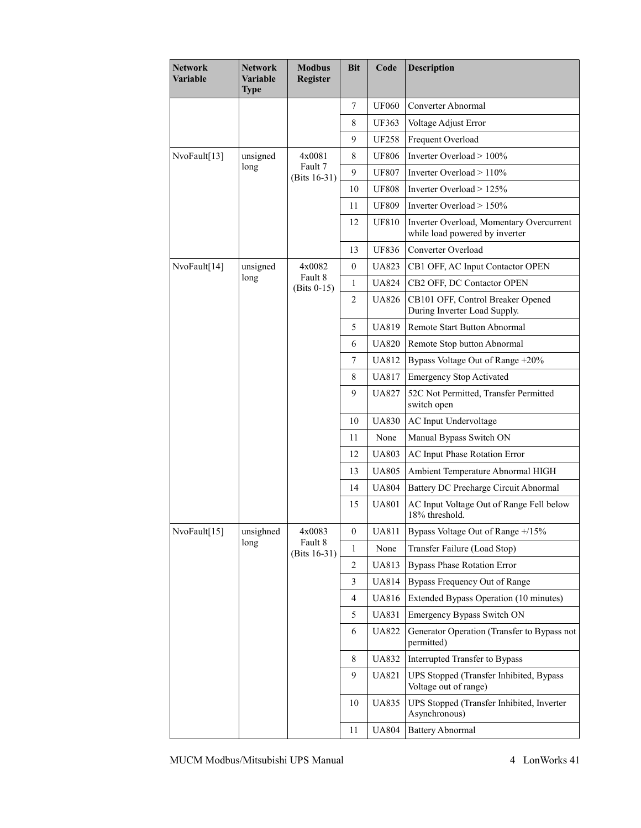| Network<br>Variable | Network<br>Variable<br><b>Type</b> | <b>Modbus</b><br>Register  | <b>Bit</b>       | Code         | <b>Description</b>                                                         |
|---------------------|------------------------------------|----------------------------|------------------|--------------|----------------------------------------------------------------------------|
|                     |                                    |                            | $\overline{7}$   | <b>UF060</b> | Converter Abnormal                                                         |
|                     |                                    |                            | 8                | <b>UF363</b> | Voltage Adjust Error                                                       |
|                     |                                    |                            | 9                | <b>UF258</b> | Frequent Overload                                                          |
| NvoFault[13]        | unsigned                           | 4x0081                     | 8                | <b>UF806</b> | Inverter Overload > 100%                                                   |
| long                |                                    | Fault 7<br>(Bits $16-31$ ) | 9                | <b>UF807</b> | Inverter Overload > 110%                                                   |
|                     |                                    |                            | 10               | <b>UF808</b> | Inverter Overload $> 125\%$                                                |
|                     |                                    |                            | 11               | <b>UF809</b> | Inverter Overload $> 150\%$                                                |
|                     |                                    |                            | 12               | <b>UF810</b> | Inverter Overload, Momentary Overcurrent<br>while load powered by inverter |
|                     |                                    |                            | 13               | <b>UF836</b> | Converter Overload                                                         |
| NvoFault[14]        | unsigned                           | 4x0082                     | $\mathbf{0}$     | <b>UA823</b> | CB1 OFF, AC Input Contactor OPEN                                           |
|                     | long                               | Fault 8<br>$(Bits 0-15)$   | $\mathbf{1}$     | <b>UA824</b> | CB2 OFF, DC Contactor OPEN                                                 |
|                     |                                    |                            | $\overline{2}$   | <b>UA826</b> | CB101 OFF, Control Breaker Opened<br>During Inverter Load Supply.          |
|                     |                                    |                            | 5                | <b>UA819</b> | <b>Remote Start Button Abnormal</b>                                        |
|                     |                                    |                            | 6                | <b>UA820</b> | Remote Stop button Abnormal                                                |
|                     |                                    |                            | $\overline{7}$   | <b>UA812</b> | Bypass Voltage Out of Range +20%                                           |
|                     |                                    |                            | 8                | <b>UA817</b> | <b>Emergency Stop Activated</b>                                            |
|                     |                                    |                            | 9                | <b>UA827</b> | 52C Not Permitted, Transfer Permitted<br>switch open                       |
|                     |                                    |                            | 10               | <b>UA830</b> | AC Input Undervoltage                                                      |
|                     |                                    |                            | 11               | None         | Manual Bypass Switch ON                                                    |
|                     |                                    |                            | 12               | <b>UA803</b> | AC Input Phase Rotation Error                                              |
|                     |                                    |                            | 13               | <b>UA805</b> | Ambient Temperature Abnormal HIGH                                          |
|                     |                                    |                            | 14               | <b>UA804</b> | Battery DC Precharge Circuit Abnormal                                      |
|                     |                                    |                            | 15               | <b>UA801</b> | AC Input Voltage Out of Range Fell below<br>18% threshold.                 |
| NvoFault[15]        | unsighned                          | 4x0083                     | $\boldsymbol{0}$ | <b>UA811</b> | Bypass Voltage Out of Range +/15%                                          |
|                     | long                               | Fault 8<br>(Bits 16-31)    | 1                | None         | Transfer Failure (Load Stop)                                               |
|                     |                                    |                            | $\overline{c}$   | <b>UA813</b> | <b>Bypass Phase Rotation Error</b>                                         |
|                     |                                    |                            | 3                | <b>UA814</b> | Bypass Frequency Out of Range                                              |
|                     |                                    |                            | $\overline{4}$   | <b>UA816</b> | Extended Bypass Operation (10 minutes)                                     |
|                     |                                    |                            | 5                | <b>UA831</b> | <b>Emergency Bypass Switch ON</b>                                          |
|                     |                                    |                            | 6                | <b>UA822</b> | Generator Operation (Transfer to Bypass not<br>permitted)                  |
|                     |                                    |                            | 8                | <b>UA832</b> | Interrupted Transfer to Bypass                                             |
|                     |                                    |                            | 9                | UA821        | UPS Stopped (Transfer Inhibited, Bypass<br>Voltage out of range)           |
|                     |                                    |                            | 10               | <b>UA835</b> | UPS Stopped (Transfer Inhibited, Inverter<br>Asynchronous)                 |
|                     |                                    |                            | 11               | <b>UA804</b> | <b>Battery Abnormal</b>                                                    |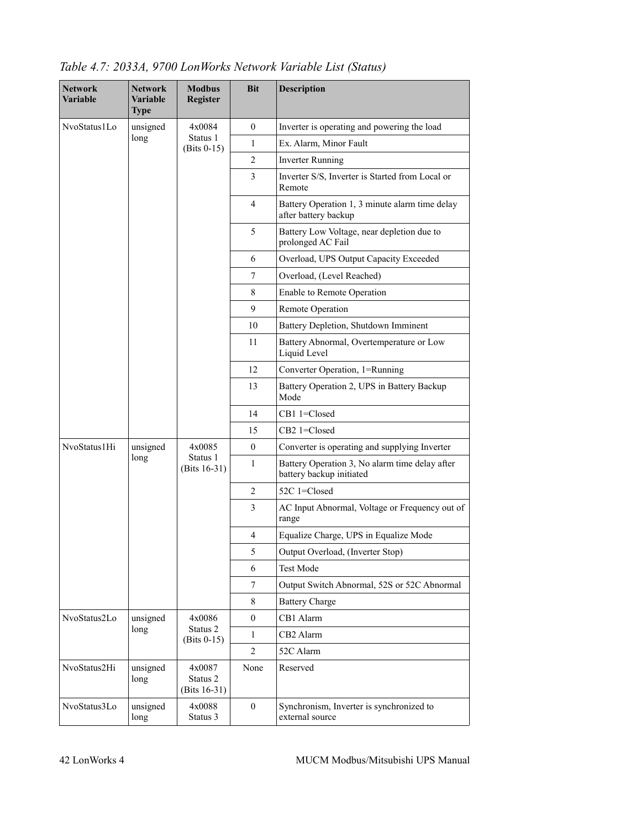| <b>Network</b><br><b>Variable</b> | <b>Network</b><br>Variable<br><b>Type</b> | <b>Modbus</b><br><b>Register</b>      | <b>Bit</b>       | <b>Description</b>                                                         |
|-----------------------------------|-------------------------------------------|---------------------------------------|------------------|----------------------------------------------------------------------------|
| NvoStatus1Lo                      | unsigned                                  | 4x0084                                | $\theta$         | Inverter is operating and powering the load                                |
|                                   | long                                      | Status 1<br>$(Bits 0-15)$             | 1                | Ex. Alarm, Minor Fault                                                     |
|                                   |                                           |                                       | 2                | <b>Inverter Running</b>                                                    |
|                                   |                                           |                                       | 3                | Inverter S/S, Inverter is Started from Local or<br>Remote                  |
|                                   |                                           |                                       | $\overline{4}$   | Battery Operation 1, 3 minute alarm time delay<br>after battery backup     |
|                                   |                                           |                                       | 5                | Battery Low Voltage, near depletion due to<br>prolonged AC Fail            |
|                                   |                                           |                                       | 6                | Overload, UPS Output Capacity Exceeded                                     |
|                                   |                                           |                                       | 7                | Overload, (Level Reached)                                                  |
|                                   |                                           |                                       | 8                | Enable to Remote Operation                                                 |
|                                   |                                           |                                       | 9                | <b>Remote Operation</b>                                                    |
|                                   |                                           |                                       | 10               | Battery Depletion, Shutdown Imminent                                       |
|                                   |                                           |                                       | 11               | Battery Abnormal, Overtemperature or Low<br>Liquid Level                   |
|                                   |                                           |                                       | 12               | Converter Operation, 1=Running                                             |
|                                   |                                           |                                       | 13               | Battery Operation 2, UPS in Battery Backup<br>Mode                         |
|                                   |                                           |                                       | 14               | CB1 1=Closed                                                               |
|                                   |                                           |                                       | 15               | CB2 1=Closed                                                               |
| NvoStatus1Hi                      | unsigned                                  | 4x0085                                | $\overline{0}$   | Converter is operating and supplying Inverter                              |
|                                   | long                                      | Status 1<br>(Bits $16-31$ )           | 1                | Battery Operation 3, No alarm time delay after<br>battery backup initiated |
|                                   |                                           |                                       | $\overline{c}$   | 52C 1=Closed                                                               |
|                                   |                                           |                                       | 3                | AC Input Abnormal, Voltage or Frequency out of<br>range                    |
|                                   |                                           |                                       | 4                | Equalize Charge, UPS in Equalize Mode                                      |
|                                   |                                           |                                       | 5                | Output Overload, (Inverter Stop)                                           |
|                                   |                                           |                                       | 6                | <b>Test Mode</b>                                                           |
|                                   |                                           |                                       | 7                | Output Switch Abnormal, 52S or 52C Abnormal                                |
|                                   |                                           |                                       | 8                | <b>Battery Charge</b>                                                      |
| NvoStatus2Lo                      | unsigned                                  | 4x0086                                | $\overline{0}$   | CB1 Alarm                                                                  |
|                                   | long                                      | Status 2<br>$(Bits 0-15)$             | 1                | CB2 Alarm                                                                  |
|                                   |                                           |                                       | $\overline{c}$   | 52C Alarm                                                                  |
| NvoStatus2Hi                      | unsigned<br>long                          | 4x0087<br>Status 2<br>(Bits $16-31$ ) | None             | Reserved                                                                   |
| NvoStatus3Lo                      | unsigned<br>long                          | 4x0088<br>Status 3                    | $\boldsymbol{0}$ | Synchronism, Inverter is synchronized to<br>external source                |

*Table 4.7: 2033A, 9700 LonWorks Network Variable List (Status)*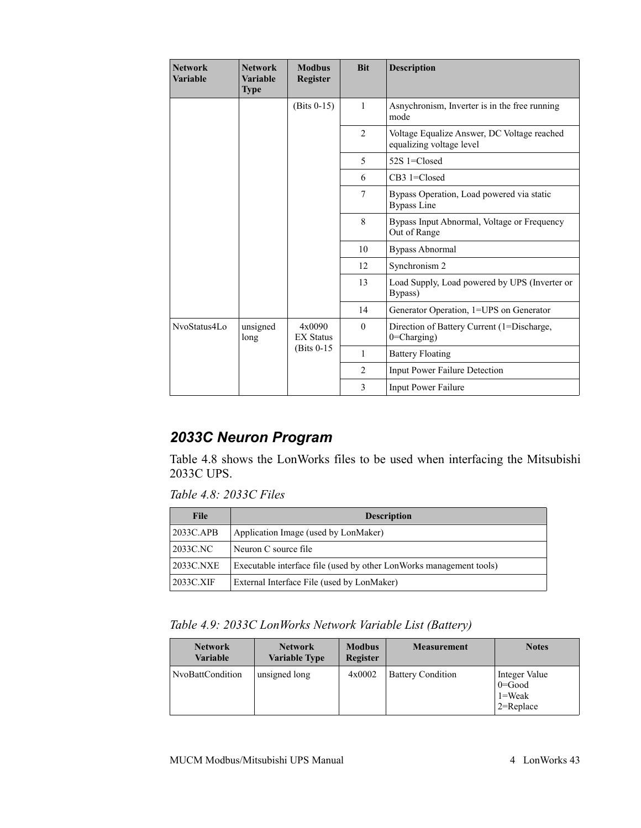| <b>Network</b><br><b>Variable</b> | <b>Network</b><br><b>Variable</b><br><b>Type</b> | <b>Modbus</b><br><b>Register</b> | <b>Bit</b>     | <b>Description</b>                                                      |
|-----------------------------------|--------------------------------------------------|----------------------------------|----------------|-------------------------------------------------------------------------|
|                                   |                                                  | $(Bits 0-15)$                    | $\mathbf{1}$   | Asnychronism, Inverter is in the free running<br>mode                   |
|                                   |                                                  |                                  | $\overline{2}$ | Voltage Equalize Answer, DC Voltage reached<br>equalizing voltage level |
|                                   |                                                  |                                  | 5              | 52S 1=Closed                                                            |
|                                   |                                                  |                                  | 6              | CB3 1=Closed                                                            |
|                                   |                                                  |                                  | 7              | Bypass Operation, Load powered via static<br><b>Bypass Line</b>         |
|                                   |                                                  |                                  | 8              | Bypass Input Abnormal, Voltage or Frequency<br>Out of Range             |
|                                   |                                                  |                                  | 10             | <b>Bypass Abnormal</b>                                                  |
|                                   |                                                  |                                  | 12             | Synchronism 2                                                           |
|                                   |                                                  |                                  | 13             | Load Supply, Load powered by UPS (Inverter or<br>Bypass)                |
|                                   |                                                  |                                  | 14             | Generator Operation, 1=UPS on Generator                                 |
| NvoStatus4Lo                      | unsigned<br>long                                 | 4x0090<br><b>EX Status</b>       | $\theta$       | Direction of Battery Current (1=Discharge,<br>0=Charging)               |
|                                   |                                                  | (Bits 0-15)                      | 1              | <b>Battery Floating</b>                                                 |
|                                   |                                                  |                                  | 2              | Input Power Failure Detection                                           |
|                                   |                                                  |                                  | 3              | <b>Input Power Failure</b>                                              |

# *2033C Neuron Program*

[Table 4.8](#page-41-0) shows the LonWorks files to be used when interfacing the Mitsubishi 2033C UPS.

<span id="page-41-0"></span>*Table 4.8: 2033C Files*

| <b>File</b> | <b>Description</b>                                                  |
|-------------|---------------------------------------------------------------------|
| 2033C.APB   | Application Image (used by LonMaker)                                |
| 2033C.NC    | Neuron C source file                                                |
| 2033C.NXE   | Executable interface file (used by other LonWorks management tools) |
| 2033C.XIF   | External Interface File (used by LonMaker)                          |

| Table 4.9: 2033C LonWorks Network Variable List (Battery) |  |  |
|-----------------------------------------------------------|--|--|
|-----------------------------------------------------------|--|--|

| <b>Network</b><br><b>Variable</b> | <b>Network</b><br><b>Variable Type</b> | <b>Modbus</b><br><b>Register</b> | <b>Measurement</b>       | <b>Notes</b>                                               |
|-----------------------------------|----------------------------------------|----------------------------------|--------------------------|------------------------------------------------------------|
| NvoBattCondition                  | unsigned long                          | 4x0002                           | <b>Battery Condition</b> | Integer Value<br>$0 = Good$<br>$1 = Weak$<br>$2 =$ Replace |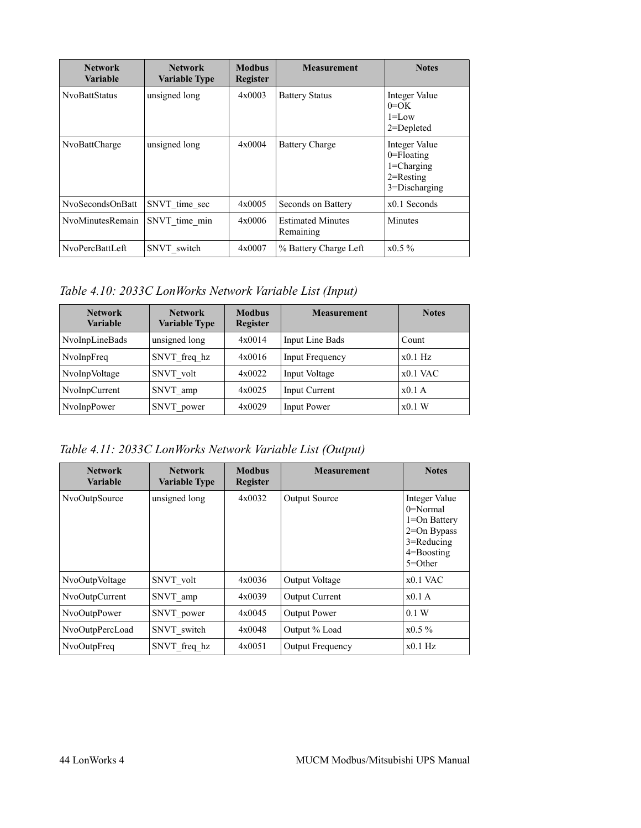| <b>Network</b><br>Variable | <b>Network</b><br><b>Variable Type</b> | <b>Modbus</b><br><b>Register</b> | <b>Measurement</b>                    | <b>Notes</b>                                                                           |
|----------------------------|----------------------------------------|----------------------------------|---------------------------------------|----------------------------------------------------------------------------------------|
| <b>NvoBattStatus</b>       | unsigned long                          | 4x0003                           | <b>Battery Status</b>                 | Integer Value<br>$0=OK$<br>$1 = L$ ow<br>$2 =$ Depleted                                |
| NvoBattCharge              | unsigned long                          | 4x0004                           | <b>Battery Charge</b>                 | Integer Value<br>$0 =$ Floating<br>$1 = Charging$<br>$2$ =Resting<br>$3 = Discharging$ |
| NvoSecondsOnBatt           | SNVT time sec                          | 4x0005                           | Seconds on Battery                    | $x0.1$ Seconds                                                                         |
| NvoMinutesRemain           | SNVT time min                          | 4x0006                           | <b>Estimated Minutes</b><br>Remaining | Minutes                                                                                |
| NvoPercBattLeft            | SNVT switch                            | 4x0007                           | % Battery Charge Left                 | $x0.5\%$                                                                               |

*Table 4.10: 2033C LonWorks Network Variable List (Input)*

| <b>Network</b><br>Variable | <b>Network</b><br><b>Variable Type</b> | <b>Modbus</b><br><b>Register</b> | <b>Measurement</b> | <b>Notes</b> |
|----------------------------|----------------------------------------|----------------------------------|--------------------|--------------|
| NvoInpLineBads             | unsigned long                          | 4x0014                           | Input Line Bads    | Count        |
| NvoInpFreq                 | SNVT freq hz                           | 4x0016                           | Input Frequency    | $x0.1$ Hz    |
| NvoInpVoltage              | SNVT volt                              | 4x0022                           | Input Voltage      | $x0.1$ VAC   |
| NvoInpCurrent              | SNVT amp                               | 4x0025                           | Input Current      | x0.1A        |
| NvoInpPower                | SNVT power                             | 4x0029                           | Input Power        | x0.1 W       |

*Table 4.11: 2033C LonWorks Network Variable List (Output)*

| <b>Network</b><br><b>Variable</b> | <b>Network</b><br><b>Variable Type</b> | <b>Modbus</b><br><b>Register</b> | <b>Measurement</b>      | <b>Notes</b>                                                                                                             |
|-----------------------------------|----------------------------------------|----------------------------------|-------------------------|--------------------------------------------------------------------------------------------------------------------------|
| NvoOutpSource                     | unsigned long                          | 4x0032                           | <b>Output Source</b>    | Integer Value<br>$0 = \text{Normal}$<br>1=On Battery<br>$2=On Bypass$<br>$3 =$ Reducing<br>$4 =$ Boosting<br>$5 = Other$ |
| NvoOutpVoltage                    | SNVT volt                              | 4x0036                           | <b>Output Voltage</b>   | $x0.1$ VAC                                                                                                               |
| NvoOutpCurrent                    | SNVT amp                               | 4x0039                           | <b>Output Current</b>   | x0.1A                                                                                                                    |
| NvoOutpPower                      | SNVT power                             | 4x0045                           | <b>Output Power</b>     | 0.1 W                                                                                                                    |
| NvoOutpPercLoad                   | SNVT switch                            | 4x0048                           | Output % Load           | $x0.5\%$                                                                                                                 |
| NvoOutpFreq                       | SNVT freq hz                           | 4x0051                           | <b>Output Frequency</b> | $x0.1$ Hz                                                                                                                |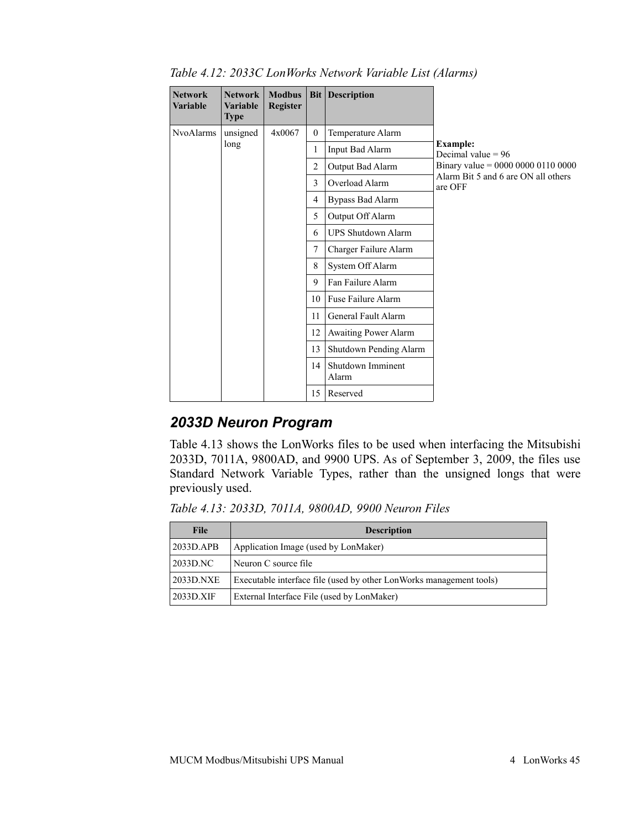| <b>Network</b><br><b>Variable</b> | <b>Network</b><br><b>Variable</b><br>Type | <b>Modbus</b><br><b>Register</b> | Bit <sub>1</sub> | <b>Description</b>         |                                                |
|-----------------------------------|-------------------------------------------|----------------------------------|------------------|----------------------------|------------------------------------------------|
| <b>NvoAlarms</b>                  | unsigned                                  | 4x0067                           | $\theta$         | Temperature Alarm          |                                                |
|                                   | long                                      |                                  | 1                | Input Bad Alarm            | <b>Example:</b><br>Decimal value $= 96$        |
|                                   |                                           |                                  | $\overline{2}$   | Output Bad Alarm           | Binary value = $0000 0000 0110 0000$           |
|                                   |                                           |                                  | 3                | Overload Alarm             | Alarm Bit 5 and 6 are ON all others<br>are OFF |
|                                   |                                           |                                  | 4                | <b>Bypass Bad Alarm</b>    |                                                |
|                                   |                                           |                                  | 5                | Output Off Alarm           |                                                |
|                                   |                                           |                                  | 6                | <b>UPS Shutdown Alarm</b>  |                                                |
|                                   |                                           |                                  | 7                | Charger Failure Alarm      |                                                |
|                                   |                                           |                                  | 8                | System Off Alarm           |                                                |
|                                   |                                           |                                  | 9                | Fan Failure Alarm          |                                                |
|                                   |                                           |                                  | 10               | Fuse Failure Alarm         |                                                |
|                                   |                                           |                                  | 11               | General Fault Alarm        |                                                |
|                                   |                                           |                                  | 12               | Awaiting Power Alarm       |                                                |
|                                   |                                           |                                  | 13               | Shutdown Pending Alarm     |                                                |
|                                   |                                           |                                  | 14 <sup>1</sup>  | Shutdown Imminent<br>Alarm |                                                |
|                                   |                                           |                                  | 15               | Reserved                   |                                                |

*Table 4.12: 2033C LonWorks Network Variable List (Alarms)*

### *2033D Neuron Program*

[Table 4.13](#page-43-0) shows the LonWorks files to be used when interfacing the Mitsubishi 2033D, 7011A, 9800AD, and 9900 UPS. As of September 3, 2009, the files use Standard Network Variable Types, rather than the unsigned longs that were previously used.

<span id="page-43-0"></span>*Table 4.13: 2033D, 7011A, 9800AD, 9900 Neuron Files*

| <b>File</b> | <b>Description</b>                                                  |
|-------------|---------------------------------------------------------------------|
| 2033D.APB   | Application Image (used by LonMaker)                                |
| 2033D.NC    | Neuron C source file                                                |
| 2033D.NXE   | Executable interface file (used by other LonWorks management tools) |
| 2033D.XIF   | External Interface File (used by LonMaker)                          |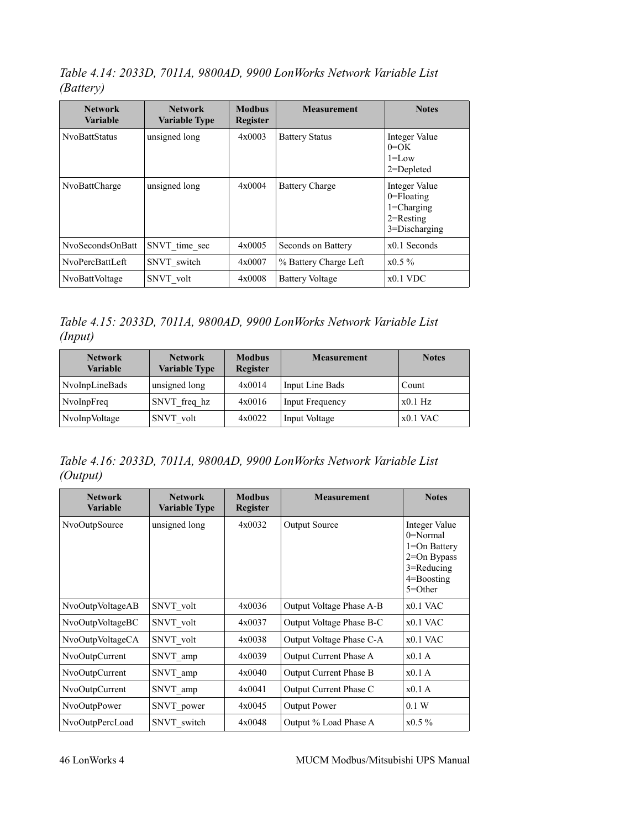*Table 4.14: 2033D, 7011A, 9800AD, 9900 LonWorks Network Variable List (Battery)*

| <b>Network</b><br><b>Variable</b> | <b>Network</b><br><b>Variable Type</b> | <b>Modbus</b><br>Register | <b>Measurement</b>     | <b>Notes</b>                                                                       |
|-----------------------------------|----------------------------------------|---------------------------|------------------------|------------------------------------------------------------------------------------|
| <b>NvoBattStatus</b>              | unsigned long                          | 4x0003                    | <b>Battery Status</b>  | Integer Value<br>$0=OK$<br>$1 = L$ ow<br>$2 =$ Depleted                            |
| NvoBattCharge                     | unsigned long                          | 4x0004                    | <b>Battery Charge</b>  | Integer Value<br>$0 =$ Floating<br>$1 = Charging$<br>$2$ =Resting<br>3=Discharging |
| NvoSecondsOnBatt                  | SNVT time sec                          | 4x0005                    | Seconds on Battery     | $x0.1$ Seconds                                                                     |
| NvoPercBattLeft                   | SNVT switch                            | 4x0007                    | % Battery Charge Left  | $x0.5\%$                                                                           |
| NvoBattVoltage                    | SNVT volt                              | 4x0008                    | <b>Battery Voltage</b> | $x0.1$ VDC                                                                         |

*Table 4.15: 2033D, 7011A, 9800AD, 9900 LonWorks Network Variable List (Input)*

| <b>Network</b><br><b>Variable</b> | <b>Network</b><br><b>Variable Type</b> | <b>Modbus</b><br>Register | <b>Measurement</b> | <b>Notes</b> |
|-----------------------------------|----------------------------------------|---------------------------|--------------------|--------------|
| NvoInpLineBads                    | unsigned long                          | 4x0014                    | Input Line Bads    | Count        |
| NvoInpFreq                        | SNVT freq hz                           | 4x0016                    | Input Frequency    | $x0.1$ Hz    |
| NvoInpVoltage                     | SNVT volt                              | 4x0022                    | Input Voltage      | $x0.1$ VAC   |

*Table 4.16: 2033D, 7011A, 9800AD, 9900 LonWorks Network Variable List (Output)*

| <b>Network</b><br><b>Variable</b> | <b>Network</b><br><b>Variable Type</b> | <b>Modbus</b><br><b>Register</b> | <b>Measurement</b>       | <b>Notes</b>                                                                                                                 |
|-----------------------------------|----------------------------------------|----------------------------------|--------------------------|------------------------------------------------------------------------------------------------------------------------------|
| NvoOutpSource                     | unsigned long                          | 4x0032                           | <b>Output Source</b>     | Integer Value<br>$0 = \text{Normal}$<br>$1 = On$ Battery<br>$2=On Bypass$<br>$3 =$ Reducing<br>$4 =$ Boosting<br>$5 = Other$ |
| NvoOutpVoltageAB                  | SNVT volt                              | 4x0036                           | Output Voltage Phase A-B | $x0.1$ VAC                                                                                                                   |
| NvoOutpVoltageBC                  | SNVT volt                              | 4x0037                           | Output Voltage Phase B-C | $x0.1$ VAC                                                                                                                   |
| NvoOutpVoltageCA                  | SNVT volt                              | 4x0038                           | Output Voltage Phase C-A | $x0.1$ VAC                                                                                                                   |
| NvoOutpCurrent                    | SNVT amp                               | 4x0039                           | Output Current Phase A   | x0.1A                                                                                                                        |
| NvoOutpCurrent                    | SNVT amp                               | 4x0040                           | Output Current Phase B   | x0.1A                                                                                                                        |
| NvoOutpCurrent                    | SNVT amp                               | 4x0041                           | Output Current Phase C   | x0.1A                                                                                                                        |
| NvoOutpPower                      | SNVT power                             | 4x0045                           | <b>Output Power</b>      | 0.1 W                                                                                                                        |
| NvoOutpPercLoad                   | SNVT switch                            | 4x0048                           | Output % Load Phase A    | $x0.5\%$                                                                                                                     |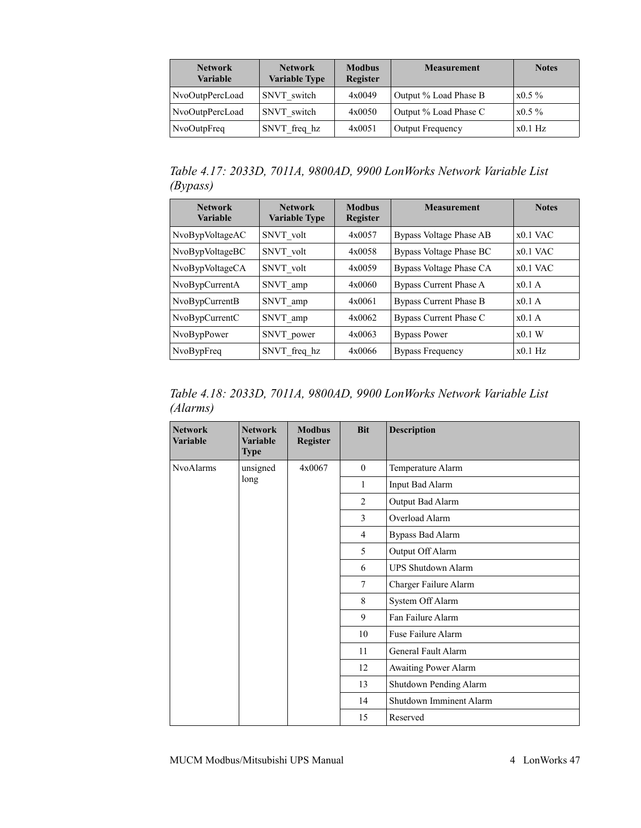| <b>Network</b><br><b>Variable</b> | <b>Network</b><br><b>Variable Type</b> | <b>Modbus</b><br><b>Register</b> | <b>Measurement</b>      |           |
|-----------------------------------|----------------------------------------|----------------------------------|-------------------------|-----------|
| NvoOutpPercLoad                   | SNVT switch                            | 4x0049                           | Output % Load Phase B   | $x0.5\%$  |
| NvoOutpPercLoad                   | SNVT switch                            | 4x0050                           | Output % Load Phase C   | $x0.5\%$  |
| NvoOutpFreq                       | SNVT freq hz                           | 4x0051                           | <b>Output Frequency</b> | $x0.1$ Hz |

*Table 4.17: 2033D, 7011A, 9800AD, 9900 LonWorks Network Variable List (Bypass)*

| <b>Network</b><br><b>Variable</b> | <b>Network</b><br><b>Variable Type</b> | <b>Modbus</b><br><b>Register</b> | <b>Measurement</b>            | <b>Notes</b> |
|-----------------------------------|----------------------------------------|----------------------------------|-------------------------------|--------------|
| NvoBypVoltageAC                   | SNVT volt                              | 4x0057                           | Bypass Voltage Phase AB       | $x0.1$ VAC   |
| NvoBypVoltageBC                   | SNVT volt                              | 4x0058                           | Bypass Voltage Phase BC       | $x0.1$ VAC   |
| NvoBypVoltageCA                   | SNVT volt                              | 4x0059                           | Bypass Voltage Phase CA       | $x0.1$ VAC   |
| NvoBypCurrentA                    | SNVT amp                               | 4x0060                           | Bypass Current Phase A        | $x0.1$ A     |
| NvoBypCurrentB                    | SNVT amp                               | 4x0061                           | <b>Bypass Current Phase B</b> | $x0.1$ A     |
| NvoBypCurrentC                    | SNVT amp                               | 4x0062                           | Bypass Current Phase C        | $x0.1$ A     |
| NvoBypPower                       | SNVT power                             | 4x0063                           | <b>Bypass Power</b>           | x0.1 W       |
| NvoBypFreq                        | SNVT freq hz                           | 4x0066                           | <b>Bypass Frequency</b>       | $x0.1$ Hz    |

*Table 4.18: 2033D, 7011A, 9800AD, 9900 LonWorks Network Variable List (Alarms)*

| <b>Network</b><br><b>Variable</b> | <b>Network</b><br><b>Variable</b><br><b>Type</b> | <b>Modbus</b><br><b>Register</b> | <b>Bit</b>     | <b>Description</b>        |  |  |    |
|-----------------------------------|--------------------------------------------------|----------------------------------|----------------|---------------------------|--|--|----|
| <b>NvoAlarms</b>                  | unsigned                                         | 4x0067                           | $\theta$       | Temperature Alarm         |  |  |    |
|                                   | long                                             |                                  | 1              | Input Bad Alarm           |  |  |    |
|                                   |                                                  |                                  | $\overline{2}$ | Output Bad Alarm          |  |  |    |
|                                   |                                                  |                                  | 3              | Overload Alarm            |  |  |    |
|                                   |                                                  |                                  | $\overline{4}$ | <b>Bypass Bad Alarm</b>   |  |  |    |
|                                   |                                                  |                                  | 5              | Output Off Alarm          |  |  |    |
|                                   |                                                  |                                  | 6              | <b>UPS Shutdown Alarm</b> |  |  |    |
|                                   |                                                  |                                  | $\tau$         | Charger Failure Alarm     |  |  |    |
|                                   |                                                  |                                  | 8              | System Off Alarm          |  |  |    |
|                                   |                                                  |                                  | 9              | Fan Failure Alarm         |  |  |    |
|                                   |                                                  |                                  | 10             | Fuse Failure Alarm        |  |  |    |
|                                   |                                                  |                                  | 11             | General Fault Alarm       |  |  |    |
|                                   |                                                  |                                  | 12             | Awaiting Power Alarm      |  |  |    |
|                                   |                                                  |                                  | 13             | Shutdown Pending Alarm    |  |  |    |
|                                   |                                                  |                                  |                |                           |  |  | 14 |
|                                   |                                                  |                                  | 15             | Reserved                  |  |  |    |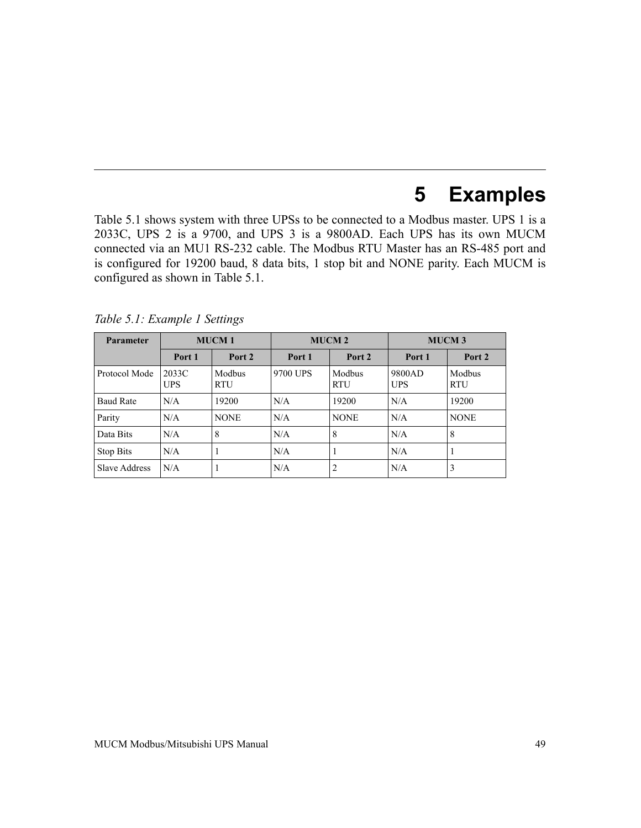# **5 Examples**

[Table 5.1](#page-47-0) shows system with three UPSs to be connected to a Modbus master. UPS 1 is a 2033C, UPS 2 is a 9700, and UPS 3 is a 9800AD. Each UPS has its own MUCM connected via an MU1 RS-232 cable. The Modbus RTU Master has an RS-485 port and is configured for 19200 baud, 8 data bits, 1 stop bit and NONE parity. Each MUCM is configured as shown in [Table 5.1.](#page-47-0)

| <b>Parameter</b>     | <b>MUCM1</b>        |                      | <b>MUCM2</b> |                      | <b>MUCM3</b>         |                      |
|----------------------|---------------------|----------------------|--------------|----------------------|----------------------|----------------------|
|                      | Port 1              | Port 2               | Port 1       | Port 2               | Port 1               | Port 2               |
| Protocol Mode        | 2033C<br><b>UPS</b> | Modbus<br><b>RTU</b> | 9700 UPS     | Modbus<br><b>RTU</b> | 9800AD<br><b>UPS</b> | Modbus<br><b>RTU</b> |
| <b>Baud Rate</b>     | N/A                 | 19200                | N/A          | 19200                | N/A                  | 19200                |
| Parity               | N/A                 | <b>NONE</b>          | N/A          | <b>NONE</b>          | N/A                  | <b>NONE</b>          |
| Data Bits            | N/A                 | 8                    | N/A          | 8                    | N/A                  | 8                    |
| Stop Bits            | N/A                 | -1                   | N/A          | 1                    | N/A                  | $\mathbf{I}$         |
| <b>Slave Address</b> | N/A                 | -                    | N/A          | $\overline{c}$       | N/A                  | 3                    |

<span id="page-47-0"></span>*Table 5.1: Example 1 Settings*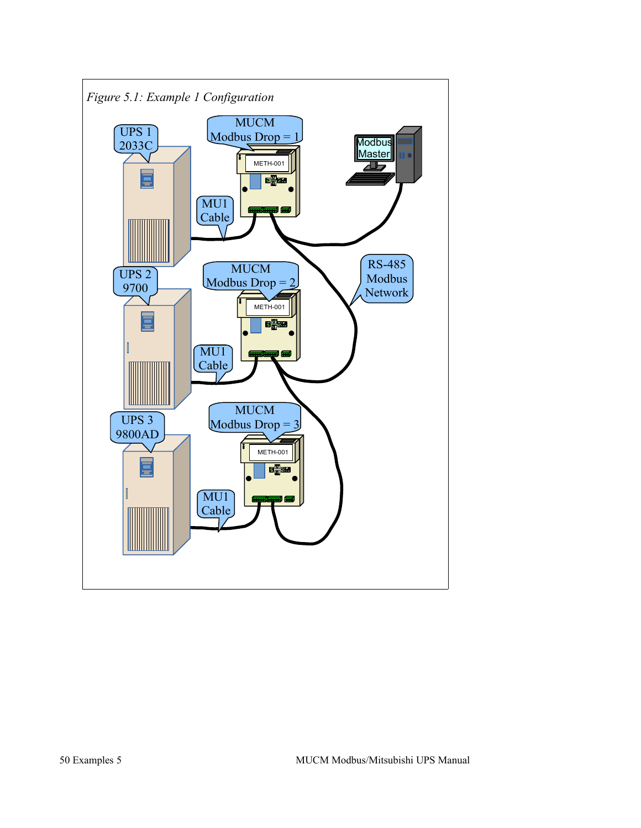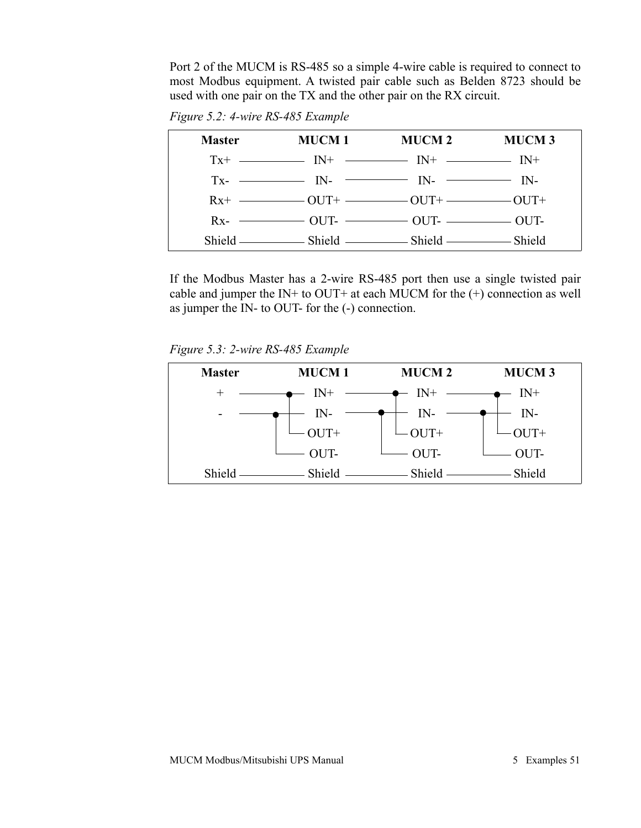Port 2 of the MUCM is RS-485 so a simple 4-wire cable is required to connect to most Modbus equipment. A twisted pair cable such as Belden 8723 should be used with one pair on the TX and the other pair on the RX circuit.

*Figure 5.2: 4-wire RS-485 Example*

| <b>Master</b> | MUCM 1                                                                                             | MUCM 2 | <b>MUCM3</b> |
|---------------|----------------------------------------------------------------------------------------------------|--------|--------------|
|               | $Tx^{+}$ - $IN^{+}$ - $IN^{+}$ - $IN^{+}$ - $IN^{+}$ - $IN^{+}$                                    |        |              |
|               | $Tx  IN  IN  IN  IN  IN -$                                                                         |        |              |
|               | $Rx^+$ - $OUT^+$ $OUT^+$ $OUT^+$ $OUT^+$                                                           |        |              |
|               | $Rx$ - $\longrightarrow$ OUT- $\longrightarrow$ OUT- $\longrightarrow$ OUT- $\longrightarrow$ OUT- |        |              |
|               |                                                                                                    |        |              |

If the Modbus Master has a 2-wire RS-485 port then use a single twisted pair cable and jumper the IN+ to OUT+ at each MUCM for the  $(+)$  connection as well as jumper the IN- to OUT- for the (-) connection.

*Figure 5.3: 2-wire RS-485 Example*

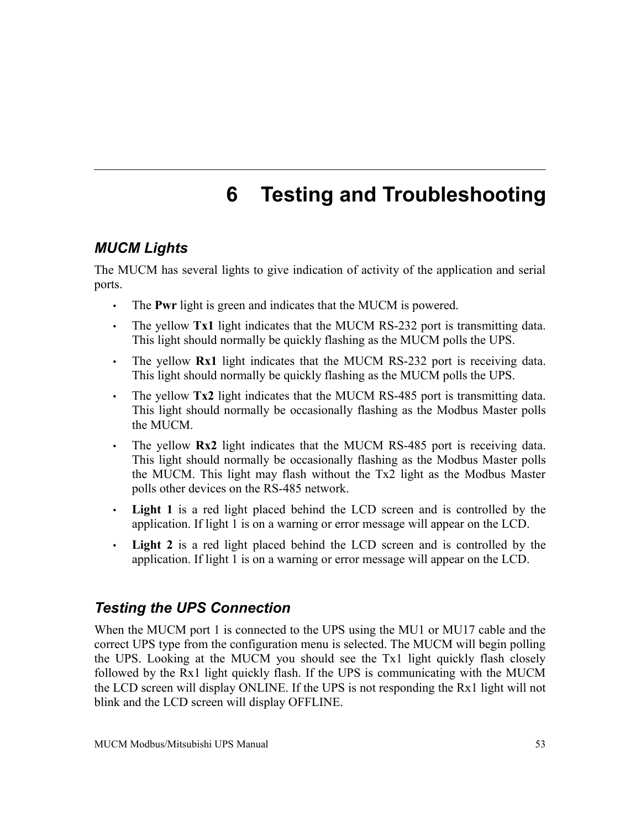# <span id="page-50-0"></span>**6 Testing and Troubleshooting**

## *MUCM Lights*

The MUCM has several lights to give indication of activity of the application and serial ports.

- The **Pwr** light is green and indicates that the MUCM is powered.
- The yellow **Tx1** light indicates that the MUCM RS-232 port is transmitting data. This light should normally be quickly flashing as the MUCM polls the UPS.
- The yellow **Rx1** light indicates that the MUCM RS-232 port is receiving data. This light should normally be quickly flashing as the MUCM polls the UPS.
- The yellow **Tx2** light indicates that the MUCM RS-485 port is transmitting data. This light should normally be occasionally flashing as the Modbus Master polls the MUCM.
- The yellow **Rx2** light indicates that the MUCM RS-485 port is receiving data. This light should normally be occasionally flashing as the Modbus Master polls the MUCM. This light may flash without the Tx2 light as the Modbus Master polls other devices on the RS-485 network.
- **Light 1** is a red light placed behind the LCD screen and is controlled by the application. If light 1 is on a warning or error message will appear on the LCD.
- **Light 2** is a red light placed behind the LCD screen and is controlled by the application. If light 1 is on a warning or error message will appear on the LCD.

#### *Testing the UPS Connection*

When the MUCM port 1 is connected to the UPS using the MU1 or MU17 cable and the correct UPS type from the configuration menu is selected. The MUCM will begin polling the UPS. Looking at the MUCM you should see the Tx1 light quickly flash closely followed by the Rx1 light quickly flash. If the UPS is communicating with the MUCM the LCD screen will display ONLINE. If the UPS is not responding the Rx1 light will not blink and the LCD screen will display OFFLINE.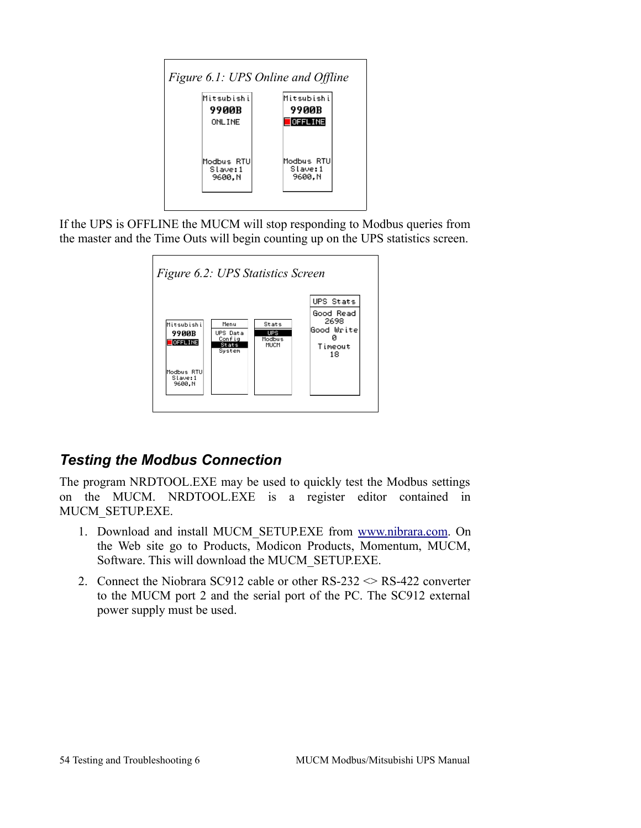

If the UPS is OFFLINE the MUCM will stop responding to Modbus queries from the master and the Time Outs will begin counting up on the UPS statistics screen.



# *Testing the Modbus Connection*

The program NRDTOOL.EXE may be used to quickly test the Modbus settings on the MUCM. NRDTOOL.EXE is a register editor contained in MUCM\_SETUP.EXE.

- 1. Download and install MUCM\_SETUP.EXE from [www.nibrara.com.](http://www.nibrara.com/) On the Web site go to Products, Modicon Products, Momentum, MUCM, Software. This will download the MUCM\_SETUP.EXE.
- 2. Connect the Niobrara SC912 cable or other  $RS-232 \leq RS-422$  converter to the MUCM port 2 and the serial port of the PC. The SC912 external power supply must be used.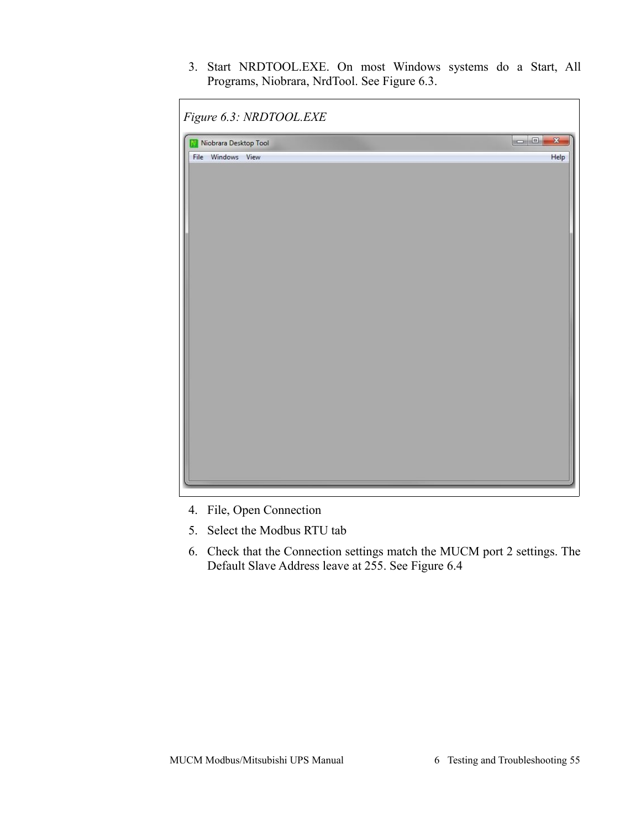3. Start NRDTOOL.EXE. On most Windows systems do a Start, All Programs, Niobrara, NrdTool. See [Figure 6.3.](#page-52-0)

<span id="page-52-0"></span>

| Niobrara Desktop Tool | $\Box$<br>x |
|-----------------------|-------------|
| File Windows View     | Help        |
|                       |             |
|                       |             |
|                       |             |
|                       |             |
|                       |             |
|                       |             |
|                       |             |
|                       |             |
|                       |             |
|                       |             |
|                       |             |
|                       |             |
|                       |             |
|                       |             |
|                       |             |
|                       |             |
|                       |             |
|                       |             |
|                       |             |
|                       |             |

- 4. File, Open Connection
- 5. Select the Modbus RTU tab
- 6. Check that the Connection settings match the MUCM port 2 settings. The Default Slave Address leave at 255. See [Figure 6.4](#page-53-0)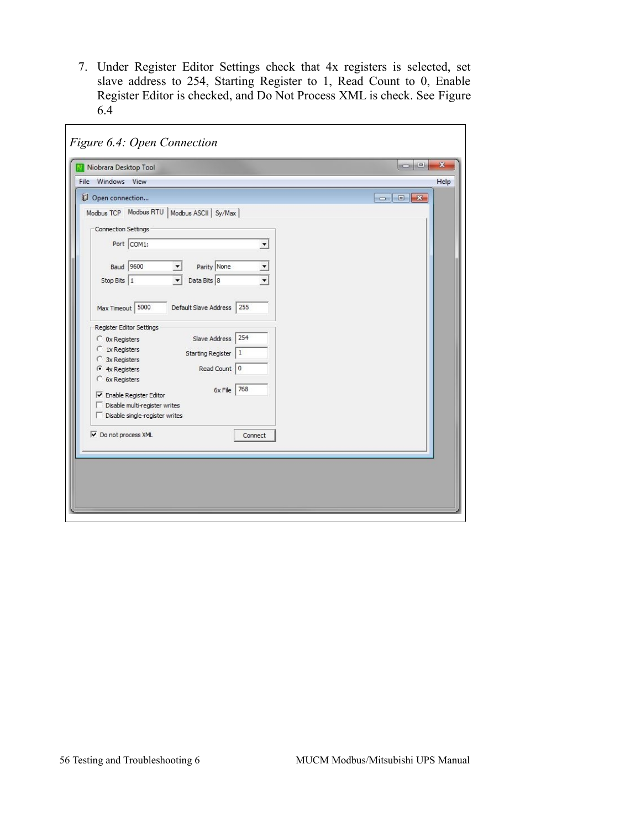7. Under Register Editor Settings check that 4x registers is selected, set slave address to 254, Starting Register to 1, Read Count to 0, Enable Register Editor is checked, and Do Not Process XML is check. See [Figure](#page-53-0) [6.4](#page-53-0)

<span id="page-53-0"></span>

| Niobrara Desktop Tool                                     | $\Box$ $\Box$<br>$\mathbf{x}$ |
|-----------------------------------------------------------|-------------------------------|
| File Windows View                                         | Help                          |
| Open connection                                           |                               |
| Modbus TCP Modbus RTU   Modbus ASCII   Sy/Max             |                               |
| Connection Settings                                       |                               |
|                                                           |                               |
| Port COM1:<br>$\overline{\phantom{a}}$                    |                               |
| <b>Baud</b> 9600<br>Parity None                           |                               |
|                                                           |                               |
| Data Bits 8<br>Stop Bits 1                                |                               |
|                                                           |                               |
| Max Timeout 5000<br>Default Slave Address<br>255          |                               |
| Register Editor Settings                                  |                               |
| 254<br>Slave Address<br>C 0x Registers                    |                               |
| 1x Registers<br>O                                         |                               |
| Starting Register<br>$\mathbf{1}$<br>3x Registers<br>€    |                               |
| Read Count 0<br>$G$ 4x Registers                          |                               |
| C 6x Registers                                            |                               |
| 6x File 768<br>$\overline{\nabla}$ Enable Register Editor |                               |
| Disable multi-register writes                             |                               |
| □ Disable single-register writes                          |                               |
|                                                           |                               |
| Do not process XML<br>Connect                             |                               |
|                                                           |                               |
|                                                           |                               |
|                                                           |                               |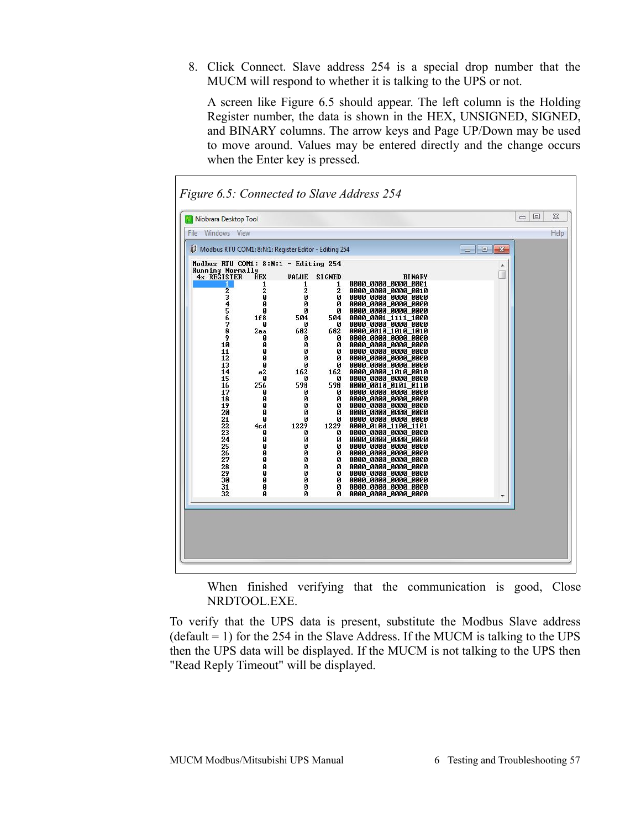8. Click Connect. Slave address 254 is a special drop number that the MUCM will respond to whether it is talking to the UPS or not.

A screen like [Figure 6.5](#page-54-0) should appear. The left column is the Holding Register number, the data is shown in the HEX, UNSIGNED, SIGNED, and BINARY columns. The arrow keys and Page UP/Down may be used to move around. Values may be entered directly and the change occurs when the Enter key is pressed.

<span id="page-54-0"></span>

|                                                       | Niobrara Desktop Tool |              |                   |                                            |               |      |
|-------------------------------------------------------|-----------------------|--------------|-------------------|--------------------------------------------|---------------|------|
| File Windows View                                     |                       |              |                   |                                            |               | Help |
| Modbus RTU COM1: 8:N:1: Register Editor - Editing 254 |                       |              |                   |                                            | $\Box$ $\Box$ |      |
| Modbus RTU COM1: $8:N:1$ - Editing 254                |                       |              |                   |                                            |               |      |
| <b>Running Normally</b><br>4x REGISTER                | <b>HEX</b>            | <b>VALUE</b> | <b>SIGNED</b>     | <b>BINARY</b>                              |               |      |
|                                                       | 1<br>2                | 1<br>2       | 1<br>$\mathbf{2}$ | 0000 0000 0000 0001<br>0000_0000_0000_0010 |               |      |
| 2345678                                               | ø                     | Ø            | ø                 | 0000 0000 0000 0000                        |               |      |
|                                                       | Ø<br>Ø                | ø<br>ø       | ø<br>ø            | 0000_0000_0000_0000<br>0000_0000_0000_0000 |               |      |
|                                                       | 1f8                   | 504          | 504               | 0000 0001 1111 1000                        |               |      |
|                                                       | ø                     | ø            | ø                 | 0000_0000_0000_0000                        |               |      |
| 9                                                     | 2aa<br>Ø              | 682<br>ø     | 682<br>ø          | 0000 0010 1010 1010<br>0000_0000_0000_0000 |               |      |
| 10                                                    | Ø                     | ø            | ø                 | 0000_0000_0000_0000                        |               |      |
| 11<br>12                                              | Ø<br>ø                | ø            | ø                 | 0000_0000_0000_0000                        |               |      |
| $\overline{13}$                                       | Ø                     | ø<br>ø       | ø<br>ø            | 0000_0000_0000_0000<br>0000 0000 0000 0000 |               |      |
| 14                                                    | a2                    | 162          | 162               | 0000 0000 1010 0010                        |               |      |
| 15<br>16                                              | ø<br>256              | ø<br>598     | ø<br>598          | 0000_0000_0000_0000<br>0000 0010 0101 0110 |               |      |
| 17                                                    | Ø                     | ø            | ø                 | 0000_0000_0000_0000                        |               |      |
| 18<br>19                                              | Ø<br>Ø                | ø<br>ø       | ø<br>ø            | 0000_0000_0000_0000<br>0000 0000 0000 0000 |               |      |
| 20                                                    | Ø                     | ø            | ø                 | 0000 0000 0000 0000                        |               |      |
| 21                                                    | Ø                     | Ø            | ø                 | 0000_0000_0000_0000                        |               |      |
| 22<br>23                                              | 4cd<br>ø              | 1229<br>ø    | 1229<br>ø         | 0000_0100_1100_1101<br>0000 0000 0000 0000 |               |      |
| 24                                                    | Ø                     | ø            | ø                 | 0000_0000_0000_0000                        |               |      |
| $\frac{25}{26}$                                       | Ø                     | Ø            | ø                 | 0000 0000 0000 0000                        |               |      |
| 27                                                    | Ø<br>Ø                | Ø<br>Ø       | ø<br>ø            | 0000 0000 0000 0000<br>0000_0000_0000_0000 |               |      |
| 28                                                    | Ø                     | Ø            | ø                 | 0000_0000_0000_0000                        |               |      |
| 29<br>30                                              | Ø<br>Ø                | Ø<br>ø       | ø<br>ø            | 0000 0000 0000 0000<br>0000_0000_0000_0000 |               |      |
| 31                                                    | Ø                     | ø            | ø                 | 0000_0000_0000_0000                        |               |      |
| 32                                                    | n                     | Й            | Й                 | 0000 0000 0000 0000                        |               |      |
|                                                       |                       |              |                   |                                            |               |      |
|                                                       |                       |              |                   |                                            |               |      |
|                                                       |                       |              |                   |                                            |               |      |

When finished verifying that the communication is good, Close NRDTOOL.EXE.

To verify that the UPS data is present, substitute the Modbus Slave address  $(detault = 1)$  for the 254 in the Slave Address. If the MUCM is talking to the UPS then the UPS data will be displayed. If the MUCM is not talking to the UPS then "Read Reply Timeout" will be displayed.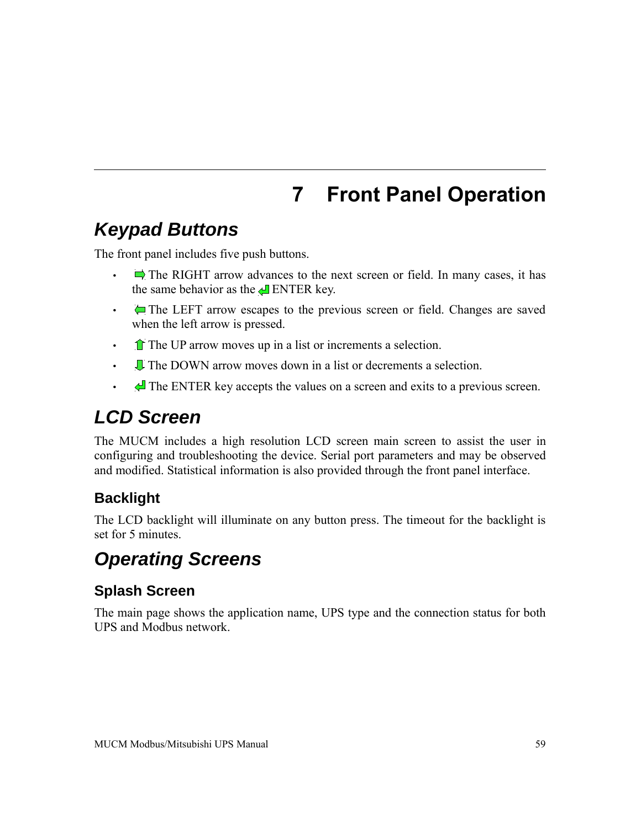# **7 Front Panel Operation**

# *Keypad Buttons*

The front panel includes five push buttons.

- $\Box$  The RIGHT arrow advances to the next screen or field. In many cases, it has the same behavior as the  $\triangle$  ENTER key.
- • The LEFT arrow escapes to the previous screen or field. Changes are saved when the left arrow is pressed.
- $\cdot$  The UP arrow moves up in a list or increments a selection.
- U The DOWN arrow moves down in a list or decrements a selection.
- The ENTER key accepts the values on a screen and exits to a previous screen.

# *LCD Screen*

The MUCM includes a high resolution LCD screen main screen to assist the user in configuring and troubleshooting the device. Serial port parameters and may be observed and modified. Statistical information is also provided through the front panel interface.

# **Backlight**

The LCD backlight will illuminate on any button press. The timeout for the backlight is set for 5 minutes.

# *Operating Screens*

# **Splash Screen**

The main page shows the application name, UPS type and the connection status for both UPS and Modbus network.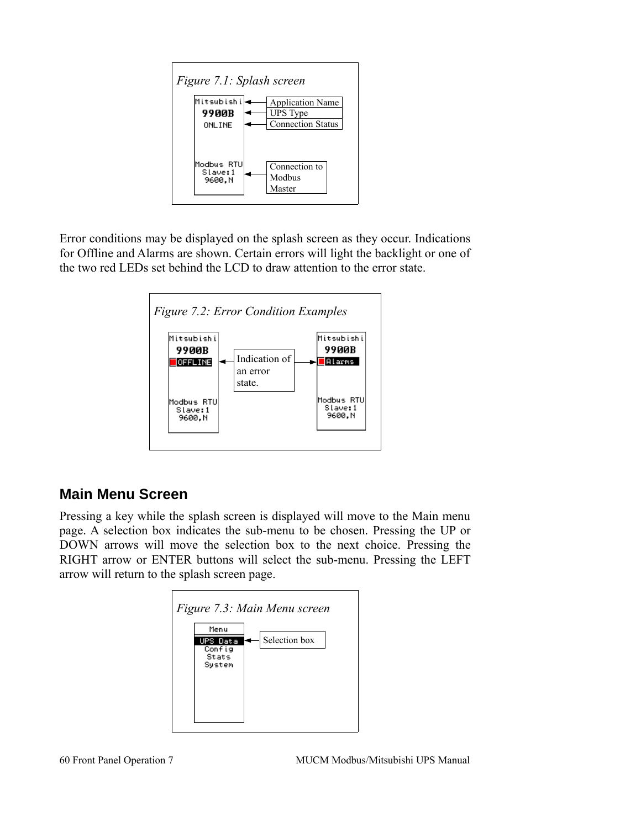

Error conditions may be displayed on the splash screen as they occur. Indications for Offline and Alarms are shown. Certain errors will light the backlight or one of the two red LEDs set behind the LCD to draw attention to the error state.



#### **Main Menu Screen**

Pressing a key while the splash screen is displayed will move to the Main menu page. A selection box indicates the sub-menu to be chosen. Pressing the UP or DOWN arrows will move the selection box to the next choice. Pressing the RIGHT arrow or ENTER buttons will select the sub-menu. Pressing the LEFT arrow will return to the splash screen page.

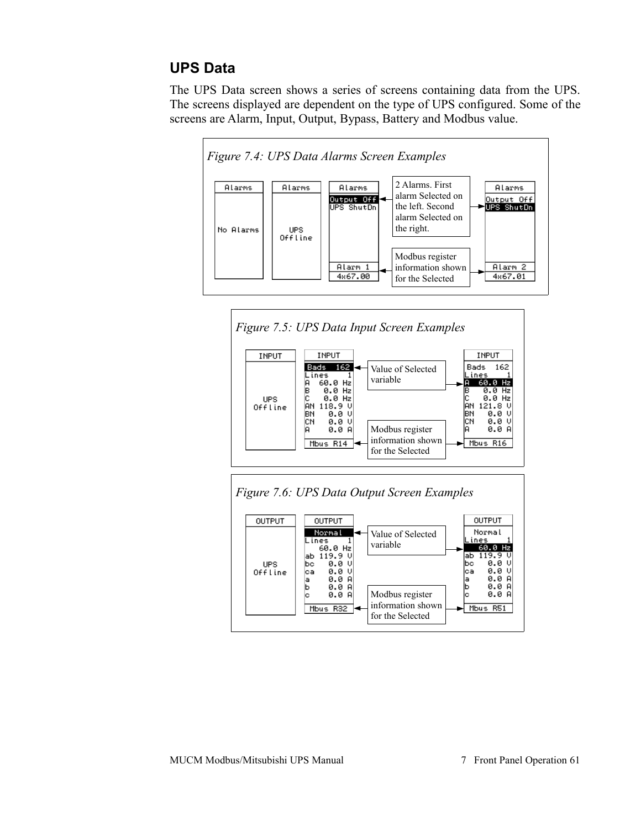#### **UPS Data**

The UPS Data screen shows a series of screens containing data from the UPS. The screens displayed are dependent on the type of UPS configured. Some of the screens are Alarm, Input, Output, Bypass, Battery and Modbus value.





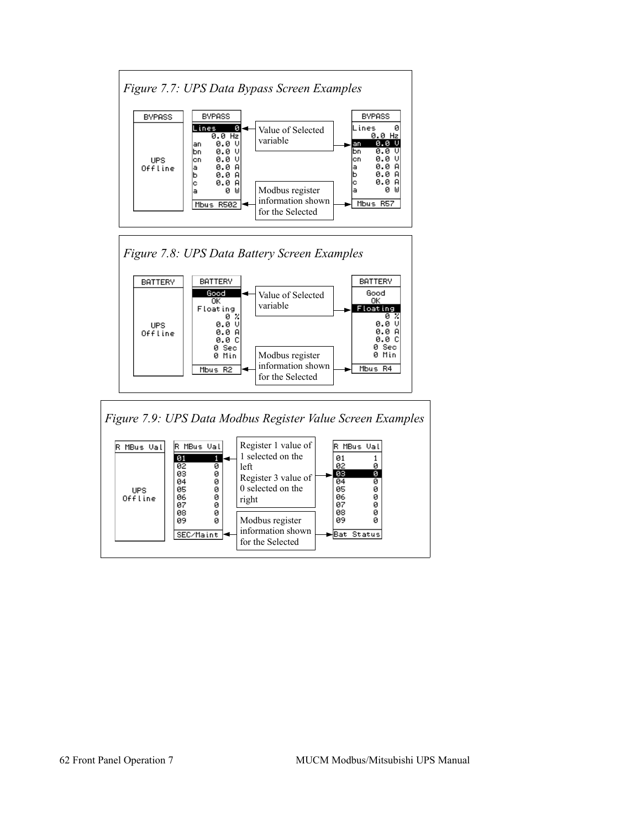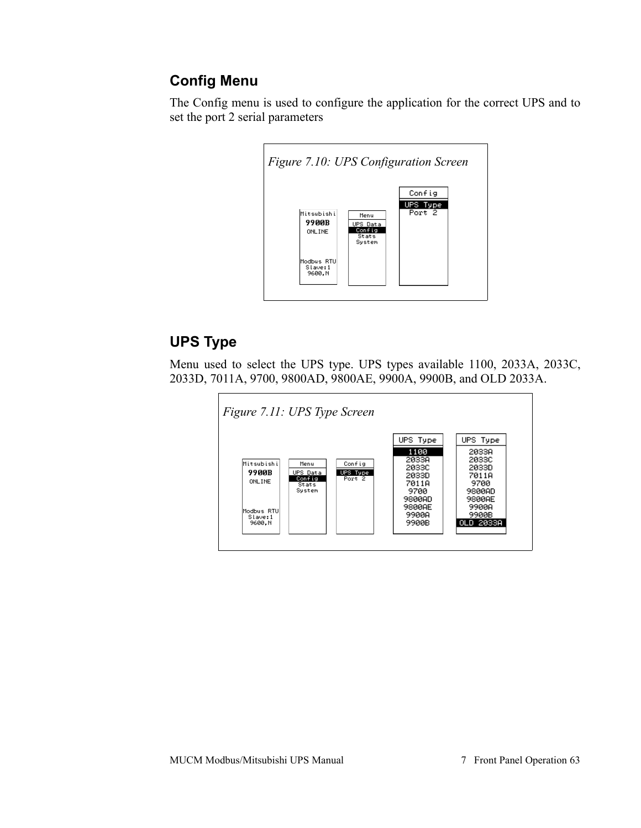### **Config Menu**

The Config menu is used to configure the application for the correct UPS and to set the port 2 serial parameters



# **UPS Type**

Menu used to select the UPS type. UPS types available 1100, 2033A, 2033C, 2033D, 7011A, 9700, 9800AD, 9800AE, 9900A, 9900B, and OLD 2033A.

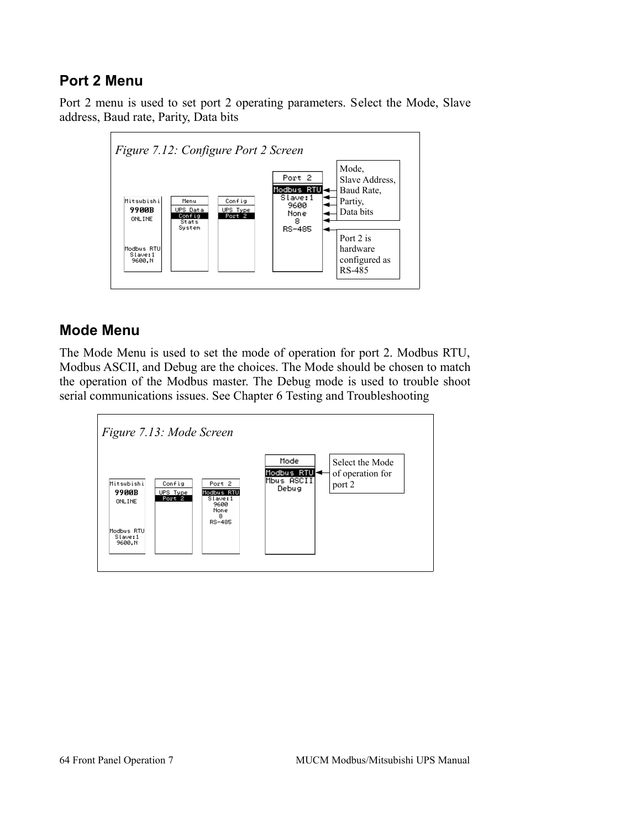#### **Port 2 Menu**

Port 2 menu is used to set port 2 operating parameters. Select the Mode, Slave address, Baud rate, Parity, Data bits



#### **Mode Menu**

The Mode Menu is used to set the mode of operation for port 2. Modbus RTU, Modbus ASCII, and Debug are the choices. The Mode should be chosen to match the operation of the Modbus master. The Debug mode is used to trouble shoot serial communications issues. See Chapter [6](#page-50-0) [Testing and Troubleshooting](#page-50-0)

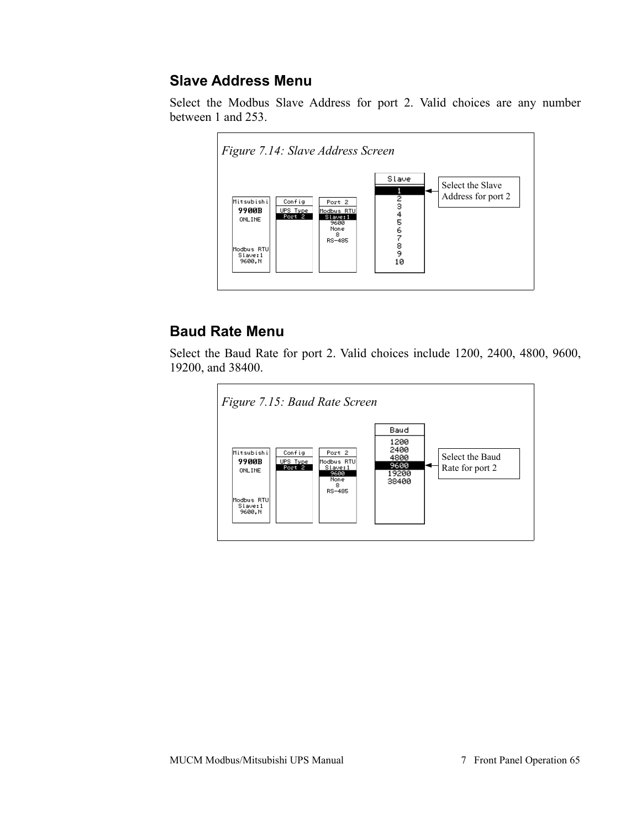#### **Slave Address Menu**

Select the Modbus Slave Address for port 2. Valid choices are any number between 1 and 253.



## **Baud Rate Menu**

Select the Baud Rate for port 2. Valid choices include 1200, 2400, 4800, 9600, 19200, and 38400.

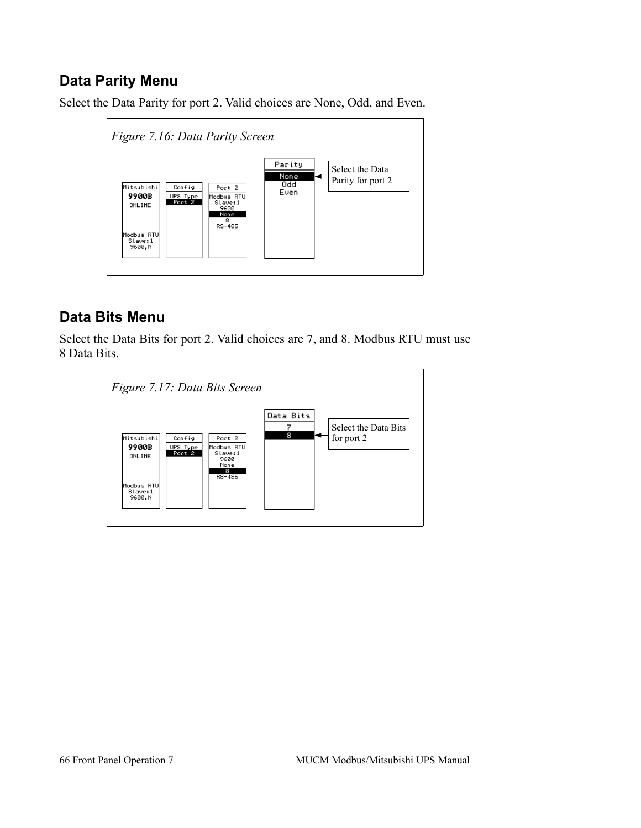### **Data Parity Menu**

Select the Data Parity for port 2. Valid choices are None, Odd, and Even.



#### **Data Bits Menu**

Select the Data Bits for port 2. Valid choices are 7, and 8. Modbus RTU must use 8 Data Bits.

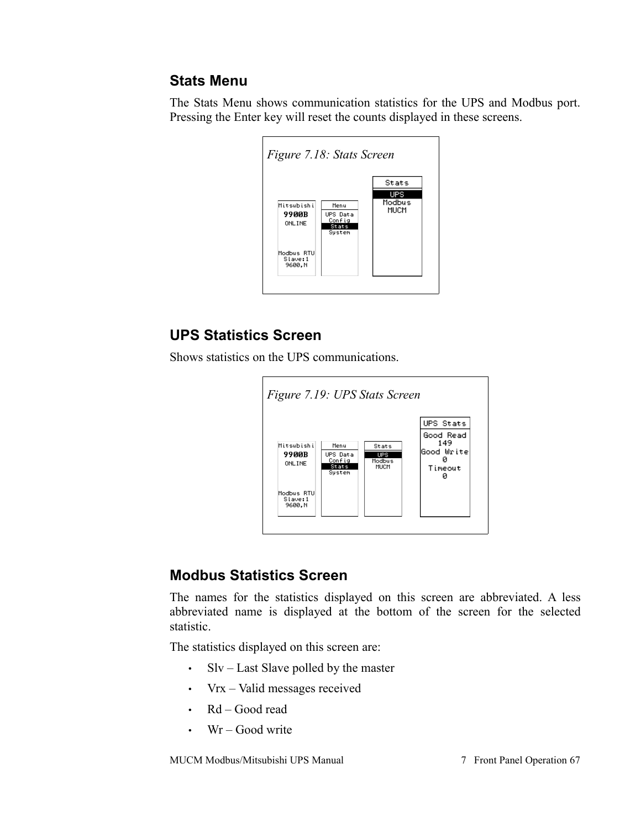#### **Stats Menu**

The Stats Menu shows communication statistics for the UPS and Modbus port. Pressing the Enter key will reset the counts displayed in these screens.

| Figure 7.18: Stats Screen        |                                               |                |
|----------------------------------|-----------------------------------------------|----------------|
|                                  |                                               | Stats          |
|                                  |                                               | UPS            |
| Mitsubishi<br>9900B<br>ONL INE   | Menu<br>UPS Data<br>Config<br>Stats<br>System | Modbus<br>MUCM |
| Modbus RTU<br>Slave:1<br>9600, N |                                               |                |

#### **UPS Statistics Screen**

Shows statistics on the UPS communications.



#### **Modbus Statistics Screen**

The names for the statistics displayed on this screen are abbreviated. A less abbreviated name is displayed at the bottom of the screen for the selected statistic.

The statistics displayed on this screen are:

- Slv Last Slave polled by the master
- Vrx Valid messages received
- Rd Good read
- Wr Good write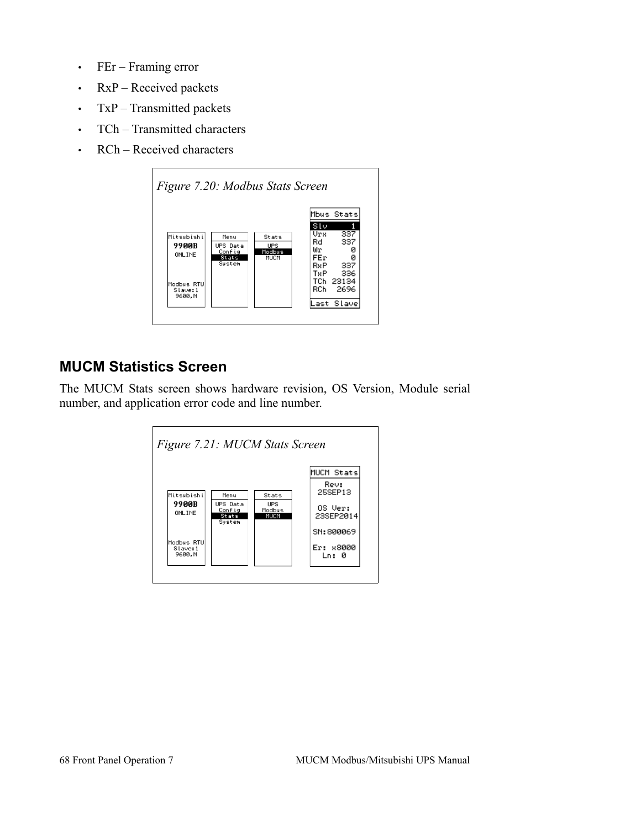- FEr Framing error
- RxP Received packets
- TxP Transmitted packets
- TCh Transmitted characters
- RCh Received characters



#### **MUCM Statistics Screen**

The MUCM Stats screen shows hardware revision, OS Version, Module serial number, and application error code and line number.

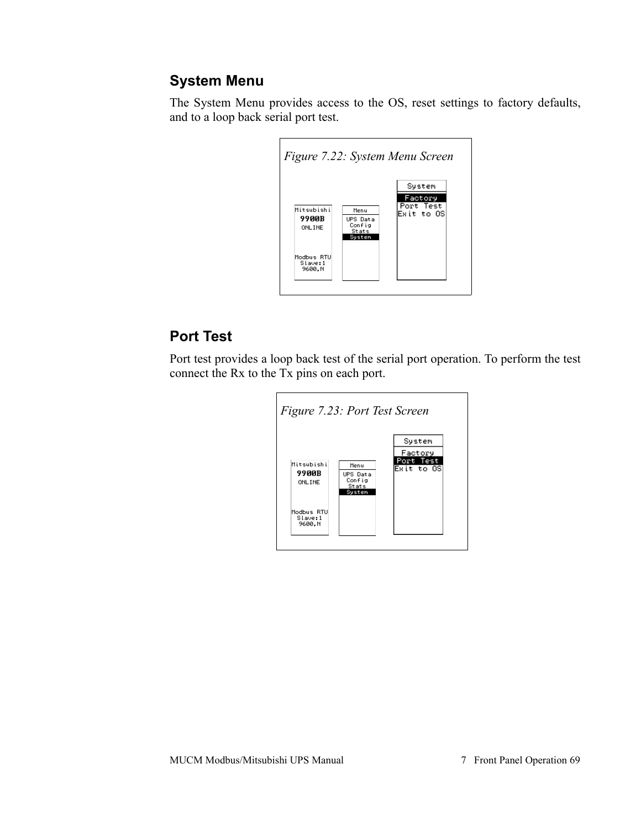#### **System Menu**

The System Menu provides access to the OS, reset settings to factory defaults, and to a loop back serial port test.



## **Port Test**

Port test provides a loop back test of the serial port operation. To perform the test connect the Rx to the Tx pins on each port.

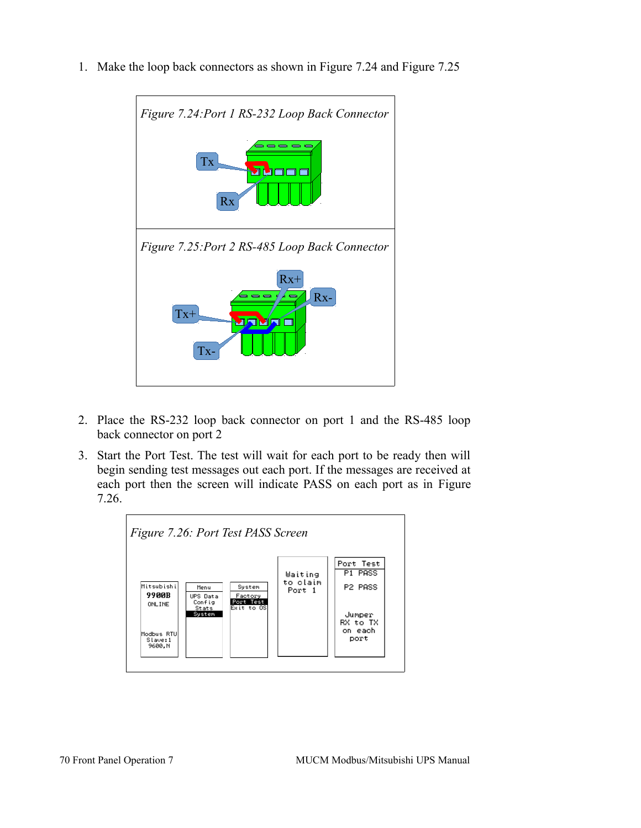1. Make the loop back connectors as shown in [Figure 7.24](#page-66-2) and [Figure 7.25](#page-66-1)

<span id="page-66-2"></span><span id="page-66-1"></span>

- 2. Place the RS-232 loop back connector on port 1 and the RS-485 loop back connector on port 2
- 3. Start the Port Test. The test will wait for each port to be ready then will begin sending test messages out each port. If the messages are received at each port then the screen will indicate PASS on each port as in [Figure](#page-66-0) [7.26.](#page-66-0)

<span id="page-66-0"></span>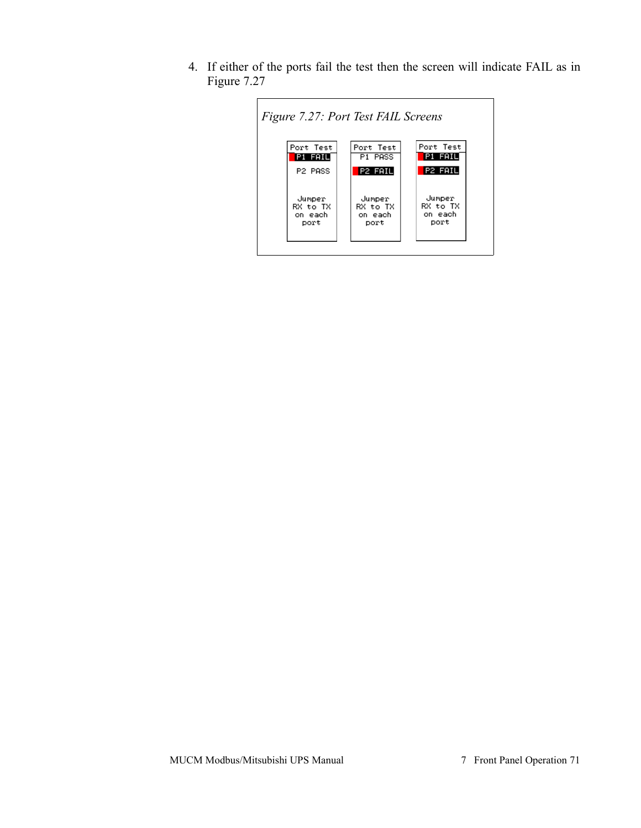4. If either of the ports fail the test then the screen will indicate FAIL as in [Figure 7.27](#page-67-0)

<span id="page-67-0"></span>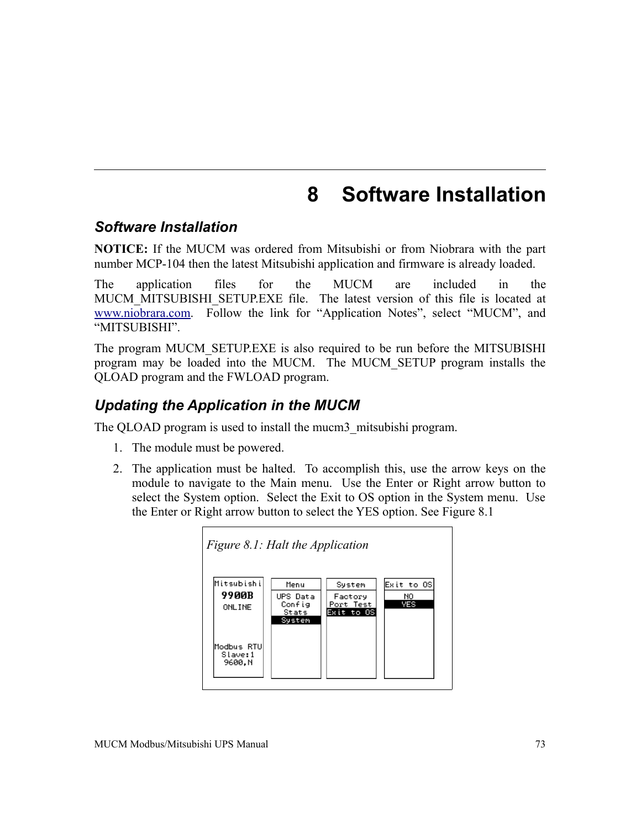# **8 Software Installation**

#### *Software Installation*

**NOTICE:** If the MUCM was ordered from Mitsubishi or from Niobrara with the part number MCP-104 then the latest Mitsubishi application and firmware is already loaded.

The application files for the MUCM are included in the MUCM MITSUBISHI\_SETUP.EXE file. The latest version of this file is located at [www.niobrara.com.](http://www.niobrara.com/) Follow the link for "Application Notes", select "MUCM", and "MITSUBISHI".

The program MUCM\_SETUP.EXE is also required to be run before the MITSUBISHI program may be loaded into the MUCM. The MUCM\_SETUP program installs the QLOAD program and the FWLOAD program.

#### *Updating the Application in the MUCM*

The QLOAD program is used to install the mucm3\_mitsubishi program.

- 1. The module must be powered.
- 2. The application must be halted. To accomplish this, use the arrow keys on the module to navigate to the Main menu. Use the Enter or Right arrow button to select the System option. Select the Exit to OS option in the System menu. Use the Enter or Right arrow button to select the YES option. See [Figure 8.1](#page-68-0)

<span id="page-68-0"></span>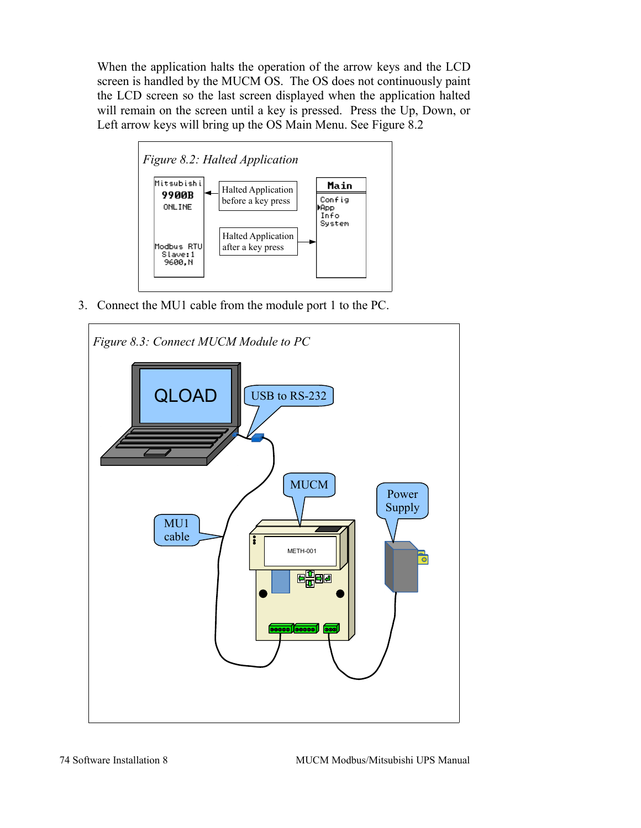When the application halts the operation of the arrow keys and the LCD screen is handled by the MUCM OS. The OS does not continuously paint the LCD screen so the last screen displayed when the application halted will remain on the screen until a key is pressed. Press the Up, Down, or Left arrow keys will bring up the OS Main Menu. See [Figure 8.2](#page-69-0)

<span id="page-69-0"></span>

3. Connect the MU1 cable from the module port 1 to the PC.

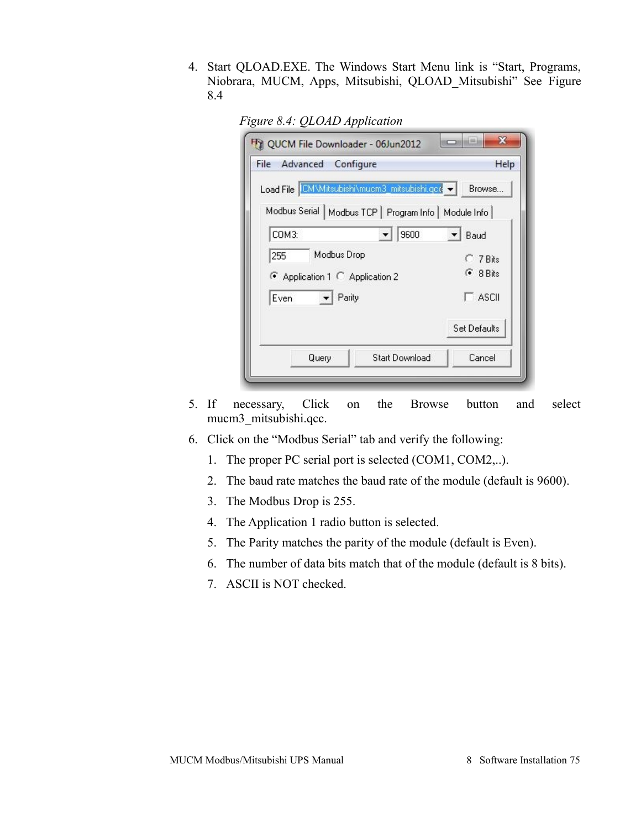4. Start QLOAD.EXE. The Windows Start Menu link is "Start, Programs, Niobrara, MUCM, Apps, Mitsubishi, QLOAD\_Mitsubishi" See [Figure](#page-70-0) [8.4](#page-70-0)

<span id="page-70-0"></span>

|  |  | Figure 8.4: QLOAD Application |  |
|--|--|-------------------------------|--|
|--|--|-------------------------------|--|

| File Advanced<br>Configure                              | Help           |
|---------------------------------------------------------|----------------|
| Load File CMMitsubishi\mucm3_mitsubishi.qcc v           | Browse         |
| Modbus Serial   Modbus TCP   Program Info   Module Info |                |
| 9600<br>COM3:                                           | Baud           |
| Modbus Drop<br>255                                      | $C$ 7 Bits     |
| Application 1 C Application 2                           | $\odot$ 8 Bits |
| Parity<br>Even                                          | <b>ASCII</b>   |
|                                                         | Set Defaults   |
| <b>Start Download</b><br>Query                          | Cancel         |

- 5. If necessary, Click on the Browse button and select mucm3\_mitsubishi.qcc.
- 6. Click on the "Modbus Serial" tab and verify the following:
	- 1. The proper PC serial port is selected (COM1, COM2,..).
	- 2. The baud rate matches the baud rate of the module (default is 9600).
	- 3. The Modbus Drop is 255.
	- 4. The Application 1 radio button is selected.
	- 5. The Parity matches the parity of the module (default is Even).
	- 6. The number of data bits match that of the module (default is 8 bits).
	- 7. ASCII is NOT checked.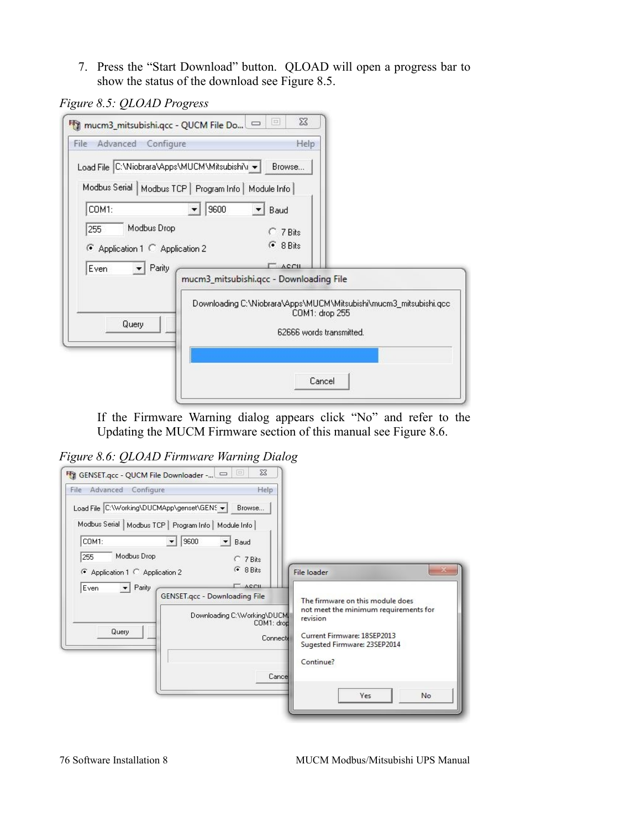7. Press the "Start Download" button. QLOAD will open a progress bar to show the status of the download see [Figure 8.5.](#page-71-1)

<span id="page-71-1"></span>*Figure 8.5: QLOAD Progress*



If the Firmware Warning dialog appears click "No" and refer to the [Updating the MUCM Firmware](#page-73-0) section of this manual see [Figure 8.6.](#page-71-0)

<span id="page-71-0"></span>*Figure 8.6: QLOAD Firmware Warning Dialog*

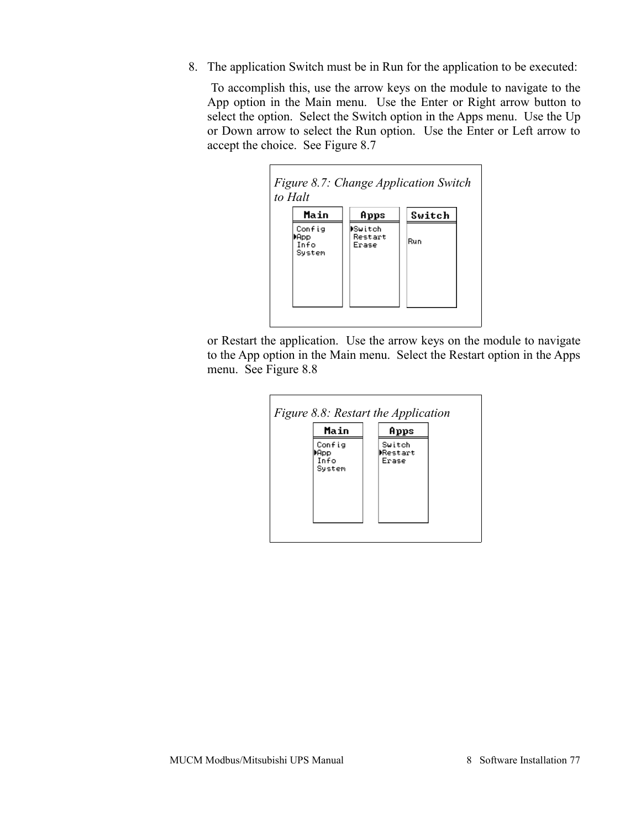8. The application Switch must be in Run for the application to be executed:

 To accomplish this, use the arrow keys on the module to navigate to the App option in the Main menu. Use the Enter or Right arrow button to select the option. Select the Switch option in the Apps menu. Use the Up or Down arrow to select the Run option. Use the Enter or Left arrow to accept the choice. See [Figure 8.7](#page-72-1)

<span id="page-72-1"></span>

or Restart the application. Use the arrow keys on the module to navigate to the App option in the Main menu. Select the Restart option in the Apps menu. See [Figure 8.8](#page-72-0)

<span id="page-72-0"></span>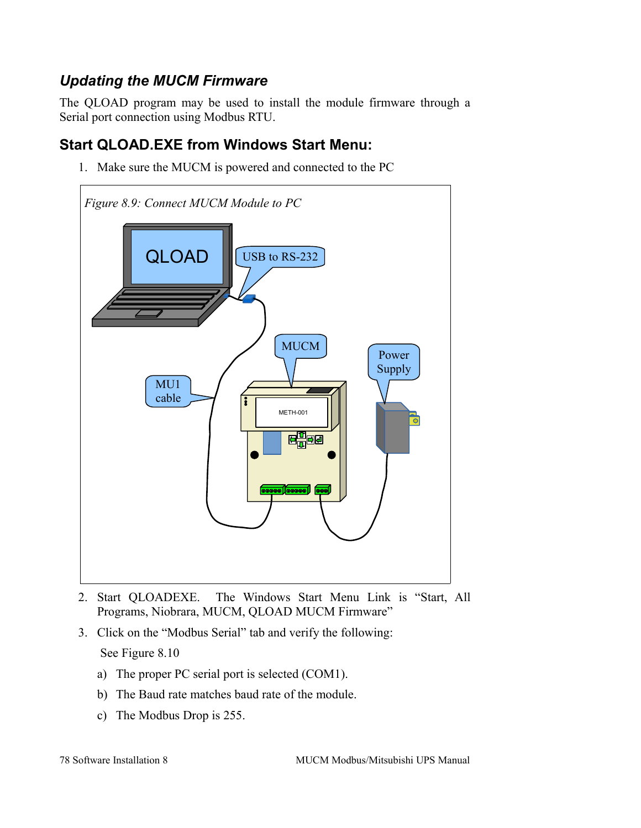## *Updating the MUCM Firmware*

The QLOAD program may be used to install the module firmware through a Serial port connection using Modbus RTU.

## **Start QLOAD.EXE from Windows Start Menu:**

1. Make sure the MUCM is powered and connected to the PC



- 2. Start QLOADEXE. The Windows Start Menu Link is "Start, All Programs, Niobrara, MUCM, QLOAD MUCM Firmware"
- 3. Click on the "Modbus Serial" tab and verify the following: See [Figure 8.10](#page-74-0)
	- a) The proper PC serial port is selected (COM1).
	- b) The Baud rate matches baud rate of the module.
	- c) The Modbus Drop is 255.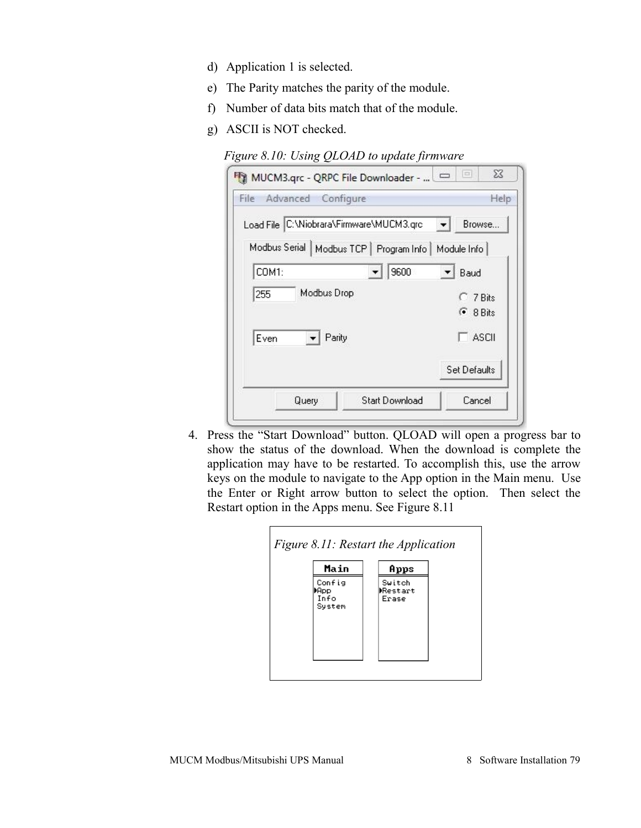- d) Application 1 is selected.
- e) The Parity matches the parity of the module.
- f) Number of data bits match that of the module.
- g) ASCII is NOT checked.

*Figure 8.10: Using QLOAD to update firmware*

<span id="page-74-0"></span>

| File Advanced Configure                  |                                           | Help         |
|------------------------------------------|-------------------------------------------|--------------|
| Load File C:\Niobrara\Firmware\MUCM3.qrc |                                           | Browse       |
|                                          | Modbus Serial   Modbus TCP   Program Info | Module Info  |
| COM1:                                    | 9600                                      | Baud         |
| Modbus Drop<br>255                       |                                           | C 7 Bits     |
|                                          |                                           | $G$ 8 Bits   |
| Parity<br>Even                           |                                           | ASCII        |
|                                          |                                           | Set Defaults |
| Query                                    | Start Download                            | Cancel       |

4. Press the "Start Download" button. QLOAD will open a progress bar to show the status of the download. When the download is complete the application may have to be restarted. To accomplish this, use the arrow keys on the module to navigate to the App option in the Main menu. Use the Enter or Right arrow button to select the option. Then select the Restart option in the Apps menu. See [Figure 8.11](#page-74-1)

<span id="page-74-1"></span>

| Switch<br>Restart<br>Erase |
|----------------------------|
|                            |
|                            |